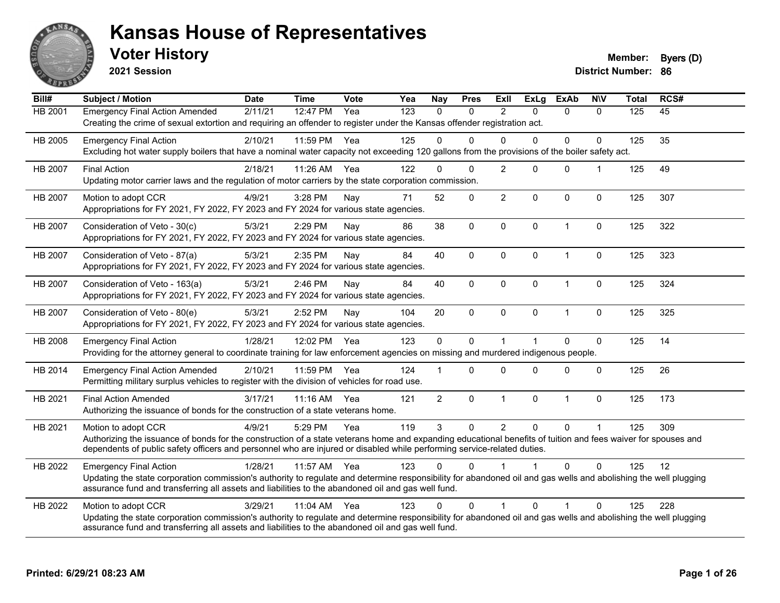

**2021 Session**

**Voter History Member: Byers** (D)

| Bill#          | Subject / Motion                                                                                                                                                                                                                                                                                                | <b>Date</b> | <b>Time</b> | <b>Vote</b> | Yea | <b>Nay</b>     | <b>Pres</b>  | Exll           | <b>ExLg</b>          | <b>ExAb</b>    | <b>NIV</b>   | <b>Total</b> | RCS# |
|----------------|-----------------------------------------------------------------------------------------------------------------------------------------------------------------------------------------------------------------------------------------------------------------------------------------------------------------|-------------|-------------|-------------|-----|----------------|--------------|----------------|----------------------|----------------|--------------|--------------|------|
| HB 2001        | <b>Emergency Final Action Amended</b><br>Creating the crime of sexual extortion and requiring an offender to register under the Kansas offender registration act.                                                                                                                                               | 2/11/21     | 12:47 PM    | Yea         | 123 | $\mathbf{0}$   | $\Omega$     | $\overline{2}$ | $\Omega$             | $\mathbf{0}$   | $\mathbf{0}$ | 125          | 45   |
| HB 2005        | <b>Emergency Final Action</b><br>Excluding hot water supply boilers that have a nominal water capacity not exceeding 120 gallons from the provisions of the boiler safety act.                                                                                                                                  | 2/10/21     | 11:59 PM    | Yea         | 125 | $\Omega$       | $\Omega$     | $\Omega$       | $\Omega$             | 0              | $\Omega$     | 125          | 35   |
| <b>HB 2007</b> | <b>Final Action</b><br>Updating motor carrier laws and the regulation of motor carriers by the state corporation commission.                                                                                                                                                                                    | 2/18/21     | 11:26 AM    | Yea         | 122 | $\Omega$       | $\Omega$     | $\overline{2}$ | $\Omega$             | $\mathbf{0}$   |              | 125          | 49   |
| <b>HB 2007</b> | Motion to adopt CCR<br>Appropriations for FY 2021, FY 2022, FY 2023 and FY 2024 for various state agencies.                                                                                                                                                                                                     | 4/9/21      | 3:28 PM     | Nay         | 71  | 52             | $\mathbf 0$  | $\overline{c}$ | 0                    | $\mathbf 0$    | $\mathbf 0$  | 125          | 307  |
| HB 2007        | Consideration of Veto - 30(c)<br>Appropriations for FY 2021, FY 2022, FY 2023 and FY 2024 for various state agencies.                                                                                                                                                                                           | 5/3/21      | 2:29 PM     | Nay         | 86  | 38             | $\mathbf 0$  | $\mathbf 0$    | $\mathbf{0}$         | $\overline{1}$ | $\mathbf 0$  | 125          | 322  |
| <b>HB 2007</b> | Consideration of Veto - 87(a)<br>Appropriations for FY 2021, FY 2022, FY 2023 and FY 2024 for various state agencies.                                                                                                                                                                                           | 5/3/21      | 2:35 PM     | Nav         | 84  | 40             | $\mathbf{0}$ | $\Omega$       | $\Omega$             | $\overline{1}$ | 0            | 125          | 323  |
| HB 2007        | Consideration of Veto - 163(a)<br>Appropriations for FY 2021, FY 2022, FY 2023 and FY 2024 for various state agencies.                                                                                                                                                                                          | 5/3/21      | 2:46 PM     | Nay         | 84  | 40             | $\mathbf 0$  | $\mathbf 0$    | 0                    | $\mathbf{1}$   | $\pmb{0}$    | 125          | 324  |
| HB 2007        | Consideration of Veto - 80(e)<br>Appropriations for FY 2021, FY 2022, FY 2023 and FY 2024 for various state agencies.                                                                                                                                                                                           | 5/3/21      | 2:52 PM     | Nay         | 104 | 20             | $\mathbf 0$  | $\mathbf 0$    | $\Omega$             | $\overline{1}$ | $\mathbf 0$  | 125          | 325  |
| HB 2008        | <b>Emergency Final Action</b><br>Providing for the attorney general to coordinate training for law enforcement agencies on missing and murdered indigenous people.                                                                                                                                              | 1/28/21     | 12:02 PM    | Yea         | 123 | $\mathbf 0$    | $\Omega$     | $\overline{1}$ | $\blacktriangleleft$ | $\Omega$       | $\mathbf 0$  | 125          | 14   |
| HB 2014        | <b>Emergency Final Action Amended</b><br>Permitting military surplus vehicles to register with the division of vehicles for road use.                                                                                                                                                                           | 2/10/21     | 11:59 PM    | Yea         | 124 |                | $\Omega$     | $\Omega$       | $\Omega$             | $\Omega$       | $\Omega$     | 125          | 26   |
| HB 2021        | <b>Final Action Amended</b><br>Authorizing the issuance of bonds for the construction of a state veterans home.                                                                                                                                                                                                 | 3/17/21     | 11:16 AM    | Yea         | 121 | $\overline{2}$ | $\mathbf 0$  | $\mathbf{1}$   | 0                    | $\mathbf{1}$   | $\mathbf 0$  | 125          | 173  |
| HB 2021        | Motion to adopt CCR<br>Authorizing the issuance of bonds for the construction of a state veterans home and expanding educational benefits of tuition and fees waiver for spouses and<br>dependents of public safety officers and personnel who are injured or disabled while performing service-related duties. | 4/9/21      | 5:29 PM     | Yea         | 119 | 3              | $\Omega$     | $\overline{2}$ | $\Omega$             | $\Omega$       |              | 125          | 309  |
| HB 2022        | <b>Emergency Final Action</b><br>Updating the state corporation commission's authority to regulate and determine responsibility for abandoned oil and gas wells and abolishing the well plugging<br>assurance fund and transferring all assets and liabilities to the abandoned oil and gas well fund.          | 1/28/21     | 11:57 AM    | Yea         | 123 | $\Omega$       | $\Omega$     |                |                      | $\Omega$       | $\Omega$     | 125          | 12   |
| HB 2022        | Motion to adopt CCR<br>Updating the state corporation commission's authority to regulate and determine responsibility for abandoned oil and gas wells and abolishing the well plugging<br>assurance fund and transferring all assets and liabilities to the abandoned oil and gas well fund.                    | 3/29/21     | 11:04 AM    | Yea         | 123 | $\Omega$       | $\Omega$     | 1              | $\Omega$             | 1              | $\Omega$     | 125          | 228  |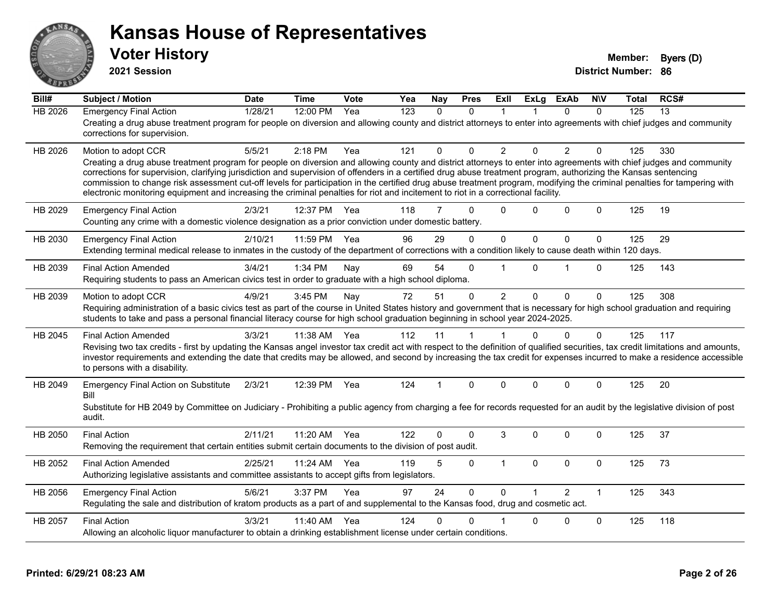

**2021 Session**

| Bill#          | <b>Subject / Motion</b>                                                                                                                                                                                                                                                                                                                                                                                                                                                                                                                                                                                                                                                         | <b>Date</b> | <b>Time</b> | Vote | Yea              | Nay          | <b>Pres</b>  | ExIl           | <b>ExLg</b>  | <b>ExAb</b>    | <b>NIV</b>   | Total | RCS#            |
|----------------|---------------------------------------------------------------------------------------------------------------------------------------------------------------------------------------------------------------------------------------------------------------------------------------------------------------------------------------------------------------------------------------------------------------------------------------------------------------------------------------------------------------------------------------------------------------------------------------------------------------------------------------------------------------------------------|-------------|-------------|------|------------------|--------------|--------------|----------------|--------------|----------------|--------------|-------|-----------------|
| <b>HB 2026</b> | <b>Emergency Final Action</b><br>Creating a drug abuse treatment program for people on diversion and allowing county and district attorneys to enter into agreements with chief judges and community<br>corrections for supervision.                                                                                                                                                                                                                                                                                                                                                                                                                                            | 1/28/21     | 12:00 PM    | Yea  | $\overline{123}$ | $\mathbf{0}$ | $\Omega$     | 1              |              | $\Omega$       | $\Omega$     | 125   | $\overline{13}$ |
| HB 2026        | Motion to adopt CCR<br>Creating a drug abuse treatment program for people on diversion and allowing county and district attorneys to enter into agreements with chief judges and community<br>corrections for supervision, clarifying jurisdiction and supervision of offenders in a certified drug abuse treatment program, authorizing the Kansas sentencing<br>commission to change risk assessment cut-off levels for participation in the certified drug abuse treatment program, modifying the criminal penalties for tampering with<br>electronic monitoring equipment and increasing the criminal penalties for riot and incitement to riot in a correctional facility. | 5/5/21      | $2:18$ PM   | Yea  | 121              | 0            | $\Omega$     | $\overline{2}$ | $\Omega$     | $\overline{2}$ | $\Omega$     | 125   | 330             |
| HB 2029        | <b>Emergency Final Action</b><br>Counting any crime with a domestic violence designation as a prior conviction under domestic battery.                                                                                                                                                                                                                                                                                                                                                                                                                                                                                                                                          | 2/3/21      | 12:37 PM    | Yea  | 118              | 7            | $\Omega$     | $\Omega$       | 0            | $\Omega$       | $\Omega$     | 125   | 19              |
| HB 2030        | <b>Emergency Final Action</b><br>Extending terminal medical release to inmates in the custody of the department of corrections with a condition likely to cause death within 120 days.                                                                                                                                                                                                                                                                                                                                                                                                                                                                                          | 2/10/21     | 11:59 PM    | Yea  | 96               | 29           | $\Omega$     | $\mathbf{0}$   | $\mathbf{0}$ | $\Omega$       | $\mathbf 0$  | 125   | 29              |
| HB 2039        | <b>Final Action Amended</b><br>Requiring students to pass an American civics test in order to graduate with a high school diploma.                                                                                                                                                                                                                                                                                                                                                                                                                                                                                                                                              | 3/4/21      | 1:34 PM     | Nay  | 69               | 54           | $\Omega$     | $\overline{1}$ | $\Omega$     | 1              | $\Omega$     | 125   | 143             |
| HB 2039        | Motion to adopt CCR<br>Requiring administration of a basic civics test as part of the course in United States history and government that is necessary for high school graduation and requiring<br>students to take and pass a personal financial literacy course for high school graduation beginning in school year 2024-2025.                                                                                                                                                                                                                                                                                                                                                | 4/9/21      | 3:45 PM     | Nay  | 72               | 51           | $\mathbf{0}$ | $\overline{2}$ | $\Omega$     | $\Omega$       | $\mathbf{0}$ | 125   | 308             |
| HB 2045        | <b>Final Action Amended</b><br>Revising two tax credits - first by updating the Kansas angel investor tax credit act with respect to the definition of qualified securities, tax credit limitations and amounts,<br>investor requirements and extending the date that credits may be allowed, and second by increasing the tax credit for expenses incurred to make a residence accessible<br>to persons with a disability.                                                                                                                                                                                                                                                     | 3/3/21      | 11:38 AM    | Yea  | 112              | 11           | 1            | $\mathbf 1$    | $\Omega$     | $\Omega$       | $\mathbf{0}$ | 125   | 117             |
| HB 2049        | <b>Emergency Final Action on Substitute</b><br>Bill<br>Substitute for HB 2049 by Committee on Judiciary - Prohibiting a public agency from charging a fee for records requested for an audit by the legislative division of post<br>audit.                                                                                                                                                                                                                                                                                                                                                                                                                                      | 2/3/21      | 12:39 PM    | Yea  | 124              | 1            | $\mathbf{0}$ | $\Omega$       | $\Omega$     | $\Omega$       | $\mathbf{0}$ | 125   | 20              |
| HB 2050        | <b>Final Action</b><br>Removing the requirement that certain entities submit certain documents to the division of post audit.                                                                                                                                                                                                                                                                                                                                                                                                                                                                                                                                                   | 2/11/21     | 11:20 AM    | Yea  | 122              | 0            | $\Omega$     | 3              | $\Omega$     | $\Omega$       | $\Omega$     | 125   | 37              |
| HB 2052        | <b>Final Action Amended</b><br>Authorizing legislative assistants and committee assistants to accept gifts from legislators.                                                                                                                                                                                                                                                                                                                                                                                                                                                                                                                                                    | 2/25/21     | 11:24 AM    | Yea  | 119              | 5            | $\Omega$     | $\mathbf{1}$   | $\mathbf{0}$ | $\Omega$       | $\mathbf 0$  | 125   | 73              |
| HB 2056        | <b>Emergency Final Action</b><br>Regulating the sale and distribution of kratom products as a part of and supplemental to the Kansas food, drug and cosmetic act.                                                                                                                                                                                                                                                                                                                                                                                                                                                                                                               | 5/6/21      | 3:37 PM     | Yea  | 97               | 24           | $\Omega$     | $\Omega$       |              | $\mathcal{P}$  | $\mathbf{1}$ | 125   | 343             |
| HB 2057        | <b>Final Action</b><br>Allowing an alcoholic liquor manufacturer to obtain a drinking establishment license under certain conditions.                                                                                                                                                                                                                                                                                                                                                                                                                                                                                                                                           | 3/3/21      | 11:40 AM    | Yea  | 124              | 0            | 0            |                | 0            | 0              | $\mathbf 0$  | 125   | 118             |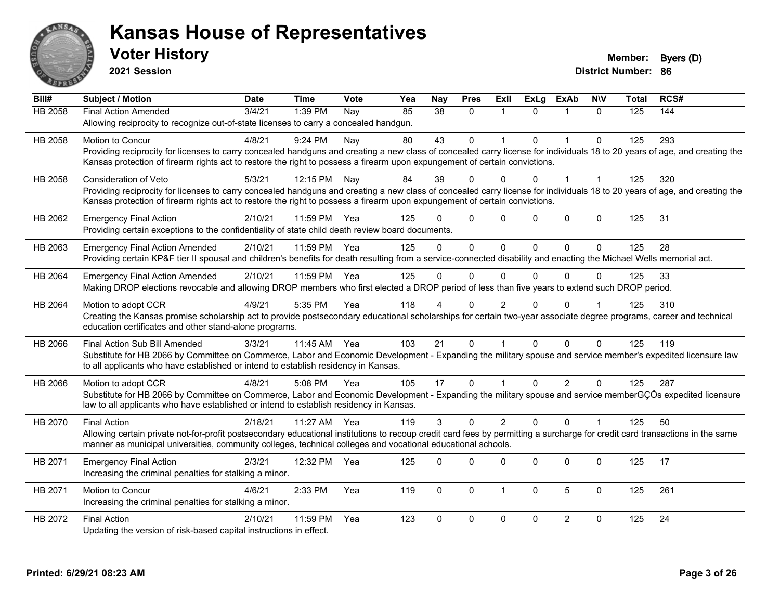

**2021 Session**

| Bill#   | Subject / Motion                                                                                                                                                             | <b>Date</b> | <b>Time</b> | <b>Vote</b> | Yea | <b>Nay</b> | <b>Pres</b>  | <b>ExII</b>    | <b>ExLg</b>  | <b>ExAb</b>    | <b>NIV</b>   | <b>Total</b> | RCS# |
|---------|------------------------------------------------------------------------------------------------------------------------------------------------------------------------------|-------------|-------------|-------------|-----|------------|--------------|----------------|--------------|----------------|--------------|--------------|------|
| HB 2058 | <b>Final Action Amended</b>                                                                                                                                                  | 3/4/21      | 1:39 PM     | Nay         | 85  | 38         | $\mathbf{0}$ | 1              | $\Omega$     | 1              | $\Omega$     | 125          | 144  |
|         | Allowing reciprocity to recognize out-of-state licenses to carry a concealed handgun.                                                                                        |             |             |             |     |            |              |                |              |                |              |              |      |
| HB 2058 | Motion to Concur                                                                                                                                                             | 4/8/21      | 9:24 PM     | Nay         | 80  | 43         | $\mathbf{0}$ | $\overline{1}$ | $\Omega$     | $\mathbf{1}$   | $\mathbf{0}$ | 125          | 293  |
|         | Providing reciprocity for licenses to carry concealed handguns and creating a new class of concealed carry license for individuals 18 to 20 years of age, and creating the   |             |             |             |     |            |              |                |              |                |              |              |      |
|         | Kansas protection of firearm rights act to restore the right to possess a firearm upon expungement of certain convictions.                                                   |             |             |             |     |            |              |                |              |                |              |              |      |
| HB 2058 | <b>Consideration of Veto</b>                                                                                                                                                 | 5/3/21      | 12:15 PM    | Nay         | 84  | 39         | $\Omega$     | 0              | 0            | $\overline{1}$ | 1            | 125          | 320  |
|         | Providing reciprocity for licenses to carry concealed handguns and creating a new class of concealed carry license for individuals 18 to 20 years of age, and creating the   |             |             |             |     |            |              |                |              |                |              |              |      |
|         | Kansas protection of firearm rights act to restore the right to possess a firearm upon expungement of certain convictions.                                                   |             |             |             |     |            |              |                |              |                |              |              |      |
| HB 2062 | <b>Emergency Final Action</b>                                                                                                                                                | 2/10/21     | 11:59 PM    | Yea         | 125 | $\Omega$   | $\Omega$     | 0              | $\Omega$     | $\mathbf 0$    | $\mathbf 0$  | 125          | 31   |
|         | Providing certain exceptions to the confidentiality of state child death review board documents.                                                                             |             |             |             |     |            |              |                |              |                |              |              |      |
| HB 2063 | <b>Emergency Final Action Amended</b>                                                                                                                                        | 2/10/21     | 11:59 PM    | Yea         | 125 | $\Omega$   | $\Omega$     | $\Omega$       | $\Omega$     | $\Omega$       | $\Omega$     | 125          | 28   |
|         | Providing certain KP&F tier II spousal and children's benefits for death resulting from a service-connected disability and enacting the Michael Wells memorial act.          |             |             |             |     |            |              |                |              |                |              |              |      |
| HB 2064 | <b>Emergency Final Action Amended</b>                                                                                                                                        | 2/10/21     | 11:59 PM    | Yea         | 125 | $\Omega$   | $\Omega$     | 0              | $\Omega$     | $\Omega$       | 0            | 125          | 33   |
|         | Making DROP elections revocable and allowing DROP members who first elected a DROP period of less than five years to extend such DROP period.                                |             |             |             |     |            |              |                |              |                |              |              |      |
| HB 2064 | Motion to adopt CCR                                                                                                                                                          | 4/9/21      | 5:35 PM     | Yea         | 118 |            | $\Omega$     | 2              | U            | $\Omega$       |              | 125          | 310  |
|         | Creating the Kansas promise scholarship act to provide postsecondary educational scholarships for certain two-year associate degree programs, career and technical           |             |             |             |     |            |              |                |              |                |              |              |      |
|         | education certificates and other stand-alone programs.                                                                                                                       |             |             |             |     |            |              |                |              |                |              |              |      |
| HB 2066 | Final Action Sub Bill Amended                                                                                                                                                | 3/3/21      | 11:45 AM    | Yea         | 103 | 21         | $\Omega$     | 1              | $\Omega$     | $\Omega$       | $\mathbf{0}$ | 125          | 119  |
|         | Substitute for HB 2066 by Committee on Commerce, Labor and Economic Development - Expanding the military spouse and service member's expedited licensure law                 |             |             |             |     |            |              |                |              |                |              |              |      |
|         | to all applicants who have established or intend to establish residency in Kansas.                                                                                           |             |             |             |     |            |              |                |              |                |              |              |      |
| HB 2066 | Motion to adopt CCR                                                                                                                                                          | 4/8/21      | 5:08 PM     | Yea         | 105 | 17         | $\mathbf{0}$ | $\mathbf 1$    | $\Omega$     | $\overline{2}$ | $\Omega$     | 125          | 287  |
|         | Substitute for HB 2066 by Committee on Commerce, Labor and Economic Development - Expanding the military spouse and service memberGÇÖs expedited licensure                   |             |             |             |     |            |              |                |              |                |              |              |      |
|         | law to all applicants who have established or intend to establish residency in Kansas.                                                                                       |             |             |             |     |            |              |                |              |                |              |              |      |
| HB 2070 | <b>Final Action</b>                                                                                                                                                          | 2/18/21     | 11:27 AM    | Yea         | 119 | 3          | $\Omega$     | $\overline{2}$ | $\Omega$     | $\Omega$       |              | 125          | 50   |
|         | Allowing certain private not-for-profit postsecondary educational institutions to recoup credit card fees by permitting a surcharge for credit card transactions in the same |             |             |             |     |            |              |                |              |                |              |              |      |
|         | manner as municipal universities, community colleges, technical colleges and vocational educational schools.                                                                 |             |             |             |     |            |              |                |              |                |              |              |      |
| HB 2071 | <b>Emergency Final Action</b>                                                                                                                                                | 2/3/21      | 12:32 PM    | Yea         | 125 | $\Omega$   | $\Omega$     | 0              | $\Omega$     | 0              | $\mathbf{0}$ | 125          | 17   |
|         | Increasing the criminal penalties for stalking a minor.                                                                                                                      |             |             |             |     |            |              |                |              |                |              |              |      |
| HB 2071 | Motion to Concur                                                                                                                                                             | 4/6/21      | 2:33 PM     | Yea         | 119 | $\Omega$   | $\mathbf 0$  | $\mathbf{1}$   | $\Omega$     | $\sqrt{5}$     | $\mathbf 0$  | 125          | 261  |
|         | Increasing the criminal penalties for stalking a minor.                                                                                                                      |             |             |             |     |            |              |                |              |                |              |              |      |
| HB 2072 | <b>Final Action</b>                                                                                                                                                          | 2/10/21     | 11:59 PM    | Yea         | 123 | $\Omega$   | $\mathbf 0$  | $\mathbf 0$    | $\mathbf{0}$ | $\overline{2}$ | $\mathbf 0$  | 125          | 24   |
|         | Updating the version of risk-based capital instructions in effect.                                                                                                           |             |             |             |     |            |              |                |              |                |              |              |      |
|         |                                                                                                                                                                              |             |             |             |     |            |              |                |              |                |              |              |      |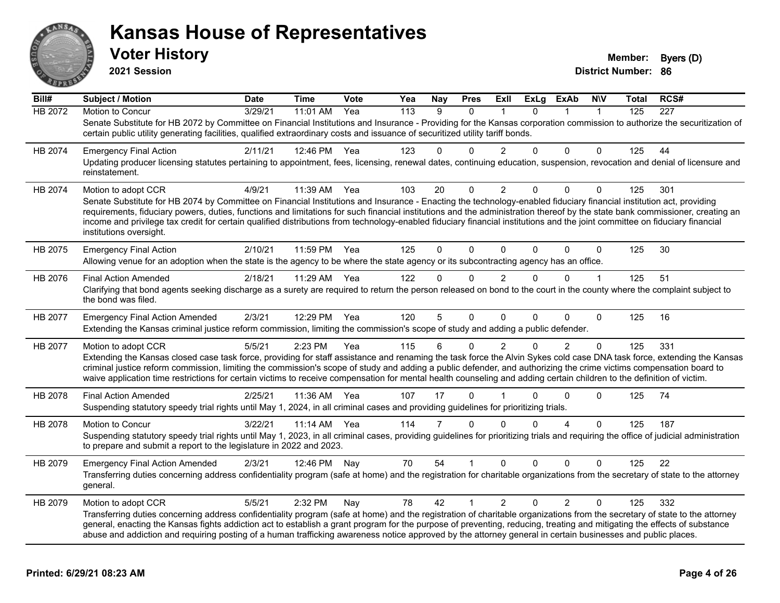

**2021 Session**

| Bill#   | <b>Subject / Motion</b>                                                                                                                                                                                                                                                                                                                                                                                                                                                                                                                                       | <b>Date</b> | Time     | Vote | Yea              | <b>Nay</b> | <b>Pres</b>  | Exll           | ExLg         | <b>ExAb</b>    | <b>NIV</b>   | Total | RCS#             |
|---------|---------------------------------------------------------------------------------------------------------------------------------------------------------------------------------------------------------------------------------------------------------------------------------------------------------------------------------------------------------------------------------------------------------------------------------------------------------------------------------------------------------------------------------------------------------------|-------------|----------|------|------------------|------------|--------------|----------------|--------------|----------------|--------------|-------|------------------|
| HB 2072 | Motion to Concur                                                                                                                                                                                                                                                                                                                                                                                                                                                                                                                                              | 3/29/21     | 11:01 AM | Yea  | $\overline{113}$ | 9          | $\mathbf{0}$ |                | $\mathbf{0}$ | 1              | 1            | 125   | $\overline{227}$ |
|         | Senate Substitute for HB 2072 by Committee on Financial Institutions and Insurance - Providing for the Kansas corporation commission to authorize the securitization of<br>certain public utility generating facilities, qualified extraordinary costs and issuance of securitized utility tariff bonds.                                                                                                                                                                                                                                                      |             |          |      |                  |            |              |                |              |                |              |       |                  |
| HB 2074 | <b>Emergency Final Action</b>                                                                                                                                                                                                                                                                                                                                                                                                                                                                                                                                 | 2/11/21     | 12:46 PM | Yea  | 123              | 0          | $\Omega$     | 2              | $\Omega$     | $\Omega$       | $\Omega$     | 125   | 44               |
|         | Updating producer licensing statutes pertaining to appointment, fees, licensing, renewal dates, continuing education, suspension, revocation and denial of licensure and<br>reinstatement.                                                                                                                                                                                                                                                                                                                                                                    |             |          |      |                  |            |              |                |              |                |              |       |                  |
| HB 2074 | Motion to adopt CCR                                                                                                                                                                                                                                                                                                                                                                                                                                                                                                                                           | 4/9/21      | 11:39 AM | Yea  | 103              | 20         | 0            | $\overline{2}$ | 0            | $\Omega$       | 0            | 125   | 301              |
|         | Senate Substitute for HB 2074 by Committee on Financial Institutions and Insurance - Enacting the technology-enabled fiduciary financial institution act, providing<br>requirements, fiduciary powers, duties, functions and limitations for such financial institutions and the administration thereof by the state bank commissioner, creating an<br>income and privilege tax credit for certain qualified distributions from technology-enabled fiduciary financial institutions and the joint committee on fiduciary financial<br>institutions oversight. |             |          |      |                  |            |              |                |              |                |              |       |                  |
| HB 2075 | <b>Emergency Final Action</b><br>Allowing venue for an adoption when the state is the agency to be where the state agency or its subcontracting agency has an office.                                                                                                                                                                                                                                                                                                                                                                                         | 2/10/21     | 11:59 PM | Yea  | 125              | $\Omega$   | $\Omega$     | $\mathbf{0}$   | 0            | $\Omega$       | $\mathbf 0$  | 125   | 30               |
| HB 2076 | <b>Final Action Amended</b>                                                                                                                                                                                                                                                                                                                                                                                                                                                                                                                                   | 2/18/21     | 11:29 AM | Yea  | 122              | 0          | $\Omega$     | $\overline{2}$ | $\Omega$     | $\Omega$       | $\mathbf{1}$ | 125   | 51               |
|         | Clarifying that bond agents seeking discharge as a surety are required to return the person released on bond to the court in the county where the complaint subject to<br>the bond was filed.                                                                                                                                                                                                                                                                                                                                                                 |             |          |      |                  |            |              |                |              |                |              |       |                  |
| HB 2077 | <b>Emergency Final Action Amended</b>                                                                                                                                                                                                                                                                                                                                                                                                                                                                                                                         | 2/3/21      | 12:29 PM | Yea  | 120              | 5          | $\Omega$     | $\Omega$       | $\Omega$     | $\Omega$       | $\Omega$     | 125   | 16               |
|         | Extending the Kansas criminal justice reform commission, limiting the commission's scope of study and adding a public defender.                                                                                                                                                                                                                                                                                                                                                                                                                               |             |          |      |                  |            |              |                |              |                |              |       |                  |
| HB 2077 | Motion to adopt CCR                                                                                                                                                                                                                                                                                                                                                                                                                                                                                                                                           | 5/5/21      | 2:23 PM  | Yea  | 115              | 6          | $\Omega$     | $\overline{2}$ | 0            | $\overline{2}$ | $\Omega$     | 125   | 331              |
|         | Extending the Kansas closed case task force, providing for staff assistance and renaming the task force the Alvin Sykes cold case DNA task force, extending the Kansas<br>criminal justice reform commission, limiting the commission's scope of study and adding a public defender, and authorizing the crime victims compensation board to<br>waive application time restrictions for certain victims to receive compensation for mental health counseling and adding certain children to the definition of victim.                                         |             |          |      |                  |            |              |                |              |                |              |       |                  |
| HB 2078 | <b>Final Action Amended</b>                                                                                                                                                                                                                                                                                                                                                                                                                                                                                                                                   | 2/25/21     | 11:36 AM | Yea  | 107              | 17         | $\Omega$     |                | 0            | $\Omega$       | 0            | 125   | 74               |
|         | Suspending statutory speedy trial rights until May 1, 2024, in all criminal cases and providing guidelines for prioritizing trials.                                                                                                                                                                                                                                                                                                                                                                                                                           |             |          |      |                  |            |              |                |              |                |              |       |                  |
| HB 2078 | <b>Motion to Concur</b>                                                                                                                                                                                                                                                                                                                                                                                                                                                                                                                                       | 3/22/21     | 11:14 AM | Yea  | 114              | 7          | $\Omega$     | $\Omega$       | 0            | 4              | $\Omega$     | 125   | 187              |
|         | Suspending statutory speedy trial rights until May 1, 2023, in all criminal cases, providing guidelines for prioritizing trials and requiring the office of judicial administration<br>to prepare and submit a report to the legislature in 2022 and 2023.                                                                                                                                                                                                                                                                                                    |             |          |      |                  |            |              |                |              |                |              |       |                  |
| HB 2079 | <b>Emergency Final Action Amended</b>                                                                                                                                                                                                                                                                                                                                                                                                                                                                                                                         | 2/3/21      | 12:46 PM | Nav  | 70               | 54         |              | $\Omega$       | $\Omega$     | $\Omega$       | $\Omega$     | 125   | 22               |
|         | Transferring duties concerning address confidentiality program (safe at home) and the registration for charitable organizations from the secretary of state to the attorney<br>general.                                                                                                                                                                                                                                                                                                                                                                       |             |          |      |                  |            |              |                |              |                |              |       |                  |
| HB 2079 | Motion to adopt CCR                                                                                                                                                                                                                                                                                                                                                                                                                                                                                                                                           | 5/5/21      | 2:32 PM  | Nay  | 78               | 42         | 1            | $\overline{2}$ | $\Omega$     | $\overline{2}$ | $\mathbf 0$  | 125   | 332              |
|         | Transferring duties concerning address confidentiality program (safe at home) and the registration of charitable organizations from the secretary of state to the attorney<br>general, enacting the Kansas fights addiction act to establish a grant program for the purpose of preventing, reducing, treating and mitigating the effects of substance<br>abuse and addiction and requiring posting of a human trafficking awareness notice approved by the attorney general in certain businesses and public places.                                         |             |          |      |                  |            |              |                |              |                |              |       |                  |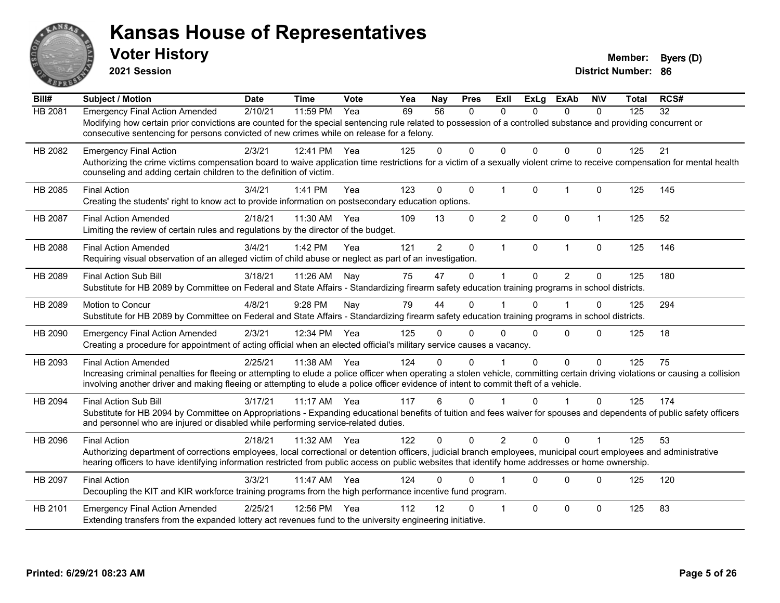

**2021 Session**

| Bill#   | <b>Subject / Motion</b>                                                                                                                                                         | <b>Date</b> | <b>Time</b> | Vote | Yea | <b>Nay</b>     | <b>Pres</b>  | <b>ExII</b>             | <b>ExLg</b>  | <b>ExAb</b>    | <b>NIV</b>   | Total | RCS# |
|---------|---------------------------------------------------------------------------------------------------------------------------------------------------------------------------------|-------------|-------------|------|-----|----------------|--------------|-------------------------|--------------|----------------|--------------|-------|------|
| HB 2081 | <b>Emergency Final Action Amended</b>                                                                                                                                           | 2/10/21     | 11:59 PM    | Yea  | 69  | 56             | $\mathbf{0}$ | 0                       | 0            | 0              | $\mathbf{0}$ | 125   | 32   |
|         | Modifying how certain prior convictions are counted for the special sentencing rule related to possession of a controlled substance and providing concurrent or                 |             |             |      |     |                |              |                         |              |                |              |       |      |
|         | consecutive sentencing for persons convicted of new crimes while on release for a felony.                                                                                       |             |             |      |     |                |              |                         |              |                |              |       |      |
| HB 2082 | <b>Emergency Final Action</b>                                                                                                                                                   | 2/3/21      | 12:41 PM    | Yea  | 125 | $\Omega$       | $\Omega$     | $\Omega$                | $\Omega$     | $\mathbf{0}$   | $\Omega$     | 125   | 21   |
|         | Authorizing the crime victims compensation board to waive application time restrictions for a victim of a sexually violent crime to receive compensation for mental health      |             |             |      |     |                |              |                         |              |                |              |       |      |
|         | counseling and adding certain children to the definition of victim.                                                                                                             |             |             |      |     |                |              |                         |              |                |              |       |      |
| HB 2085 | <b>Final Action</b>                                                                                                                                                             | 3/4/21      | 1:41 PM     | Yea  | 123 | $\Omega$       | $\mathbf 0$  | $\mathbf{1}$            | $\mathbf{0}$ | $\mathbf{1}$   | $\mathbf{0}$ | 125   | 145  |
|         | Creating the students' right to know act to provide information on postsecondary education options.                                                                             |             |             |      |     |                |              |                         |              |                |              |       |      |
| HB 2087 | <b>Final Action Amended</b>                                                                                                                                                     | 2/18/21     | 11:30 AM    | Yea  | 109 | 13             | 0            | $\overline{2}$          | $\mathbf 0$  | 0              | $\mathbf{1}$ | 125   | 52   |
|         | Limiting the review of certain rules and regulations by the director of the budget.                                                                                             |             |             |      |     |                |              |                         |              |                |              |       |      |
| HB 2088 | <b>Final Action Amended</b>                                                                                                                                                     | 3/4/21      | 1:42 PM     | Yea  | 121 | $\overline{2}$ | $\pmb{0}$    | $\mathbf{1}$            | 0            | $\mathbf{1}$   | 0            | 125   | 146  |
|         | Requiring visual observation of an alleged victim of child abuse or neglect as part of an investigation.                                                                        |             |             |      |     |                |              |                         |              |                |              |       |      |
|         |                                                                                                                                                                                 |             |             |      |     |                |              |                         |              |                |              |       |      |
| HB 2089 | <b>Final Action Sub Bill</b>                                                                                                                                                    | 3/18/21     | 11:26 AM    | Nav  | 75  | 47             | $\mathbf 0$  |                         | 0            | $\overline{2}$ | 0            | 125   | 180  |
|         | Substitute for HB 2089 by Committee on Federal and State Affairs - Standardizing firearm safety education training programs in school districts.                                |             |             |      |     |                |              |                         |              |                |              |       |      |
| HB 2089 | <b>Motion to Concur</b>                                                                                                                                                         | 4/8/21      | 9:28 PM     | Nay  | 79  | 44             | $\Omega$     |                         | 0            |                | 0            | 125   | 294  |
|         | Substitute for HB 2089 by Committee on Federal and State Affairs - Standardizing firearm safety education training programs in school districts.                                |             |             |      |     |                |              |                         |              |                |              |       |      |
| HB 2090 | <b>Emergency Final Action Amended</b>                                                                                                                                           | 2/3/21      | 12:34 PM    | Yea  | 125 | 0              | 0            | $\Omega$                | 0            | $\Omega$       | $\Omega$     | 125   | 18   |
|         | Creating a procedure for appointment of acting official when an elected official's military service causes a vacancy.                                                           |             |             |      |     |                |              |                         |              |                |              |       |      |
| HB 2093 | <b>Final Action Amended</b>                                                                                                                                                     | 2/25/21     | 11:38 AM    | Yea  | 124 | $\Omega$       | $\Omega$     |                         | $\Omega$     | $\Omega$       | $\mathbf{0}$ | 125   | 75   |
|         | Increasing criminal penalties for fleeing or attempting to elude a police officer when operating a stolen vehicle, committing certain driving violations or causing a collision |             |             |      |     |                |              |                         |              |                |              |       |      |
|         | involving another driver and making fleeing or attempting to elude a police officer evidence of intent to commit theft of a vehicle.                                            |             |             |      |     |                |              |                         |              |                |              |       |      |
| HB 2094 | <b>Final Action Sub Bill</b>                                                                                                                                                    | 3/17/21     | $11:17$ AM  | Yea  | 117 | 6              | $\mathbf{0}$ |                         | $\Omega$     |                | $\Omega$     | 125   | 174  |
|         | Substitute for HB 2094 by Committee on Appropriations - Expanding educational benefits of tuition and fees waiver for spouses and dependents of public safety officers          |             |             |      |     |                |              |                         |              |                |              |       |      |
|         | and personnel who are injured or disabled while performing service-related duties.                                                                                              |             |             |      |     |                |              |                         |              |                |              |       |      |
| HB 2096 | <b>Final Action</b>                                                                                                                                                             | 2/18/21     | 11:32 AM    | Yea  | 122 | 0              | $\Omega$     | $\overline{2}$          | $\Omega$     | $\Omega$       |              | 125   | 53   |
|         | Authorizing department of corrections employees, local correctional or detention officers, judicial branch employees, municipal court employees and administrative              |             |             |      |     |                |              |                         |              |                |              |       |      |
|         | hearing officers to have identifying information restricted from public access on public websites that identify home addresses or home ownership.                               |             |             |      |     |                |              |                         |              |                |              |       |      |
| HB 2097 | <b>Final Action</b>                                                                                                                                                             | 3/3/21      | 11:47 AM    | Yea  | 124 | $\Omega$       | $\Omega$     |                         | $\Omega$     | $\Omega$       | $\Omega$     | 125   | 120  |
|         | Decoupling the KIT and KIR workforce training programs from the high performance incentive fund program.                                                                        |             |             |      |     |                |              |                         |              |                |              |       |      |
|         |                                                                                                                                                                                 |             |             |      |     |                |              |                         |              |                |              |       |      |
| HB 2101 | <b>Emergency Final Action Amended</b>                                                                                                                                           | 2/25/21     | 12:56 PM    | Yea  | 112 | 12             | 0            | $\overline{\mathbf{1}}$ | $\Omega$     | 0              | $\mathbf{0}$ | 125   | 83   |
|         | Extending transfers from the expanded lottery act revenues fund to the university engineering initiative.                                                                       |             |             |      |     |                |              |                         |              |                |              |       |      |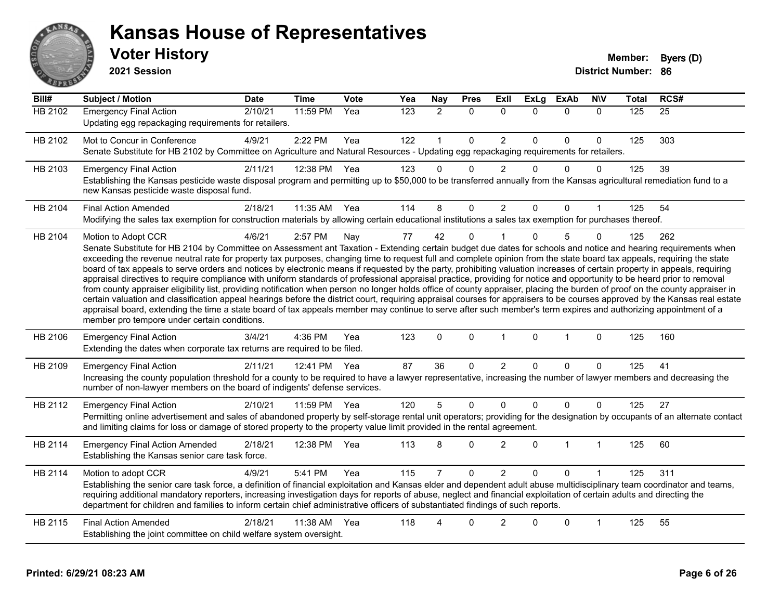

#### **Voter History Member: Byers** (D) **Kansas House of Representatives**

**2021 Session**

| Bill#          | Subject / Motion                                                                                                                                                                                                                                                                                                                                                                                                                                                                                                                                                                                                                                                                                                                                                                                                                                                                                                                                                                                                                                                                                                                                                                                                                                                                                            | <b>Date</b> | <b>Time</b>  | <b>Vote</b> | Yea | <b>Nay</b>     | <b>Pres</b>  | Exll           | <b>ExLg</b>  | <b>ExAb</b>  | <b>NIV</b>   | <b>Total</b> | RCS# |
|----------------|-------------------------------------------------------------------------------------------------------------------------------------------------------------------------------------------------------------------------------------------------------------------------------------------------------------------------------------------------------------------------------------------------------------------------------------------------------------------------------------------------------------------------------------------------------------------------------------------------------------------------------------------------------------------------------------------------------------------------------------------------------------------------------------------------------------------------------------------------------------------------------------------------------------------------------------------------------------------------------------------------------------------------------------------------------------------------------------------------------------------------------------------------------------------------------------------------------------------------------------------------------------------------------------------------------------|-------------|--------------|-------------|-----|----------------|--------------|----------------|--------------|--------------|--------------|--------------|------|
| <b>HB 2102</b> | <b>Emergency Final Action</b><br>Updating egg repackaging requirements for retailers.                                                                                                                                                                                                                                                                                                                                                                                                                                                                                                                                                                                                                                                                                                                                                                                                                                                                                                                                                                                                                                                                                                                                                                                                                       | 2/10/21     | 11:59 PM     | Yea         | 123 | $\overline{2}$ | $\mathbf 0$  | $\Omega$       | $\Omega$     | $\mathbf{0}$ | $\mathbf{0}$ | 125          | 25   |
| HB 2102        | Mot to Concur in Conference<br>Senate Substitute for HB 2102 by Committee on Agriculture and Natural Resources - Updating egg repackaging requirements for retailers.                                                                                                                                                                                                                                                                                                                                                                                                                                                                                                                                                                                                                                                                                                                                                                                                                                                                                                                                                                                                                                                                                                                                       | 4/9/21      | 2:22 PM      | Yea         | 122 | 1              | $\Omega$     | $\overline{2}$ | $\Omega$     | $\mathbf{0}$ | $\Omega$     | 125          | 303  |
| HB 2103        | <b>Emergency Final Action</b><br>Establishing the Kansas pesticide waste disposal program and permitting up to \$50,000 to be transferred annually from the Kansas agricultural remediation fund to a<br>new Kansas pesticide waste disposal fund.                                                                                                                                                                                                                                                                                                                                                                                                                                                                                                                                                                                                                                                                                                                                                                                                                                                                                                                                                                                                                                                          | 2/11/21     | 12:38 PM     | Yea         | 123 | $\Omega$       | $\Omega$     | $\overline{2}$ | $\Omega$     | $\mathbf{0}$ | $\Omega$     | 125          | 39   |
| HB 2104        | <b>Final Action Amended</b><br>Modifying the sales tax exemption for construction materials by allowing certain educational institutions a sales tax exemption for purchases thereof.                                                                                                                                                                                                                                                                                                                                                                                                                                                                                                                                                                                                                                                                                                                                                                                                                                                                                                                                                                                                                                                                                                                       | 2/18/21     | 11:35 AM Yea |             | 114 | 8              | 0            | $\overline{2}$ | 0            | $\mathbf{0}$ |              | 125          | 54   |
| HB 2104        | Motion to Adopt CCR<br>Senate Substitute for HB 2104 by Committee on Assessment ant Taxation - Extending certain budget due dates for schools and notice and hearing requirements when<br>exceeding the revenue neutral rate for property tax purposes, changing time to request full and complete opinion from the state board tax appeals, requiring the state<br>board of tax appeals to serve orders and notices by electronic means if requested by the party, prohibiting valuation increases of certain property in appeals, requiring<br>appraisal directives to require compliance with uniform standards of professional appraisal practice, providing for notice and opportunity to be heard prior to removal<br>from county appraiser eligibility list, providing notification when person no longer holds office of county appraiser, placing the burden of proof on the county appraiser in<br>certain valuation and classification appeal hearings before the district court, requiring appraisal courses for appraisers to be courses approved by the Kansas real estate<br>appraisal board, extending the time a state board of tax appeals member may continue to serve after such member's term expires and authorizing appointment of a<br>member pro tempore under certain conditions. | 4/6/21      | 2:57 PM      | Nay         | 77  | 42             | $\mathbf{0}$ |                | $\Omega$     | 5            | 0            | 125          | 262  |
| HB 2106        | <b>Emergency Final Action</b><br>Extending the dates when corporate tax returns are required to be filed.                                                                                                                                                                                                                                                                                                                                                                                                                                                                                                                                                                                                                                                                                                                                                                                                                                                                                                                                                                                                                                                                                                                                                                                                   | 3/4/21      | 4:36 PM      | Yea         | 123 | $\mathbf 0$    | $\pmb{0}$    | $\mathbf{1}$   | $\Omega$     | $\mathbf{1}$ | $\mathbf 0$  | 125          | 160  |
| HB 2109        | <b>Emergency Final Action</b><br>Increasing the county population threshold for a county to be required to have a lawyer representative, increasing the number of lawyer members and decreasing the<br>number of non-lawyer members on the board of indigents' defense services.                                                                                                                                                                                                                                                                                                                                                                                                                                                                                                                                                                                                                                                                                                                                                                                                                                                                                                                                                                                                                            | 2/11/21     | 12:41 PM     | Yea         | 87  | 36             | $\mathbf 0$  | $\overline{2}$ | $\mathbf{0}$ | 0            | $\Omega$     | 125          | 41   |
| HB 2112        | <b>Emergency Final Action</b><br>Permitting online advertisement and sales of abandoned property by self-storage rental unit operators; providing for the designation by occupants of an alternate contact<br>and limiting claims for loss or damage of stored property to the property value limit provided in the rental agreement.                                                                                                                                                                                                                                                                                                                                                                                                                                                                                                                                                                                                                                                                                                                                                                                                                                                                                                                                                                       | 2/10/21     | 11:59 PM     | Yea         | 120 | 5              | $\pmb{0}$    | 0              | $\Omega$     | $\pmb{0}$    | $\Omega$     | 125          | 27   |
| HB 2114        | <b>Emergency Final Action Amended</b><br>Establishing the Kansas senior care task force.                                                                                                                                                                                                                                                                                                                                                                                                                                                                                                                                                                                                                                                                                                                                                                                                                                                                                                                                                                                                                                                                                                                                                                                                                    | 2/18/21     | 12:38 PM     | Yea         | 113 | 8              | $\Omega$     | $\overline{2}$ | $\Omega$     | $\mathbf 1$  | $\mathbf{1}$ | 125          | 60   |
| HB 2114        | Motion to adopt CCR<br>Establishing the senior care task force, a definition of financial exploitation and Kansas elder and dependent adult abuse multidisciplinary team coordinator and teams,<br>requiring additional mandatory reporters, increasing investigation days for reports of abuse, neglect and financial exploitation of certain adults and directing the<br>department for children and families to inform certain chief administrative officers of substantiated findings of such reports.                                                                                                                                                                                                                                                                                                                                                                                                                                                                                                                                                                                                                                                                                                                                                                                                  | 4/9/21      | 5:41 PM      | Yea         | 115 |                | $\Omega$     | $\overline{2}$ | $\Omega$     | $\Omega$     |              | 125          | 311  |
| HB 2115        | <b>Final Action Amended</b><br>Establishing the joint committee on child welfare system oversight.                                                                                                                                                                                                                                                                                                                                                                                                                                                                                                                                                                                                                                                                                                                                                                                                                                                                                                                                                                                                                                                                                                                                                                                                          | 2/18/21     | 11:38 AM     | Yea         | 118 |                | 0            | $\overline{2}$ | $\Omega$     | 0            | 1            | 125          | 55   |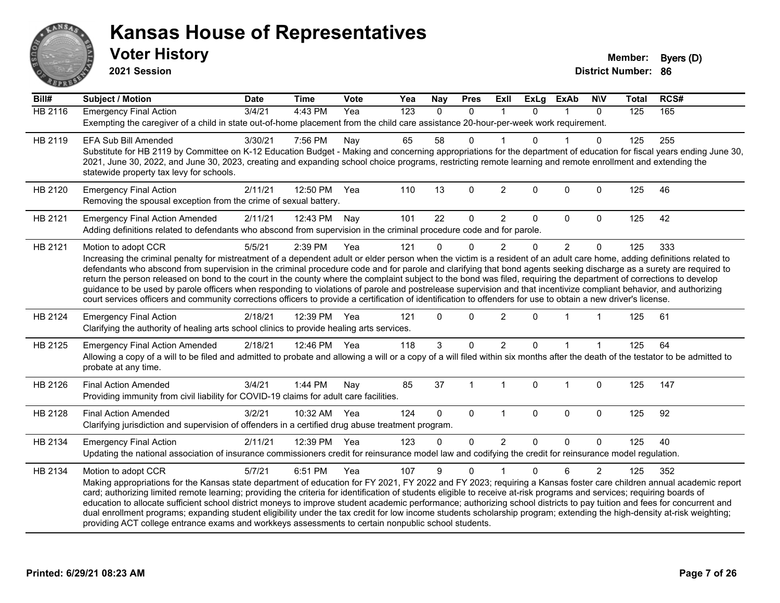

**2021 Session**

| Bill#          | <b>Subject / Motion</b>                                                                                                                                                                                                                                                                                                                        | <b>Date</b> | <b>Time</b>  | <b>Vote</b> | Yea              | <b>Nay</b>   | <b>Pres</b>  | Exll           | <b>ExLg</b> | <b>ExAb</b>    | <b>NIV</b>  | <b>Total</b> | RCS# |  |
|----------------|------------------------------------------------------------------------------------------------------------------------------------------------------------------------------------------------------------------------------------------------------------------------------------------------------------------------------------------------|-------------|--------------|-------------|------------------|--------------|--------------|----------------|-------------|----------------|-------------|--------------|------|--|
| <b>HB 2116</b> | <b>Emergency Final Action</b>                                                                                                                                                                                                                                                                                                                  | 3/4/21      | 4:43 PM      | Yea         | $\overline{123}$ | $\mathbf{0}$ | $\mathbf{0}$ | $\mathbf 1$    | $\Omega$    | 1              | $\Omega$    | 125          | 165  |  |
|                | Exempting the caregiver of a child in state out-of-home placement from the child care assistance 20-hour-per-week work requirement.                                                                                                                                                                                                            |             |              |             |                  |              |              |                |             |                |             |              |      |  |
| HB 2119        | EFA Sub Bill Amended                                                                                                                                                                                                                                                                                                                           | 3/30/21     | 7:56 PM      | Nay         | 65               | 58           | $\mathbf 0$  |                | $\Omega$    |                | $\Omega$    | 125          | 255  |  |
|                | Substitute for HB 2119 by Committee on K-12 Education Budget - Making and concerning appropriations for the department of education for fiscal years ending June 30,                                                                                                                                                                           |             |              |             |                  |              |              |                |             |                |             |              |      |  |
|                | 2021, June 30, 2022, and June 30, 2023, creating and expanding school choice programs, restricting remote learning and remote enrollment and extending the                                                                                                                                                                                     |             |              |             |                  |              |              |                |             |                |             |              |      |  |
|                | statewide property tax levy for schools.                                                                                                                                                                                                                                                                                                       |             |              |             |                  |              |              |                |             |                |             |              |      |  |
| HB 2120        | <b>Emergency Final Action</b>                                                                                                                                                                                                                                                                                                                  | 2/11/21     | 12:50 PM     | Yea         | 110              | 13           | $\mathbf 0$  | $\overline{2}$ | $\mathbf 0$ | $\mathbf 0$    | $\mathbf 0$ | 125          | 46   |  |
|                | Removing the spousal exception from the crime of sexual battery.                                                                                                                                                                                                                                                                               |             |              |             |                  |              |              |                |             |                |             |              |      |  |
| HB 2121        | <b>Emergency Final Action Amended</b>                                                                                                                                                                                                                                                                                                          | 2/11/21     | 12:43 PM     | Nay         | 101              | 22           | 0            | $\overline{c}$ | $\mathbf 0$ | 0              | $\mathbf 0$ | 125          | 42   |  |
|                | Adding definitions related to defendants who abscond from supervision in the criminal procedure code and for parole.                                                                                                                                                                                                                           |             |              |             |                  |              |              |                |             |                |             |              |      |  |
| HB 2121        | Motion to adopt CCR                                                                                                                                                                                                                                                                                                                            | 5/5/21      | 2:39 PM      | Yea         | 121              | $\Omega$     | $\mathbf 0$  | 2              | $\Omega$    | $\overline{2}$ | $\mathbf 0$ | 125          | 333  |  |
|                | Increasing the criminal penalty for mistreatment of a dependent adult or elder person when the victim is a resident of an adult care home, adding definitions related to                                                                                                                                                                       |             |              |             |                  |              |              |                |             |                |             |              |      |  |
|                | defendants who abscond from supervision in the criminal procedure code and for parole and clarifying that bond agents seeking discharge as a surety are required to                                                                                                                                                                            |             |              |             |                  |              |              |                |             |                |             |              |      |  |
|                | return the person released on bond to the court in the county where the complaint subject to the bond was filed, requiring the department of corrections to develop                                                                                                                                                                            |             |              |             |                  |              |              |                |             |                |             |              |      |  |
|                | guidance to be used by parole officers when responding to violations of parole and postrelease supervision and that incentivize compliant behavior, and authorizing<br>court services officers and community corrections officers to provide a certification of identification to offenders for use to obtain a new driver's license.          |             |              |             |                  |              |              |                |             |                |             |              |      |  |
|                |                                                                                                                                                                                                                                                                                                                                                |             |              |             |                  |              |              |                |             |                |             |              |      |  |
| HB 2124        | <b>Emergency Final Action</b>                                                                                                                                                                                                                                                                                                                  | 2/18/21     | 12:39 PM     | Yea         | 121              | $\Omega$     | $\mathbf{0}$ | 2              | $\Omega$    |                |             | 125          | 61   |  |
|                | Clarifying the authority of healing arts school clinics to provide healing arts services.                                                                                                                                                                                                                                                      |             |              |             |                  |              |              |                |             |                |             |              |      |  |
| HB 2125        | <b>Emergency Final Action Amended</b>                                                                                                                                                                                                                                                                                                          | 2/18/21     | 12:46 PM Yea |             | 118              | 3            | $\mathbf 0$  | $\overline{2}$ | $\Omega$    |                |             | 125          | 64   |  |
|                | Allowing a copy of a will to be filed and admitted to probate and allowing a will or a copy of a will filed within six months after the death of the testator to be admitted to                                                                                                                                                                |             |              |             |                  |              |              |                |             |                |             |              |      |  |
|                | probate at any time.                                                                                                                                                                                                                                                                                                                           |             |              |             |                  |              |              |                |             |                |             |              |      |  |
| HB 2126        | <b>Final Action Amended</b>                                                                                                                                                                                                                                                                                                                    | 3/4/21      | 1:44 PM      | Nay         | 85               | 37           | 1            | $\mathbf{1}$   | $\mathbf 0$ | $\mathbf 1$    | $\pmb{0}$   | 125          | 147  |  |
|                | Providing immunity from civil liability for COVID-19 claims for adult care facilities.                                                                                                                                                                                                                                                         |             |              |             |                  |              |              |                |             |                |             |              |      |  |
| HB 2128        | <b>Final Action Amended</b>                                                                                                                                                                                                                                                                                                                    | 3/2/21      | 10:32 AM     | Yea         | 124              | $\Omega$     | $\mathbf{0}$ | $\overline{1}$ | $\Omega$    | $\mathbf{0}$   | $\mathbf 0$ | 125          | 92   |  |
|                | Clarifying jurisdiction and supervision of offenders in a certified drug abuse treatment program.                                                                                                                                                                                                                                              |             |              |             |                  |              |              |                |             |                |             |              |      |  |
| HB 2134        | <b>Emergency Final Action</b>                                                                                                                                                                                                                                                                                                                  | 2/11/21     | 12:39 PM     | Yea         | 123              | $\Omega$     | 0            | $\overline{2}$ | $\Omega$    | $\Omega$       | $\mathbf 0$ | 125          | 40   |  |
|                | Updating the national association of insurance commissioners credit for reinsurance model law and codifying the credit for reinsurance model regulation.                                                                                                                                                                                       |             |              |             |                  |              |              |                |             |                |             |              |      |  |
|                |                                                                                                                                                                                                                                                                                                                                                |             |              |             |                  |              | $\Omega$     |                | $\Omega$    | 6              |             |              | 352  |  |
| HB 2134        | Motion to adopt CCR                                                                                                                                                                                                                                                                                                                            | 5/7/21      | 6:51 PM      | Yea         | 107              | 9            |              |                |             |                | 2           | 125          |      |  |
|                | Making appropriations for the Kansas state department of education for FY 2021, FY 2022 and FY 2023; requiring a Kansas foster care children annual academic report<br>card; authorizing limited remote learning; providing the criteria for identification of students eligible to receive at-risk programs and services; requiring boards of |             |              |             |                  |              |              |                |             |                |             |              |      |  |
|                | education to allocate sufficient school district moneys to improve student academic performance; authorizing school districts to pay tuition and fees for concurrent and                                                                                                                                                                       |             |              |             |                  |              |              |                |             |                |             |              |      |  |
|                | dual enrollment programs; expanding student eligibility under the tax credit for low income students scholarship program; extending the high-density at-risk weighting;                                                                                                                                                                        |             |              |             |                  |              |              |                |             |                |             |              |      |  |
|                | providing ACT college entrance exams and workkeys assessments to certain nonpublic school students.                                                                                                                                                                                                                                            |             |              |             |                  |              |              |                |             |                |             |              |      |  |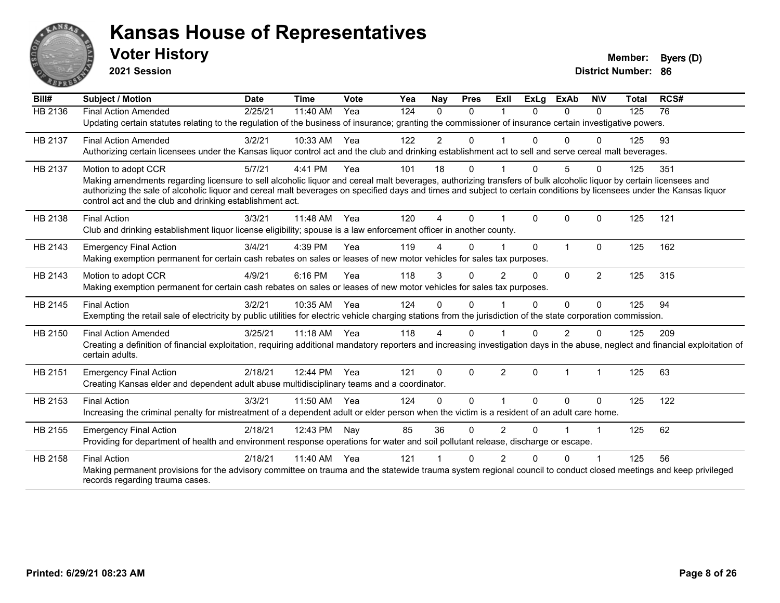

**2021 Session**

| Bill#          | <b>Subject / Motion</b>                                                                                                                                                                                                           | <b>Date</b> | <b>Time</b> | Vote | Yea | Nay            | <b>Pres</b>  | ExII           | <b>ExLg</b>  | <b>ExAb</b>    | <b>NIV</b>           | <b>Total</b> | RCS# |
|----------------|-----------------------------------------------------------------------------------------------------------------------------------------------------------------------------------------------------------------------------------|-------------|-------------|------|-----|----------------|--------------|----------------|--------------|----------------|----------------------|--------------|------|
| <b>HB 2136</b> | <b>Final Action Amended</b>                                                                                                                                                                                                       | 2/25/21     | 11:40 AM    | Yea  | 124 | $\Omega$       | $\Omega$     |                | $\Omega$     | $\Omega$       | $\Omega$             | 125          | 76   |
|                | Updating certain statutes relating to the regulation of the business of insurance; granting the commissioner of insurance certain investigative powers.                                                                           |             |             |      |     |                |              |                |              |                |                      |              |      |
| HB 2137        | <b>Final Action Amended</b>                                                                                                                                                                                                       | 3/2/21      | 10:33 AM    | Yea  | 122 | $\overline{2}$ | 0            |                | 0            | $\Omega$       | $\Omega$             | 125          | 93   |
|                | Authorizing certain licensees under the Kansas liquor control act and the club and drinking establishment act to sell and serve cereal malt beverages.                                                                            |             |             |      |     |                |              |                |              |                |                      |              |      |
| HB 2137        | Motion to adopt CCR                                                                                                                                                                                                               | 5/7/21      | 4:41 PM     | Yea  | 101 | 18             | $\mathbf 0$  |                | $\Omega$     | 5              | $\Omega$             | 125          | 351  |
|                | Making amendments regarding licensure to sell alcoholic liquor and cereal malt beverages, authorizing transfers of bulk alcoholic liquor by certain licensees and                                                                 |             |             |      |     |                |              |                |              |                |                      |              |      |
|                | authorizing the sale of alcoholic liquor and cereal malt beverages on specified days and times and subject to certain conditions by licensees under the Kansas liquor<br>control act and the club and drinking establishment act. |             |             |      |     |                |              |                |              |                |                      |              |      |
|                |                                                                                                                                                                                                                                   |             |             |      |     |                |              |                |              |                |                      |              |      |
| HB 2138        | <b>Final Action</b>                                                                                                                                                                                                               | 3/3/21      | 11:48 AM    | Yea  | 120 | $\overline{A}$ | $\Omega$     |                | $\Omega$     | $\Omega$       | $\mathbf{0}$         | 125          | 121  |
|                | Club and drinking establishment liquor license eligibility; spouse is a law enforcement officer in another county.                                                                                                                |             |             |      |     |                |              |                |              |                |                      |              |      |
| HB 2143        | <b>Emergency Final Action</b>                                                                                                                                                                                                     | 3/4/21      | 4:39 PM     | Yea  | 119 |                | $\Omega$     |                | $\Omega$     | 1              | $\Omega$             | 125          | 162  |
|                | Making exemption permanent for certain cash rebates on sales or leases of new motor vehicles for sales tax purposes.                                                                                                              |             |             |      |     |                |              |                |              |                |                      |              |      |
| HB 2143        | Motion to adopt CCR                                                                                                                                                                                                               | 4/9/21      | 6:16 PM     | Yea  | 118 | 3              | $\Omega$     | $\overline{2}$ | $\Omega$     | $\Omega$       | $\overline{2}$       | 125          | 315  |
|                | Making exemption permanent for certain cash rebates on sales or leases of new motor vehicles for sales tax purposes.                                                                                                              |             |             |      |     |                |              |                |              |                |                      |              |      |
| HB 2145        | <b>Final Action</b>                                                                                                                                                                                                               | 3/2/21      | 10:35 AM    | Yea  | 124 | $\Omega$       | $\Omega$     |                | 0            | $\Omega$       | $\Omega$             | 125          | 94   |
|                | Exempting the retail sale of electricity by public utilities for electric vehicle charging stations from the jurisdiction of the state corporation commission.                                                                    |             |             |      |     |                |              |                |              |                |                      |              |      |
| HB 2150        | <b>Final Action Amended</b>                                                                                                                                                                                                       | 3/25/21     | $11:18$ AM  | Yea  | 118 | 4              | $\Omega$     |                | 0            | 2              | $\Omega$             | 125          | 209  |
|                | Creating a definition of financial exploitation, requiring additional mandatory reporters and increasing investigation days in the abuse, neglect and financial exploitation of                                                   |             |             |      |     |                |              |                |              |                |                      |              |      |
|                | certain adults.                                                                                                                                                                                                                   |             |             |      |     |                |              |                |              |                |                      |              |      |
| HB 2151        | <b>Emergency Final Action</b>                                                                                                                                                                                                     | 2/18/21     | 12:44 PM    | Yea  | 121 | $\Omega$       | $\mathbf{0}$ | 2              | $\mathbf{0}$ | $\overline{1}$ | $\blacktriangleleft$ | 125          | 63   |
|                | Creating Kansas elder and dependent adult abuse multidisciplinary teams and a coordinator.                                                                                                                                        |             |             |      |     |                |              |                |              |                |                      |              |      |
| HB 2153        | <b>Final Action</b>                                                                                                                                                                                                               | 3/3/21      | 11:50 AM    | Yea  | 124 | 0              | $\Omega$     |                | $\Omega$     | $\Omega$       | $\mathbf{0}$         | 125          | 122  |
|                | Increasing the criminal penalty for mistreatment of a dependent adult or elder person when the victim is a resident of an adult care home.                                                                                        |             |             |      |     |                |              |                |              |                |                      |              |      |
| HB 2155        | <b>Emergency Final Action</b>                                                                                                                                                                                                     | 2/18/21     | 12:43 PM    | Nay  | 85  | 36             | $\Omega$     | $\overline{2}$ | $\Omega$     |                | $\blacktriangleleft$ | 125          | 62   |
|                | Providing for department of health and environment response operations for water and soil pollutant release, discharge or escape.                                                                                                 |             |             |      |     |                |              |                |              |                |                      |              |      |
| HB 2158        | <b>Final Action</b>                                                                                                                                                                                                               | 2/18/21     | 11:40 AM    | Yea  | 121 |                | $\Omega$     | 2              | U            | $\Omega$       |                      | 125          | 56   |
|                | Making permanent provisions for the advisory committee on trauma and the statewide trauma system regional council to conduct closed meetings and keep privileged                                                                  |             |             |      |     |                |              |                |              |                |                      |              |      |
|                | records regarding trauma cases.                                                                                                                                                                                                   |             |             |      |     |                |              |                |              |                |                      |              |      |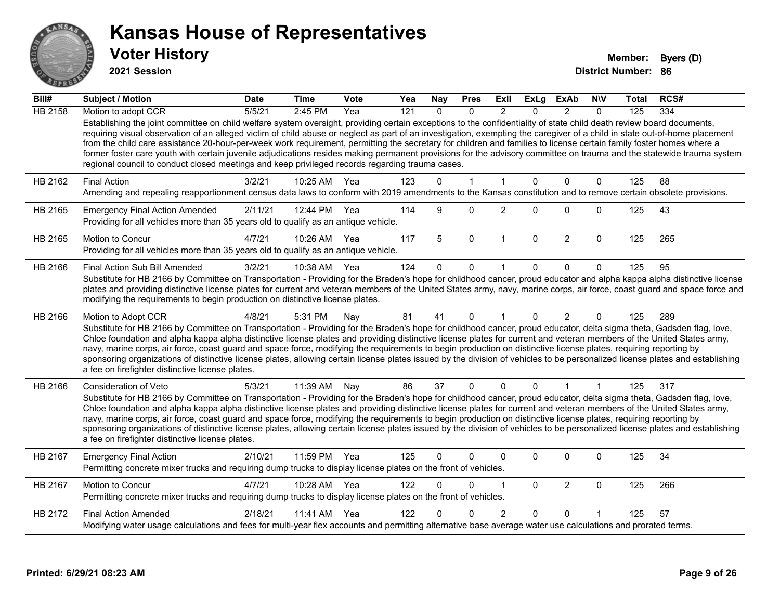

**2021 Session**

| Bill#          | <b>Subject / Motion</b>                                                                                                                                                                                                                                                                                                                                                                                                                                                                                                                                                                                                                                                                                                                                                                               | <b>Date</b> | <b>Time</b> | Vote | Yea | <b>Nay</b>   | <b>Pres</b>  | ExII           | <b>ExLg</b>  | <b>ExAb</b>    | <b>NIV</b>     | Total | RCS# |
|----------------|-------------------------------------------------------------------------------------------------------------------------------------------------------------------------------------------------------------------------------------------------------------------------------------------------------------------------------------------------------------------------------------------------------------------------------------------------------------------------------------------------------------------------------------------------------------------------------------------------------------------------------------------------------------------------------------------------------------------------------------------------------------------------------------------------------|-------------|-------------|------|-----|--------------|--------------|----------------|--------------|----------------|----------------|-------|------|
| <b>HB 2158</b> | Motion to adopt CCR                                                                                                                                                                                                                                                                                                                                                                                                                                                                                                                                                                                                                                                                                                                                                                                   | 5/5/21      | 2:45 PM     | Yea  | 121 | $\Omega$     | $\Omega$     | $\mathfrak{p}$ | $\Omega$     | $\mathcal{P}$  | $\Omega$       | 125   | 334  |
|                | Establishing the joint committee on child welfare system oversight, providing certain exceptions to the confidentiality of state child death review board documents,<br>requiring visual observation of an alleged victim of child abuse or neglect as part of an investigation, exempting the caregiver of a child in state out-of-home placement<br>from the child care assistance 20-hour-per-week work requirement, permitting the secretary for children and families to license certain family foster homes where a<br>former foster care youth with certain juvenile adjudications resides making permanent provisions for the advisory committee on trauma and the statewide trauma system<br>regional council to conduct closed meetings and keep privileged records regarding trauma cases. |             |             |      |     |              |              |                |              |                |                |       |      |
| HB 2162        | <b>Final Action</b>                                                                                                                                                                                                                                                                                                                                                                                                                                                                                                                                                                                                                                                                                                                                                                                   | 3/2/21      | 10:25 AM    | Yea  | 123 | $\Omega$     | $\mathbf{1}$ | $\mathbf{1}$   | $\Omega$     | $\mathbf 0$    | $\mathbf{0}$   | 125   | 88   |
|                | Amending and repealing reapportionment census data laws to conform with 2019 amendments to the Kansas constitution and to remove certain obsolete provisions.                                                                                                                                                                                                                                                                                                                                                                                                                                                                                                                                                                                                                                         |             |             |      |     |              |              |                |              |                |                |       |      |
| HB 2165        | <b>Emergency Final Action Amended</b><br>Providing for all vehicles more than 35 years old to qualify as an antique vehicle.                                                                                                                                                                                                                                                                                                                                                                                                                                                                                                                                                                                                                                                                          | 2/11/21     | 12:44 PM    | Yea  | 114 | 9            | $\Omega$     | $\overline{2}$ | $\Omega$     | $\Omega$       | $\mathbf 0$    | 125   | 43   |
| HB 2165        | Motion to Concur<br>Providing for all vehicles more than 35 years old to qualify as an antique vehicle.                                                                                                                                                                                                                                                                                                                                                                                                                                                                                                                                                                                                                                                                                               | 4/7/21      | 10:26 AM    | Yea  | 117 | 5            | $\mathbf 0$  | $\mathbf{1}$   | $\mathbf 0$  | $\overline{2}$ | $\mathbf 0$    | 125   | 265  |
| HB 2166        | Final Action Sub Bill Amended                                                                                                                                                                                                                                                                                                                                                                                                                                                                                                                                                                                                                                                                                                                                                                         | 3/2/21      | 10:38 AM    | Yea  | 124 | $\mathbf{0}$ | 0            |                | 0            | $\Omega$       | 0              | 125   | 95   |
|                | Substitute for HB 2166 by Committee on Transportation - Providing for the Braden's hope for childhood cancer, proud educator and alpha kappa alpha distinctive license<br>plates and providing distinctive license plates for current and veteran members of the United States army, navy, marine corps, air force, coast guard and space force and<br>modifying the requirements to begin production on distinctive license plates.                                                                                                                                                                                                                                                                                                                                                                  |             |             |      |     |              |              |                |              |                |                |       |      |
| HB 2166        | Motion to Adopt CCR                                                                                                                                                                                                                                                                                                                                                                                                                                                                                                                                                                                                                                                                                                                                                                                   | 4/8/21      | 5:31 PM     | Nay  | 81  | 41           | $\Omega$     | 1              | $\Omega$     | $\overline{2}$ | $\Omega$       | 125   | 289  |
|                | Substitute for HB 2166 by Committee on Transportation - Providing for the Braden's hope for childhood cancer, proud educator, delta sigma theta, Gadsden flag, love,<br>Chloe foundation and alpha kappa alpha distinctive license plates and providing distinctive license plates for current and veteran members of the United States army,<br>navy, marine corps, air force, coast guard and space force, modifying the requirements to begin production on distinctive license plates, requiring reporting by<br>sponsoring organizations of distinctive license plates, allowing certain license plates issued by the division of vehicles to be personalized license plates and establishing<br>a fee on firefighter distinctive license plates.                                                |             |             |      |     |              |              |                |              |                |                |       |      |
| HB 2166        | Consideration of Veto                                                                                                                                                                                                                                                                                                                                                                                                                                                                                                                                                                                                                                                                                                                                                                                 | 5/3/21      | 11:39 AM    | Nay  | 86  | 37           | 0            | $\Omega$       | $\mathbf{0}$ |                | $\overline{1}$ | 125   | 317  |
|                | Substitute for HB 2166 by Committee on Transportation - Providing for the Braden's hope for childhood cancer, proud educator, delta sigma theta, Gadsden flag, love,<br>Chloe foundation and alpha kappa alpha distinctive license plates and providing distinctive license plates for current and veteran members of the United States army,<br>navy, marine corps, air force, coast guard and space force, modifying the requirements to begin production on distinctive license plates, requiring reporting by<br>sponsoring organizations of distinctive license plates, allowing certain license plates issued by the division of vehicles to be personalized license plates and establishing<br>a fee on firefighter distinctive license plates.                                                |             |             |      |     |              |              |                |              |                |                |       |      |
| HB 2167        | <b>Emergency Final Action</b><br>Permitting concrete mixer trucks and requiring dump trucks to display license plates on the front of vehicles.                                                                                                                                                                                                                                                                                                                                                                                                                                                                                                                                                                                                                                                       | 2/10/21     | 11:59 PM    | Yea  | 125 | $\Omega$     | 0            | 0              | $\Omega$     | $\Omega$       | $\mathbf 0$    | 125   | 34   |
| HB 2167        | Motion to Concur<br>Permitting concrete mixer trucks and requiring dump trucks to display license plates on the front of vehicles.                                                                                                                                                                                                                                                                                                                                                                                                                                                                                                                                                                                                                                                                    | 4/7/21      | 10:28 AM    | Yea  | 122 | $\Omega$     | 0            | 1              | $\Omega$     | $\overline{2}$ | $\mathbf 0$    | 125   | 266  |
| HB 2172        | <b>Final Action Amended</b>                                                                                                                                                                                                                                                                                                                                                                                                                                                                                                                                                                                                                                                                                                                                                                           | 2/18/21     | 11:41 AM    | Yea  | 122 |              | <sup>0</sup> | $\overline{c}$ | 0            | $\Omega$       |                | 125   | 57   |
|                | Modifying water usage calculations and fees for multi-year flex accounts and permitting alternative base average water use calculations and prorated terms.                                                                                                                                                                                                                                                                                                                                                                                                                                                                                                                                                                                                                                           |             |             |      |     |              |              |                |              |                |                |       |      |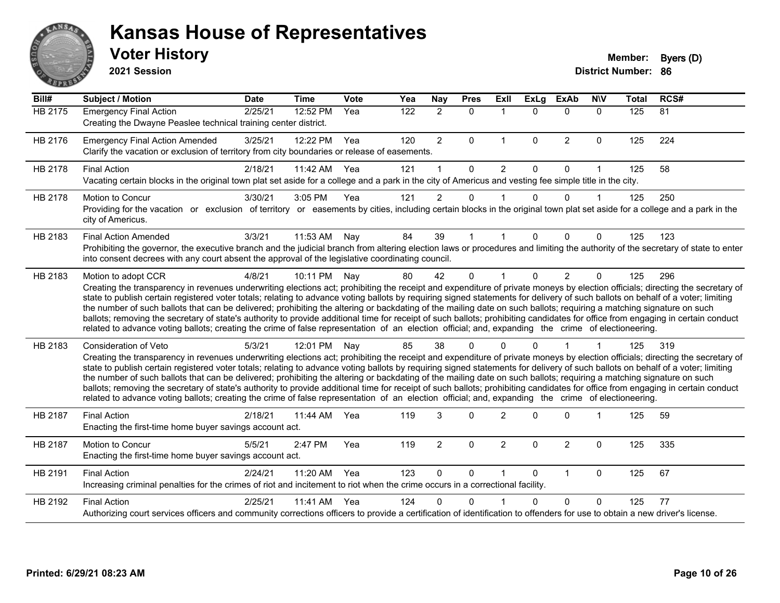

**2021 Session**

| Bill#   | <b>Subject / Motion</b>                                                                                                                                                                                                                                                                                                                                                                                                                                                                                                                                                                                                                                                                                                                                                                                                                                                                                           | <b>Date</b> | <b>Time</b> | Vote | Yea | Nay            | <b>Pres</b> | ExII                 | <b>ExLg</b>  | <b>ExAb</b>    | <b>NIV</b>           | <b>Total</b> | RCS# |
|---------|-------------------------------------------------------------------------------------------------------------------------------------------------------------------------------------------------------------------------------------------------------------------------------------------------------------------------------------------------------------------------------------------------------------------------------------------------------------------------------------------------------------------------------------------------------------------------------------------------------------------------------------------------------------------------------------------------------------------------------------------------------------------------------------------------------------------------------------------------------------------------------------------------------------------|-------------|-------------|------|-----|----------------|-------------|----------------------|--------------|----------------|----------------------|--------------|------|
| HB 2175 | <b>Emergency Final Action</b><br>Creating the Dwayne Peaslee technical training center district.                                                                                                                                                                                                                                                                                                                                                                                                                                                                                                                                                                                                                                                                                                                                                                                                                  | 2/25/21     | 12:52 PM    | Yea  | 122 | $\overline{2}$ | $\mathbf 0$ | $\blacktriangleleft$ | $\Omega$     | $\Omega$       | $\mathbf{0}$         | 125          | 81   |
| HB 2176 | <b>Emergency Final Action Amended</b><br>Clarify the vacation or exclusion of territory from city boundaries or release of easements.                                                                                                                                                                                                                                                                                                                                                                                                                                                                                                                                                                                                                                                                                                                                                                             | 3/25/21     | 12:22 PM    | Yea  | 120 | $\overline{2}$ | $\Omega$    | $\mathbf{1}$         | $\mathbf{0}$ | $\overline{2}$ | $\mathbf 0$          | 125          | 224  |
| HB 2178 | <b>Final Action</b><br>Vacating certain blocks in the original town plat set aside for a college and a park in the city of Americus and vesting fee simple title in the city.                                                                                                                                                                                                                                                                                                                                                                                                                                                                                                                                                                                                                                                                                                                                     | 2/18/21     | 11:42 AM    | Yea  | 121 | $\overline{1}$ | $\Omega$    | $\overline{2}$       | $\Omega$     | $\Omega$       | 1                    | 125          | 58   |
| HB 2178 | Motion to Concur<br>Providing for the vacation or exclusion of territory or easements by cities, including certain blocks in the original town plat set aside for a college and a park in the<br>city of Americus.                                                                                                                                                                                                                                                                                                                                                                                                                                                                                                                                                                                                                                                                                                | 3/30/21     | 3:05 PM     | Yea  | 121 | $\overline{2}$ | $\Omega$    |                      | $\Omega$     | $\Omega$       | $\blacktriangleleft$ | 125          | 250  |
| HB 2183 | <b>Final Action Amended</b><br>Prohibiting the governor, the executive branch and the judicial branch from altering election laws or procedures and limiting the authority of the secretary of state to enter<br>into consent decrees with any court absent the approval of the legislative coordinating council.                                                                                                                                                                                                                                                                                                                                                                                                                                                                                                                                                                                                 | 3/3/21      | 11:53 AM    | Nay  | 84  | 39             |             |                      | $\Omega$     | 0              | 0                    | 125          | 123  |
| HB 2183 | Motion to adopt CCR<br>Creating the transparency in revenues underwriting elections act; prohibiting the receipt and expenditure of private moneys by election officials; directing the secretary of<br>state to publish certain registered voter totals; relating to advance voting ballots by requiring signed statements for delivery of such ballots on behalf of a voter; limiting<br>the number of such ballots that can be delivered; prohibiting the altering or backdating of the mailing date on such ballots; requiring a matching signature on such<br>ballots; removing the secretary of state's authority to provide additional time for receipt of such ballots; prohibiting candidates for office from engaging in certain conduct<br>related to advance voting ballots; creating the crime of false representation of an election official; and, expanding the crime of electioneering.          | 4/8/21      | 10:11 PM    | Nay  | 80  | 42             | $\Omega$    |                      | $\Omega$     | $\overline{2}$ | $\Omega$             | 125          | 296  |
| HB 2183 | <b>Consideration of Veto</b><br>Creating the transparency in revenues underwriting elections act; prohibiting the receipt and expenditure of private moneys by election officials; directing the secretary of<br>state to publish certain registered voter totals; relating to advance voting ballots by requiring signed statements for delivery of such ballots on behalf of a voter; limiting<br>the number of such ballots that can be delivered; prohibiting the altering or backdating of the mailing date on such ballots; requiring a matching signature on such<br>ballots; removing the secretary of state's authority to provide additional time for receipt of such ballots; prohibiting candidates for office from engaging in certain conduct<br>related to advance voting ballots; creating the crime of false representation of an election official; and, expanding the crime of electioneering. | 5/3/21      | 12:01 PM    | Nay  | 85  | 38             | $\Omega$    |                      | U            |                |                      | 125          | 319  |
| HB 2187 | <b>Final Action</b><br>Enacting the first-time home buyer savings account act.                                                                                                                                                                                                                                                                                                                                                                                                                                                                                                                                                                                                                                                                                                                                                                                                                                    | 2/18/21     | 11:44 AM    | Yea  | 119 | 3              | $\Omega$    | $\overline{2}$       | $\Omega$     | $\Omega$       | 1                    | 125          | 59   |
| HB 2187 | <b>Motion to Concur</b><br>Enacting the first-time home buyer savings account act.                                                                                                                                                                                                                                                                                                                                                                                                                                                                                                                                                                                                                                                                                                                                                                                                                                | 5/5/21      | 2:47 PM     | Yea  | 119 | $\overline{2}$ | $\Omega$    | $\overline{2}$       | $\Omega$     | $\overline{2}$ | $\mathbf 0$          | 125          | 335  |
| HB 2191 | <b>Final Action</b><br>Increasing criminal penalties for the crimes of riot and incitement to riot when the crime occurs in a correctional facility.                                                                                                                                                                                                                                                                                                                                                                                                                                                                                                                                                                                                                                                                                                                                                              | 2/24/21     | 11:20 AM    | Yea  | 123 | $\Omega$       | $\Omega$    |                      | $\Omega$     | $\mathbf{1}$   | $\Omega$             | 125          | 67   |
| HB 2192 | <b>Final Action</b><br>Authorizing court services officers and community corrections officers to provide a certification of identification to offenders for use to obtain a new driver's license.                                                                                                                                                                                                                                                                                                                                                                                                                                                                                                                                                                                                                                                                                                                 | 2/25/21     | 11:41 AM    | Yea  | 124 | n              | U           |                      | U            | $\Omega$       | 0                    | 125          | 77   |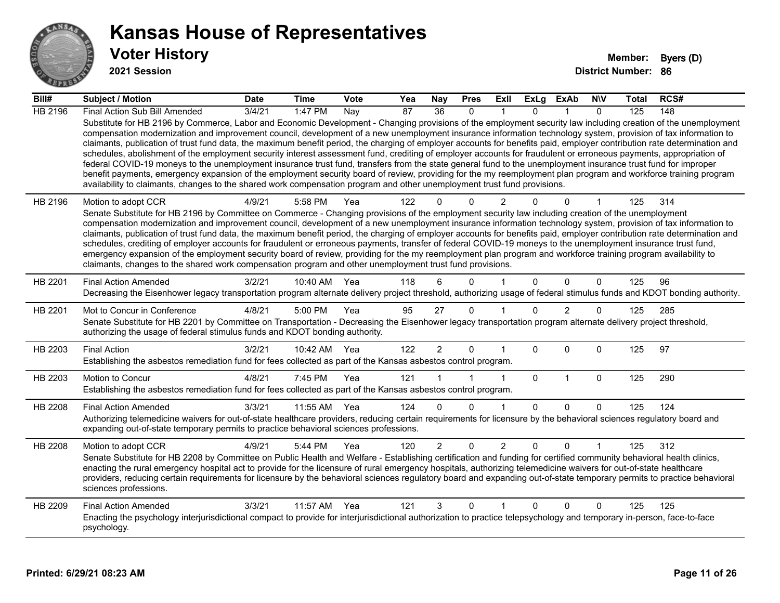

**2021 Session**

| Bill#          | <b>Subject / Motion</b>                                                                                                                                                                                                                                                                                                                                                                                                                                                                                                                                                                                                                                                                                                                                                                                                                                                                                                                                                                                                                                                                                                                           | <b>Date</b> | <b>Time</b>  | <b>Vote</b> | Yea             | Nay             | <b>Pres</b>  | ExII           | <b>ExLg</b> | <b>ExAb</b>    | <b>NIV</b>   | Total | RCS# |
|----------------|---------------------------------------------------------------------------------------------------------------------------------------------------------------------------------------------------------------------------------------------------------------------------------------------------------------------------------------------------------------------------------------------------------------------------------------------------------------------------------------------------------------------------------------------------------------------------------------------------------------------------------------------------------------------------------------------------------------------------------------------------------------------------------------------------------------------------------------------------------------------------------------------------------------------------------------------------------------------------------------------------------------------------------------------------------------------------------------------------------------------------------------------------|-------------|--------------|-------------|-----------------|-----------------|--------------|----------------|-------------|----------------|--------------|-------|------|
| <b>HB 2196</b> | Final Action Sub Bill Amended                                                                                                                                                                                                                                                                                                                                                                                                                                                                                                                                                                                                                                                                                                                                                                                                                                                                                                                                                                                                                                                                                                                     | 3/4/21      | 1:47 PM      | Nay         | $\overline{87}$ | $\overline{36}$ | $\Omega$     |                | $\Omega$    |                | $\Omega$     | 125   | 148  |
|                | Substitute for HB 2196 by Commerce, Labor and Economic Development - Changing provisions of the employment security law including creation of the unemployment<br>compensation modernization and improvement council, development of a new unemployment insurance information technology system, provision of tax information to<br>claimants, publication of trust fund data, the maximum benefit period, the charging of employer accounts for benefits paid, employer contribution rate determination and<br>schedules, abolishment of the employment security interest assessment fund, crediting of employer accounts for fraudulent or erroneous payments, appropriation of<br>federal COVID-19 moneys to the unemployment insurance trust fund, transfers from the state general fund to the unemployment insurance trust fund for improper<br>benefit payments, emergency expansion of the employment security board of review, providing for the my reemployment plan program and workforce training program<br>availability to claimants, changes to the shared work compensation program and other unemployment trust fund provisions. |             |              |             |                 |                 |              |                |             |                |              |       |      |
| HB 2196        | Motion to adopt CCR                                                                                                                                                                                                                                                                                                                                                                                                                                                                                                                                                                                                                                                                                                                                                                                                                                                                                                                                                                                                                                                                                                                               | 4/9/21      | 5:58 PM      | Yea         | 122             | 0               | $\Omega$     | 2              |             | $\Omega$       |              | 125   | 314  |
|                | Senate Substitute for HB 2196 by Committee on Commerce - Changing provisions of the employment security law including creation of the unemployment                                                                                                                                                                                                                                                                                                                                                                                                                                                                                                                                                                                                                                                                                                                                                                                                                                                                                                                                                                                                |             |              |             |                 |                 |              |                |             |                |              |       |      |
|                | compensation modernization and improvement council, development of a new unemployment insurance information technology system, provision of tax information to<br>claimants, publication of trust fund data, the maximum benefit period, the charging of employer accounts for benefits paid, employer contribution rate determination and                                                                                                                                                                                                                                                                                                                                                                                                                                                                                                                                                                                                                                                                                                                                                                                                        |             |              |             |                 |                 |              |                |             |                |              |       |      |
|                | schedules, crediting of employer accounts for fraudulent or erroneous payments, transfer of federal COVID-19 moneys to the unemployment insurance trust fund,                                                                                                                                                                                                                                                                                                                                                                                                                                                                                                                                                                                                                                                                                                                                                                                                                                                                                                                                                                                     |             |              |             |                 |                 |              |                |             |                |              |       |      |
|                | emergency expansion of the employment security board of review, providing for the my reemployment plan program and workforce training program availability to<br>claimants, changes to the shared work compensation program and other unemployment trust fund provisions.                                                                                                                                                                                                                                                                                                                                                                                                                                                                                                                                                                                                                                                                                                                                                                                                                                                                         |             |              |             |                 |                 |              |                |             |                |              |       |      |
|                |                                                                                                                                                                                                                                                                                                                                                                                                                                                                                                                                                                                                                                                                                                                                                                                                                                                                                                                                                                                                                                                                                                                                                   |             |              |             |                 |                 |              |                |             |                |              |       |      |
| HB 2201        | <b>Final Action Amended</b>                                                                                                                                                                                                                                                                                                                                                                                                                                                                                                                                                                                                                                                                                                                                                                                                                                                                                                                                                                                                                                                                                                                       | 3/2/21      | 10:40 AM     | Yea         | 118             | 6               | $\Omega$     |                | $\Omega$    | $\Omega$       | $\mathbf{0}$ | 125   | 96   |
|                | Decreasing the Eisenhower legacy transportation program alternate delivery project threshold, authorizing usage of federal stimulus funds and KDOT bonding authority.                                                                                                                                                                                                                                                                                                                                                                                                                                                                                                                                                                                                                                                                                                                                                                                                                                                                                                                                                                             |             |              |             |                 |                 |              |                |             |                |              |       |      |
| HB 2201        | Mot to Concur in Conference                                                                                                                                                                                                                                                                                                                                                                                                                                                                                                                                                                                                                                                                                                                                                                                                                                                                                                                                                                                                                                                                                                                       | 4/8/21      | 5:00 PM      | Yea         | 95              | 27              | $\mathbf 0$  |                | $\Omega$    | $\overline{2}$ | 0            | 125   | 285  |
|                | Senate Substitute for HB 2201 by Committee on Transportation - Decreasing the Eisenhower legacy transportation program alternate delivery project threshold,<br>authorizing the usage of federal stimulus funds and KDOT bonding authority.                                                                                                                                                                                                                                                                                                                                                                                                                                                                                                                                                                                                                                                                                                                                                                                                                                                                                                       |             |              |             |                 |                 |              |                |             |                |              |       |      |
| HB 2203        | <b>Final Action</b>                                                                                                                                                                                                                                                                                                                                                                                                                                                                                                                                                                                                                                                                                                                                                                                                                                                                                                                                                                                                                                                                                                                               | 3/2/21      | 10:42 AM Yea |             | 122             | $\overline{2}$  | $\mathbf{0}$ |                | $\Omega$    | $\Omega$       | $\mathbf{0}$ | 125   | 97   |
|                | Establishing the asbestos remediation fund for fees collected as part of the Kansas asbestos control program.                                                                                                                                                                                                                                                                                                                                                                                                                                                                                                                                                                                                                                                                                                                                                                                                                                                                                                                                                                                                                                     |             |              |             |                 |                 |              |                |             |                |              |       |      |
| HB 2203        | Motion to Concur                                                                                                                                                                                                                                                                                                                                                                                                                                                                                                                                                                                                                                                                                                                                                                                                                                                                                                                                                                                                                                                                                                                                  | 4/8/21      | 7:45 PM      | Yea         | 121             |                 |              | 1              | $\mathbf 0$ | $\mathbf{1}$   | $\mathbf 0$  | 125   | 290  |
|                | Establishing the asbestos remediation fund for fees collected as part of the Kansas asbestos control program.                                                                                                                                                                                                                                                                                                                                                                                                                                                                                                                                                                                                                                                                                                                                                                                                                                                                                                                                                                                                                                     |             |              |             |                 |                 |              |                |             |                |              |       |      |
| HB 2208        | <b>Final Action Amended</b>                                                                                                                                                                                                                                                                                                                                                                                                                                                                                                                                                                                                                                                                                                                                                                                                                                                                                                                                                                                                                                                                                                                       | 3/3/21      | 11:55 AM     | Yea         | 124             | 0               | $\Omega$     |                | $\Omega$    | $\Omega$       | $\mathbf{0}$ | 125   | 124  |
|                | Authorizing telemedicine waivers for out-of-state healthcare providers, reducing certain requirements for licensure by the behavioral sciences regulatory board and<br>expanding out-of-state temporary permits to practice behavioral sciences professions.                                                                                                                                                                                                                                                                                                                                                                                                                                                                                                                                                                                                                                                                                                                                                                                                                                                                                      |             |              |             |                 |                 |              |                |             |                |              |       |      |
| <b>HB 2208</b> | Motion to adopt CCR                                                                                                                                                                                                                                                                                                                                                                                                                                                                                                                                                                                                                                                                                                                                                                                                                                                                                                                                                                                                                                                                                                                               | 4/9/21      | 5:44 PM      | Yea         | 120             | $\overline{2}$  | $\mathbf{0}$ | $\overline{2}$ | $\Omega$    | $\Omega$       |              | 125   | 312  |
|                | Senate Substitute for HB 2208 by Committee on Public Health and Welfare - Establishing certification and funding for certified community behavioral health clinics,                                                                                                                                                                                                                                                                                                                                                                                                                                                                                                                                                                                                                                                                                                                                                                                                                                                                                                                                                                               |             |              |             |                 |                 |              |                |             |                |              |       |      |
|                | enacting the rural emergency hospital act to provide for the licensure of rural emergency hospitals, authorizing telemedicine waivers for out-of-state healthcare<br>providers, reducing certain requirements for licensure by the behavioral sciences regulatory board and expanding out-of-state temporary permits to practice behavioral                                                                                                                                                                                                                                                                                                                                                                                                                                                                                                                                                                                                                                                                                                                                                                                                       |             |              |             |                 |                 |              |                |             |                |              |       |      |
|                | sciences professions.                                                                                                                                                                                                                                                                                                                                                                                                                                                                                                                                                                                                                                                                                                                                                                                                                                                                                                                                                                                                                                                                                                                             |             |              |             |                 |                 |              |                |             |                |              |       |      |
| HB 2209        | <b>Final Action Amended</b>                                                                                                                                                                                                                                                                                                                                                                                                                                                                                                                                                                                                                                                                                                                                                                                                                                                                                                                                                                                                                                                                                                                       | 3/3/21      | 11:57 AM     | Yea         | 121             | 3               | $\mathbf{0}$ |                | $\Omega$    | $\Omega$       | $\mathbf{0}$ | 125   | 125  |
|                | Enacting the psychology interjurisdictional compact to provide for interjurisdictional authorization to practice telepsychology and temporary in-person, face-to-face<br>psychology.                                                                                                                                                                                                                                                                                                                                                                                                                                                                                                                                                                                                                                                                                                                                                                                                                                                                                                                                                              |             |              |             |                 |                 |              |                |             |                |              |       |      |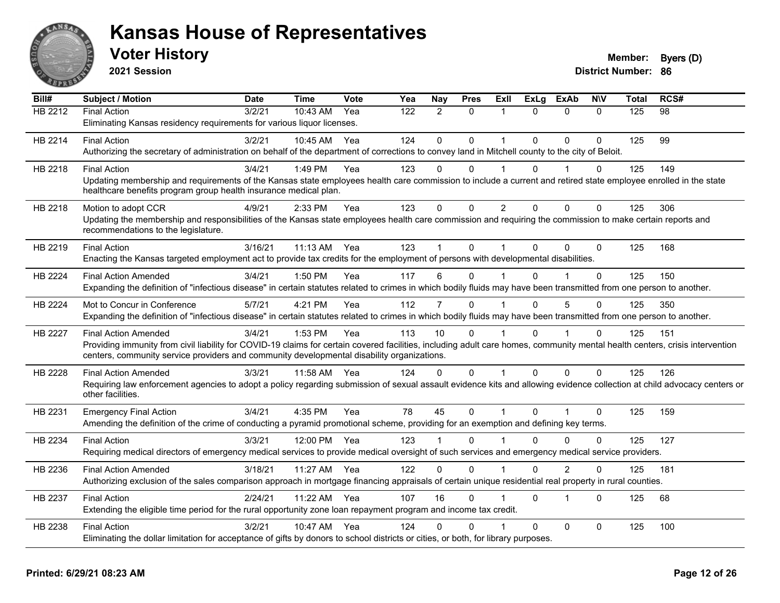

**2021 Session**

| Bill#          | <b>Subject / Motion</b>                                                                                                                                                      | <b>Date</b> | <b>Time</b> | Vote | Yea | Nay          | <b>Pres</b>    | <b>ExII</b>    | <b>ExLg</b> | <b>ExAb</b>             | <b>NIV</b>   | Total | RCS# |
|----------------|------------------------------------------------------------------------------------------------------------------------------------------------------------------------------|-------------|-------------|------|-----|--------------|----------------|----------------|-------------|-------------------------|--------------|-------|------|
| HB 2212        | <b>Final Action</b>                                                                                                                                                          | 3/2/21      | 10:43 AM    | Yea  | 122 | 2            | $\mathbf{0}$   | $\mathbf 1$    | $\Omega$    | $\mathbf{0}$            | $\Omega$     | 125   | 98   |
|                | Eliminating Kansas residency requirements for various liquor licenses.                                                                                                       |             |             |      |     |              |                |                |             |                         |              |       |      |
| HB 2214        | <b>Final Action</b>                                                                                                                                                          | 3/2/21      | 10:45 AM    | Yea  | 124 | $\Omega$     | $\Omega$       | $\mathbf 1$    | $\Omega$    | $\Omega$                | $\mathbf{0}$ | 125   | 99   |
|                | Authorizing the secretary of administration on behalf of the department of corrections to convey land in Mitchell county to the city of Beloit.                              |             |             |      |     |              |                |                |             |                         |              |       |      |
| HB 2218        | <b>Final Action</b>                                                                                                                                                          | 3/4/21      | 1:49 PM     | Yea  | 123 | $\Omega$     | $\Omega$       | $\mathbf 1$    | $\Omega$    |                         | $\Omega$     | 125   | 149  |
|                | Updating membership and requirements of the Kansas state employees health care commission to include a current and retired state employee enrolled in the state              |             |             |      |     |              |                |                |             |                         |              |       |      |
|                | healthcare benefits program group health insurance medical plan.                                                                                                             |             |             |      |     |              |                |                |             |                         |              |       |      |
| HB 2218        | Motion to adopt CCR                                                                                                                                                          | 4/9/21      | 2:33 PM     | Yea  | 123 | 0            | $\Omega$       | $\overline{2}$ | $\Omega$    | $\Omega$                | $\Omega$     | 125   | 306  |
|                | Updating the membership and responsibilities of the Kansas state employees health care commission and requiring the commission to make certain reports and                   |             |             |      |     |              |                |                |             |                         |              |       |      |
|                | recommendations to the legislature.                                                                                                                                          |             |             |      |     |              |                |                |             |                         |              |       |      |
| HB 2219        | <b>Final Action</b>                                                                                                                                                          | 3/16/21     | 11:13 AM    | Yea  | 123 |              | $\Omega$       | 1              | $\Omega$    | $\Omega$                | $\Omega$     | 125   | 168  |
|                | Enacting the Kansas targeted employment act to provide tax credits for the employment of persons with developmental disabilities.                                            |             |             |      |     |              |                |                |             |                         |              |       |      |
| HB 2224        | <b>Final Action Amended</b>                                                                                                                                                  | 3/4/21      | 1:50 PM     | Yea  | 117 | 6            | 0              |                | 0           |                         | $\mathbf{0}$ | 125   | 150  |
|                | Expanding the definition of "infectious disease" in certain statutes related to crimes in which bodily fluids may have been transmitted from one person to another.          |             |             |      |     |              |                |                |             |                         |              |       |      |
| <b>HB 2224</b> | Mot to Concur in Conference                                                                                                                                                  | 5/7/21      | 4:21 PM     | Yea  | 112 | 7            | $\Omega$       |                | $\Omega$    | 5                       | $\Omega$     | 125   | 350  |
|                | Expanding the definition of "infectious disease" in certain statutes related to crimes in which bodily fluids may have been transmitted from one person to another.          |             |             |      |     |              |                |                |             |                         |              |       |      |
| <b>HB 2227</b> | <b>Final Action Amended</b>                                                                                                                                                  | 3/4/21      | 1:53 PM     | Yea  | 113 | 10           | $\Omega$       |                | $\Omega$    |                         | 0            | 125   | 151  |
|                | Providing immunity from civil liability for COVID-19 claims for certain covered facilities, including adult care homes, community mental health centers, crisis intervention |             |             |      |     |              |                |                |             |                         |              |       |      |
|                | centers, community service providers and community developmental disability organizations.                                                                                   |             |             |      |     |              |                |                |             |                         |              |       |      |
| HB 2228        | <b>Final Action Amended</b>                                                                                                                                                  | 3/3/21      | 11:58 AM    | Yea  | 124 | 0            | $\Omega$       | 1              | 0           | $\mathbf{0}$            | $\Omega$     | 125   | 126  |
|                | Requiring law enforcement agencies to adopt a policy regarding submission of sexual assault evidence kits and allowing evidence collection at child advocacy centers or      |             |             |      |     |              |                |                |             |                         |              |       |      |
|                | other facilities.                                                                                                                                                            |             |             |      |     |              |                |                |             |                         |              |       |      |
| HB 2231        | <b>Emergency Final Action</b>                                                                                                                                                | 3/4/21      | 4:35 PM     | Yea  | 78  | 45           | $\overline{0}$ | $\mathbf{1}$   | $\Omega$    | 1                       | $\Omega$     | 125   | 159  |
|                | Amending the definition of the crime of conducting a pyramid promotional scheme, providing for an exemption and defining key terms.                                          |             |             |      |     |              |                |                |             |                         |              |       |      |
| HB 2234        | <b>Final Action</b>                                                                                                                                                          | 3/3/21      | 12:00 PM    | Yea  | 123 |              | $\Omega$       |                | 0           | $\Omega$                | 0            | 125   | 127  |
|                | Requiring medical directors of emergency medical services to provide medical oversight of such services and emergency medical service providers.                             |             |             |      |     |              |                |                |             |                         |              |       |      |
| HB 2236        | <b>Final Action Amended</b>                                                                                                                                                  | 3/18/21     | 11:27 AM    | Yea  | 122 | $\mathbf{0}$ | $\Omega$       | $\mathbf 1$    | $\Omega$    | $\overline{2}$          | $\mathbf{0}$ | 125   | 181  |
|                | Authorizing exclusion of the sales comparison approach in mortgage financing appraisals of certain unique residential real property in rural counties.                       |             |             |      |     |              |                |                |             |                         |              |       |      |
| HB 2237        | <b>Final Action</b>                                                                                                                                                          | 2/24/21     | 11:22 AM    | Yea  | 107 | 16           | $\Omega$       |                | $\Omega$    | $\overline{\mathbf{1}}$ | $\Omega$     | 125   | 68   |
|                | Extending the eligible time period for the rural opportunity zone loan repayment program and income tax credit.                                                              |             |             |      |     |              |                |                |             |                         |              |       |      |
|                |                                                                                                                                                                              |             |             |      |     |              |                |                |             |                         |              |       |      |
| HB 2238        | <b>Final Action</b><br>Eliminating the dollar limitation for acceptance of gifts by donors to school districts or cities, or both, for library purposes.                     | 3/2/21      | 10:47 AM    | Yea  | 124 | 0            | $\Omega$       |                | $\Omega$    | $\mathbf 0$             | $\mathbf{0}$ | 125   | 100  |
|                |                                                                                                                                                                              |             |             |      |     |              |                |                |             |                         |              |       |      |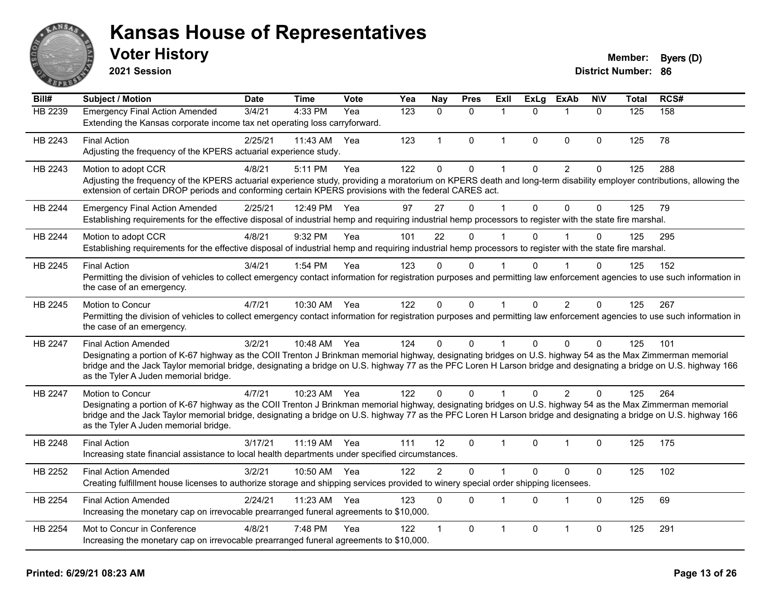

**2021 Session**

#### **Voter History Member: Byers** (D)

| Bill#   | <b>Subject / Motion</b>                                                                                                                                                                                                                                                                                                                                                                                  | <b>Date</b> | <b>Time</b>  | <b>Vote</b> | $\overline{Y}$ ea | Nay            | <b>Pres</b>  | Exll         | <b>ExLg</b> | <b>ExAb</b>    | <b>NIV</b>   | <b>Total</b> | RCS# |
|---------|----------------------------------------------------------------------------------------------------------------------------------------------------------------------------------------------------------------------------------------------------------------------------------------------------------------------------------------------------------------------------------------------------------|-------------|--------------|-------------|-------------------|----------------|--------------|--------------|-------------|----------------|--------------|--------------|------|
| HB 2239 | <b>Emergency Final Action Amended</b><br>Extending the Kansas corporate income tax net operating loss carryforward.                                                                                                                                                                                                                                                                                      | 3/4/21      | 4:33 PM      | Yea         | 123               | $\Omega$       | $\mathbf{0}$ | -1           | $\Omega$    |                | $\mathbf{0}$ | 125          | 158  |
| HB 2243 | <b>Final Action</b><br>Adjusting the frequency of the KPERS actuarial experience study.                                                                                                                                                                                                                                                                                                                  | 2/25/21     | 11:43 AM     | Yea         | 123               | $\mathbf{1}$   | $\mathbf{0}$ | $\mathbf{1}$ | $\Omega$    | $\mathbf{0}$   | $\mathbf{0}$ | 125          | 78   |
| HB 2243 | Motion to adopt CCR<br>Adjusting the frequency of the KPERS actuarial experience study, providing a moratorium on KPERS death and long-term disability employer contributions, allowing the<br>extension of certain DROP periods and conforming certain KPERS provisions with the federal CARES act.                                                                                                     | 4/8/21      | 5:11 PM      | Yea         | 122               | $\mathbf 0$    | $\mathbf 0$  | 1            | $\Omega$    | $\overline{2}$ | 0            | 125          | 288  |
| HB 2244 | <b>Emergency Final Action Amended</b><br>Establishing requirements for the effective disposal of industrial hemp and requiring industrial hemp processors to register with the state fire marshal.                                                                                                                                                                                                       | 2/25/21     | 12:49 PM     | Yea         | 97                | 27             | $\Omega$     | 1            | $\Omega$    | $\Omega$       | $\mathbf{0}$ | 125          | 79   |
| HB 2244 | Motion to adopt CCR<br>Establishing requirements for the effective disposal of industrial hemp and requiring industrial hemp processors to register with the state fire marshal.                                                                                                                                                                                                                         | 4/8/21      | 9:32 PM      | Yea         | 101               | 22             | $\Omega$     |              | $\Omega$    |                | $\Omega$     | 125          | 295  |
| HB 2245 | <b>Final Action</b><br>Permitting the division of vehicles to collect emergency contact information for registration purposes and permitting law enforcement agencies to use such information in<br>the case of an emergency.                                                                                                                                                                            | 3/4/21      | 1:54 PM      | Yea         | 123               | $\Omega$       | 0            |              |             |                | $\Omega$     | 125          | 152  |
| HB 2245 | Motion to Concur<br>Permitting the division of vehicles to collect emergency contact information for registration purposes and permitting law enforcement agencies to use such information in<br>the case of an emergency.                                                                                                                                                                               | 4/7/21      | 10:30 AM     | Yea         | 122               | $\Omega$       | $\mathbf 0$  | $\mathbf{1}$ | $\Omega$    | 2              | $\Omega$     | 125          | 267  |
| HB 2247 | <b>Final Action Amended</b><br>Designating a portion of K-67 highway as the COII Trenton J Brinkman memorial highway, designating bridges on U.S. highway 54 as the Max Zimmerman memorial<br>bridge and the Jack Taylor memorial bridge, designating a bridge on U.S. highway 77 as the PFC Loren H Larson bridge and designating a bridge on U.S. highway 166<br>as the Tyler A Juden memorial bridge. | 3/2/21      | 10:48 AM Yea |             | 124               | $\Omega$       | $\mathbf{0}$ |              | $\Omega$    | $\mathbf{0}$   | $\Omega$     | 125          | 101  |
| HB 2247 | <b>Motion to Concur</b><br>Designating a portion of K-67 highway as the COII Trenton J Brinkman memorial highway, designating bridges on U.S. highway 54 as the Max Zimmerman memorial<br>bridge and the Jack Taylor memorial bridge, designating a bridge on U.S. highway 77 as the PFC Loren H Larson bridge and designating a bridge on U.S. highway 166<br>as the Tyler A Juden memorial bridge.     | 4/7/21      | 10:23 AM     | Yea         | 122               | $\Omega$       | $\Omega$     |              | $\Omega$    | $\mathcal{P}$  | $\Omega$     | 125          | 264  |
| HB 2248 | <b>Final Action</b><br>Increasing state financial assistance to local health departments under specified circumstances.                                                                                                                                                                                                                                                                                  | 3/17/21     | 11:19 AM     | Yea         | 111               | 12             | $\mathbf{0}$ | 1            | $\Omega$    | 1              | $\Omega$     | 125          | 175  |
| HB 2252 | <b>Final Action Amended</b><br>Creating fulfillment house licenses to authorize storage and shipping services provided to winery special order shipping licensees.                                                                                                                                                                                                                                       | 3/2/21      | 10:50 AM     | Yea         | 122               | $\overline{2}$ | $\mathbf 0$  | 1            | $\Omega$    | $\mathbf 0$    | $\pmb{0}$    | 125          | 102  |
| HB 2254 | <b>Final Action Amended</b><br>Increasing the monetary cap on irrevocable prearranged funeral agreements to \$10,000.                                                                                                                                                                                                                                                                                    | 2/24/21     | 11:23 AM     | Yea         | 123               | $\Omega$       | $\mathbf{0}$ | 1            | $\Omega$    | $\mathbf 1$    | $\mathbf{0}$ | 125          | 69   |
| HB 2254 | Mot to Concur in Conference<br>Increasing the monetary cap on irrevocable prearranged funeral agreements to \$10,000.                                                                                                                                                                                                                                                                                    | 4/8/21      | 7:48 PM      | Yea         | 122               |                | $\mathbf 0$  | 1            | 0           |                | $\mathbf 0$  | 125          | 291  |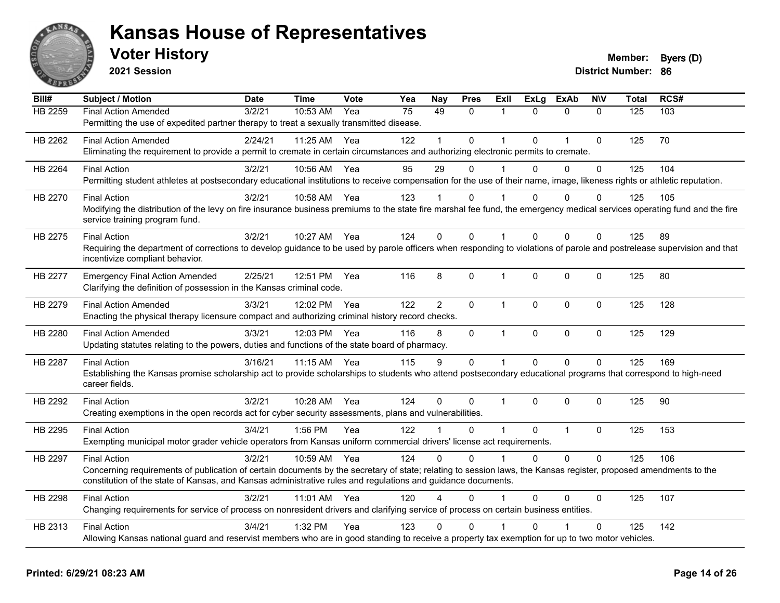

**2021 Session**

| Bill#          | <b>Subject / Motion</b>                                                                                                                                                   | <b>Date</b> | <b>Time</b> | Vote | Yea | <b>Nay</b>     | <b>Pres</b>  | ExII           | <b>ExLg</b>  | <b>ExAb</b>    | <b>NIV</b>   | <b>Total</b> | RCS# |
|----------------|---------------------------------------------------------------------------------------------------------------------------------------------------------------------------|-------------|-------------|------|-----|----------------|--------------|----------------|--------------|----------------|--------------|--------------|------|
| <b>HB 2259</b> | <b>Final Action Amended</b>                                                                                                                                               | 3/2/21      | 10:53 AM    | Yea  | 75  | 49             | $\Omega$     | $\mathbf{1}$   | $\Omega$     | $\mathbf{0}$   | $\Omega$     | 125          | 103  |
|                | Permitting the use of expedited partner therapy to treat a sexually transmitted disease.                                                                                  |             |             |      |     |                |              |                |              |                |              |              |      |
| HB 2262        | <b>Final Action Amended</b>                                                                                                                                               | 2/24/21     | 11:25 AM    | Yea  | 122 |                | $\Omega$     |                | $\Omega$     | 1              | $\mathbf{0}$ | 125          | 70   |
|                | Eliminating the requirement to provide a permit to cremate in certain circumstances and authorizing electronic permits to cremate.                                        |             |             |      |     |                |              |                |              |                |              |              |      |
| HB 2264        | <b>Final Action</b>                                                                                                                                                       | 3/2/21      | 10:56 AM    | Yea  | 95  | 29             | $\Omega$     |                | $\Omega$     | $\Omega$       | $\mathbf{0}$ | 125          | 104  |
|                | Permitting student athletes at postsecondary educational institutions to receive compensation for the use of their name, image, likeness rights or athletic reputation.   |             |             |      |     |                |              |                |              |                |              |              |      |
| HB 2270        | <b>Final Action</b>                                                                                                                                                       | 3/2/21      | 10:58 AM    | Yea  | 123 |                | 0            |                | $\Omega$     | $\Omega$       | $\Omega$     | 125          | 105  |
|                | Modifying the distribution of the levy on fire insurance business premiums to the state fire marshal fee fund, the emergency medical services operating fund and the fire |             |             |      |     |                |              |                |              |                |              |              |      |
|                | service training program fund.                                                                                                                                            |             |             |      |     |                |              |                |              |                |              |              |      |
| HB 2275        | <b>Final Action</b>                                                                                                                                                       | 3/2/21      | 10:27 AM    | Yea  | 124 | $\Omega$       | $\Omega$     | $\mathbf{1}$   | $\Omega$     | $\Omega$       | $\mathbf{0}$ | 125          | 89   |
|                | Requiring the department of corrections to develop guidance to be used by parole officers when responding to violations of parole and postrelease supervision and that    |             |             |      |     |                |              |                |              |                |              |              |      |
|                | incentivize compliant behavior.                                                                                                                                           |             |             |      |     |                |              |                |              |                |              |              |      |
| HB 2277        | <b>Emergency Final Action Amended</b>                                                                                                                                     | 2/25/21     | 12:51 PM    | Yea  | 116 | 8              | $\Omega$     | $\mathbf 1$    | $\mathbf{0}$ | $\mathbf 0$    | $\Omega$     | 125          | 80   |
|                | Clarifying the definition of possession in the Kansas criminal code.                                                                                                      |             |             |      |     |                |              |                |              |                |              |              |      |
| HB 2279        | <b>Final Action Amended</b>                                                                                                                                               | 3/3/21      | 12:02 PM    | Yea  | 122 | $\overline{2}$ | 0            | $\mathbf{1}$   | $\Omega$     | $\mathbf{0}$   | $\Omega$     | 125          | 128  |
|                | Enacting the physical therapy licensure compact and authorizing criminal history record checks.                                                                           |             |             |      |     |                |              |                |              |                |              |              |      |
| HB 2280        | <b>Final Action Amended</b>                                                                                                                                               | 3/3/21      | 12:03 PM    | Yea  | 116 | 8              | 0            | $\mathbf{1}$   | $\pmb{0}$    | $\mathbf 0$    | $\pmb{0}$    | 125          | 129  |
|                | Updating statutes relating to the powers, duties and functions of the state board of pharmacy.                                                                            |             |             |      |     |                |              |                |              |                |              |              |      |
| <b>HB 2287</b> | <b>Final Action</b>                                                                                                                                                       | 3/16/21     | 11:15 AM    | Yea  | 115 | 9              | 0            | $\mathbf{1}$   | $\Omega$     | $\Omega$       | $\Omega$     | 125          | 169  |
|                | Establishing the Kansas promise scholarship act to provide scholarships to students who attend postsecondary educational programs that correspond to high-need            |             |             |      |     |                |              |                |              |                |              |              |      |
|                | career fields.                                                                                                                                                            |             |             |      |     |                |              |                |              |                |              |              |      |
| HB 2292        | <b>Final Action</b>                                                                                                                                                       | 3/2/21      | 10:28 AM    | Yea  | 124 | $\Omega$       | $\mathbf{0}$ | $\mathbf{1}$   | $\Omega$     | $\Omega$       | $\mathbf{0}$ | 125          | 90   |
|                | Creating exemptions in the open records act for cyber security assessments, plans and vulnerabilities.                                                                    |             |             |      |     |                |              |                |              |                |              |              |      |
| HB 2295        | <b>Final Action</b>                                                                                                                                                       | 3/4/21      | 1:56 PM     | Yea  | 122 |                | $\Omega$     | $\overline{1}$ | $\mathbf{0}$ | $\overline{1}$ | $\mathbf 0$  | 125          | 153  |
|                | Exempting municipal motor grader vehicle operators from Kansas uniform commercial drivers' license act requirements.                                                      |             |             |      |     |                |              |                |              |                |              |              |      |
| HB 2297        | <b>Final Action</b>                                                                                                                                                       | 3/2/21      | 10:59 AM    | Yea  | 124 | $\Omega$       | $\Omega$     | $\mathbf{1}$   | $\Omega$     | $\Omega$       | $\Omega$     | 125          | 106  |
|                | Concerning requirements of publication of certain documents by the secretary of state; relating to session laws, the Kansas register, proposed amendments to the          |             |             |      |     |                |              |                |              |                |              |              |      |
|                | constitution of the state of Kansas, and Kansas administrative rules and regulations and guidance documents.                                                              |             |             |      |     |                |              |                |              |                |              |              |      |
| HB 2298        | <b>Final Action</b>                                                                                                                                                       | 3/2/21      | 11:01 AM    | Yea  | 120 |                | $\Omega$     |                | $\Omega$     | $\Omega$       | $\mathbf{0}$ | 125          | 107  |
|                | Changing requirements for service of process on nonresident drivers and clarifying service of process on certain business entities.                                       |             |             |      |     |                |              |                |              |                |              |              |      |
| HB 2313        | <b>Final Action</b>                                                                                                                                                       | 3/4/21      | 1:32 PM     | Yea  | 123 | 0              | $\mathbf{0}$ |                | U            |                | $\mathbf{0}$ | 125          | 142  |
|                | Allowing Kansas national guard and reservist members who are in good standing to receive a property tax exemption for up to two motor vehicles.                           |             |             |      |     |                |              |                |              |                |              |              |      |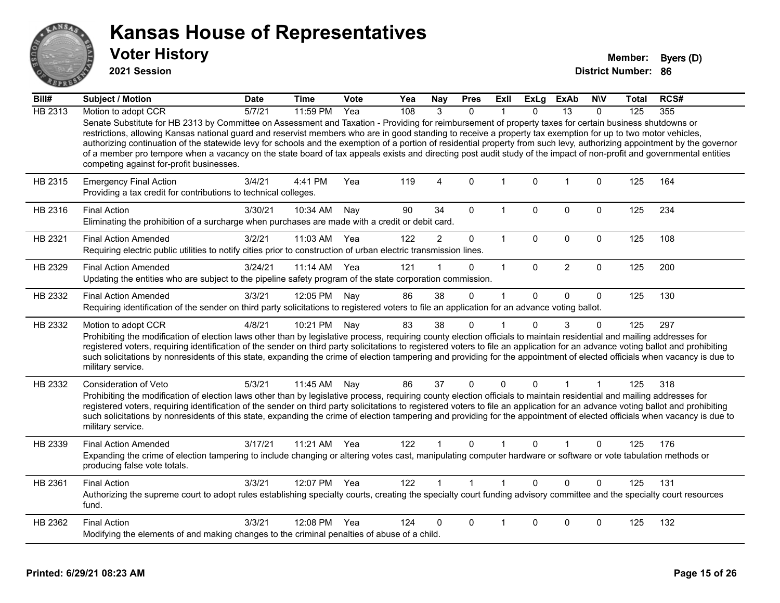

**2021 Session**

| Bill#   | <b>Subject / Motion</b>                                                                                                                                                                                                                                                                                                                                                                                                                                                                                                                                                                                                                                                                                                   | <b>Date</b> | <b>Time</b>  | Vote | Yea | Nay            | <b>Pres</b>  | Exll         | <b>ExLg</b>  | <b>ExAb</b>    | <b>NIV</b>  | Total | RCS# |
|---------|---------------------------------------------------------------------------------------------------------------------------------------------------------------------------------------------------------------------------------------------------------------------------------------------------------------------------------------------------------------------------------------------------------------------------------------------------------------------------------------------------------------------------------------------------------------------------------------------------------------------------------------------------------------------------------------------------------------------------|-------------|--------------|------|-----|----------------|--------------|--------------|--------------|----------------|-------------|-------|------|
| HB 2313 | Motion to adopt CCR                                                                                                                                                                                                                                                                                                                                                                                                                                                                                                                                                                                                                                                                                                       | 5/7/21      | 11:59 PM     | Yea  | 108 | 3              | $\Omega$     |              | $\Omega$     | 13             | $\Omega$    | 125   | 355  |
|         | Senate Substitute for HB 2313 by Committee on Assessment and Taxation - Providing for reimbursement of property taxes for certain business shutdowns or<br>restrictions, allowing Kansas national guard and reservist members who are in good standing to receive a property tax exemption for up to two motor vehicles,<br>authorizing continuation of the statewide levy for schools and the exemption of a portion of residential property from such levy, authorizing appointment by the governor<br>of a member pro tempore when a vacancy on the state board of tax appeals exists and directing post audit study of the impact of non-profit and governmental entities<br>competing against for-profit businesses. |             |              |      |     |                |              |              |              |                |             |       |      |
| HB 2315 | <b>Emergency Final Action</b><br>Providing a tax credit for contributions to technical colleges.                                                                                                                                                                                                                                                                                                                                                                                                                                                                                                                                                                                                                          | 3/4/21      | 4:41 PM      | Yea  | 119 | $\overline{4}$ | $\mathbf{0}$ | $\mathbf{1}$ | 0            | $\overline{1}$ | $\mathbf 0$ | 125   | 164  |
| HB 2316 | <b>Final Action</b><br>Eliminating the prohibition of a surcharge when purchases are made with a credit or debit card.                                                                                                                                                                                                                                                                                                                                                                                                                                                                                                                                                                                                    | 3/30/21     | 10:34 AM     | Nav  | 90  | 34             | $\Omega$     | $\mathbf 1$  | $\Omega$     | $\Omega$       | 0           | 125   | 234  |
| HB 2321 | <b>Final Action Amended</b><br>Requiring electric public utilities to notify cities prior to construction of urban electric transmission lines.                                                                                                                                                                                                                                                                                                                                                                                                                                                                                                                                                                           | 3/2/21      | 11:03 AM     | Yea  | 122 | $\overline{c}$ | $\mathbf 0$  | $\mathbf{1}$ | 0            | $\mathbf 0$    | 0           | 125   | 108  |
| HB 2329 | <b>Final Action Amended</b><br>Updating the entities who are subject to the pipeline safety program of the state corporation commission.                                                                                                                                                                                                                                                                                                                                                                                                                                                                                                                                                                                  | 3/24/21     | $11:14$ AM   | Yea  | 121 |                | $\Omega$     | $\mathbf 1$  | $\Omega$     | $\overline{2}$ | $\mathbf 0$ | 125   | 200  |
| HB 2332 | <b>Final Action Amended</b><br>Requiring identification of the sender on third party solicitations to registered voters to file an application for an advance voting ballot.                                                                                                                                                                                                                                                                                                                                                                                                                                                                                                                                              | 3/3/21      | 12:05 PM     | Nay  | 86  | 38             | 0            | $\mathbf 1$  | $\Omega$     | 0              | $\mathbf 0$ | 125   | 130  |
| HB 2332 | Motion to adopt CCR<br>Prohibiting the modification of election laws other than by legislative process, requiring county election officials to maintain residential and mailing addresses for<br>registered voters, requiring identification of the sender on third party solicitations to registered voters to file an application for an advance voting ballot and prohibiting<br>such solicitations by nonresidents of this state, expanding the crime of election tampering and providing for the appointment of elected officials when vacancy is due to<br>military service.                                                                                                                                        | 4/8/21      | 10:21 PM     | Nay  | 83  | 38             | 0            | 1            | $\Omega$     | 3              | 0           | 125   | 297  |
| HB 2332 | Consideration of Veto<br>Prohibiting the modification of election laws other than by legislative process, requiring county election officials to maintain residential and mailing addresses for<br>registered voters, requiring identification of the sender on third party solicitations to registered voters to file an application for an advance voting ballot and prohibiting<br>such solicitations by nonresidents of this state, expanding the crime of election tampering and providing for the appointment of elected officials when vacancy is due to<br>military service.                                                                                                                                      | 5/3/21      | 11:45 AM     | Nay  | 86  | 37             | 0            | 0            | $\mathbf{0}$ | 1              |             | 125   | 318  |
| HB 2339 | <b>Final Action Amended</b><br>Expanding the crime of election tampering to include changing or altering votes cast, manipulating computer hardware or software or vote tabulation methods or<br>producing false vote totals.                                                                                                                                                                                                                                                                                                                                                                                                                                                                                             | 3/17/21     | 11:21 AM     | Yea  | 122 |                | $\Omega$     |              | $\Omega$     |                | 0           | 125   | 176  |
| HB 2361 | <b>Final Action</b><br>Authorizing the supreme court to adopt rules establishing specialty courts, creating the specialty court funding advisory committee and the specialty court resources<br>fund.                                                                                                                                                                                                                                                                                                                                                                                                                                                                                                                     | 3/3/21      | 12:07 PM Yea |      | 122 |                | $\mathbf{1}$ | $\mathbf{1}$ | $\Omega$     | $\Omega$       | $\mathbf 0$ | 125   | 131  |
| HB 2362 | <b>Final Action</b><br>Modifying the elements of and making changes to the criminal penalties of abuse of a child.                                                                                                                                                                                                                                                                                                                                                                                                                                                                                                                                                                                                        | 3/3/21      | 12:08 PM     | Yea  | 124 | 0              | 0            |              | $\Omega$     | 0              | 0           | 125   | 132  |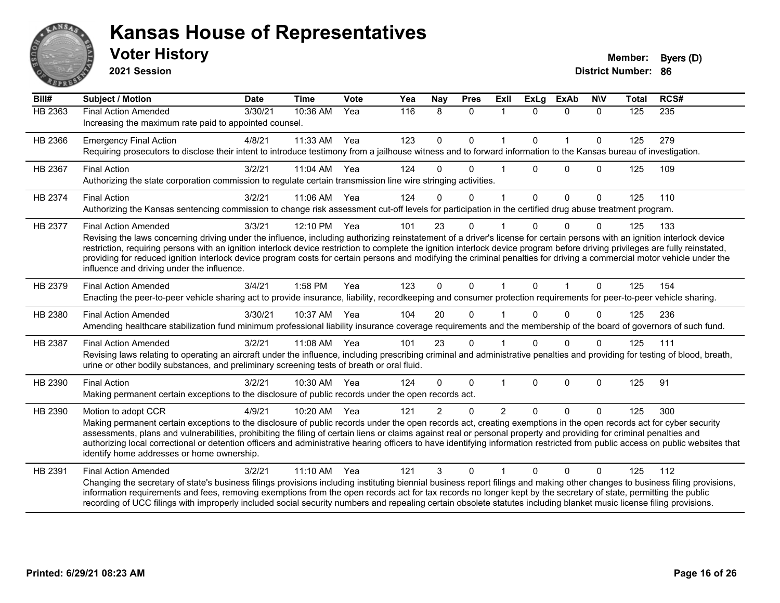

**2021 Session**

| Bill#          | <b>Subject / Motion</b>                                                                                                                                                                                                                                                                                                                                                                                                                                                                                                                                                                                             | <b>Date</b> | <b>Time</b> | Vote         | Yea | Nay         | <b>Pres</b>  | Exll           | <b>ExLg</b> | <b>ExAb</b>  | <b>NIV</b>   | <b>Total</b> | RCS#             |
|----------------|---------------------------------------------------------------------------------------------------------------------------------------------------------------------------------------------------------------------------------------------------------------------------------------------------------------------------------------------------------------------------------------------------------------------------------------------------------------------------------------------------------------------------------------------------------------------------------------------------------------------|-------------|-------------|--------------|-----|-------------|--------------|----------------|-------------|--------------|--------------|--------------|------------------|
| <b>HB 2363</b> | <b>Final Action Amended</b><br>Increasing the maximum rate paid to appointed counsel.                                                                                                                                                                                                                                                                                                                                                                                                                                                                                                                               | 3/30/21     | 10:36 AM    | $\bar{Y}$ ea | 116 | 8           | $\mathbf{0}$ | $\mathbf{1}$   | $\Omega$    | $\mathbf{0}$ | $\mathbf{0}$ | 125          | $\overline{235}$ |
| HB 2366        | <b>Emergency Final Action</b><br>Requiring prosecutors to disclose their intent to introduce testimony from a jailhouse witness and to forward information to the Kansas bureau of investigation.                                                                                                                                                                                                                                                                                                                                                                                                                   | 4/8/21      | 11:33 AM    | Yea          | 123 | $\mathbf 0$ | $\mathbf{0}$ | 1              | $\Omega$    | $\mathbf{1}$ | $\mathbf{0}$ | 125          | 279              |
| HB 2367        | <b>Final Action</b><br>Authorizing the state corporation commission to regulate certain transmission line wire stringing activities.                                                                                                                                                                                                                                                                                                                                                                                                                                                                                | 3/2/21      | 11:04 AM    | Yea          | 124 | $\Omega$    | $\Omega$     |                | $\Omega$    | $\Omega$     | $\Omega$     | 125          | 109              |
| HB 2374        | <b>Final Action</b><br>Authorizing the Kansas sentencing commission to change risk assessment cut-off levels for participation in the certified drug abuse treatment program.                                                                                                                                                                                                                                                                                                                                                                                                                                       | 3/2/21      | 11:06 AM    | Yea          | 124 | $\Omega$    | $\mathbf 0$  | 1              | $\Omega$    | $\mathbf 0$  | $\mathbf{0}$ | 125          | 110              |
| HB 2377        | <b>Final Action Amended</b><br>Revising the laws concerning driving under the influence, including authorizing reinstatement of a driver's license for certain persons with an ignition interlock device<br>restriction, requiring persons with an ignition interlock device restriction to complete the ignition interlock device program before driving privileges are fully reinstated,<br>providing for reduced ignition interlock device program costs for certain persons and modifying the criminal penalties for driving a commercial motor vehicle under the<br>influence and driving under the influence. | 3/3/21      | 12:10 PM    | Yea          | 101 | 23          | $\Omega$     |                |             | $\Omega$     | 0            | 125          | 133              |
| HB 2379        | <b>Final Action Amended</b><br>Enacting the peer-to-peer vehicle sharing act to provide insurance, liability, recordkeeping and consumer protection requirements for peer-to-peer vehicle sharing.                                                                                                                                                                                                                                                                                                                                                                                                                  | 3/4/21      | 1:58 PM     | Yea          | 123 | $\Omega$    | $\mathbf{0}$ | $\mathbf{1}$   | $\Omega$    | $\mathbf{1}$ | $\mathbf{0}$ | 125          | 154              |
| HB 2380        | <b>Final Action Amended</b><br>Amending healthcare stabilization fund minimum professional liability insurance coverage requirements and the membership of the board of governors of such fund.                                                                                                                                                                                                                                                                                                                                                                                                                     | 3/30/21     | 10:37 AM    | Yea          | 104 | 20          | $\Omega$     |                |             | $\Omega$     | $\Omega$     | 125          | 236              |
| HB 2387        | <b>Final Action Amended</b><br>Revising laws relating to operating an aircraft under the influence, including prescribing criminal and administrative penalties and providing for testing of blood, breath,<br>urine or other bodily substances, and preliminary screening tests of breath or oral fluid.                                                                                                                                                                                                                                                                                                           | 3/2/21      | 11:08 AM    | Yea          | 101 | 23          | $\Omega$     |                | $\Omega$    | $\Omega$     | $\Omega$     | 125          | 111              |
| HB 2390        | <b>Final Action</b><br>Making permanent certain exceptions to the disclosure of public records under the open records act.                                                                                                                                                                                                                                                                                                                                                                                                                                                                                          | 3/2/21      | 10:30 AM    | Yea          | 124 | $\Omega$    | $\Omega$     | 1              | $\Omega$    | $\Omega$     | $\mathbf{0}$ | 125          | 91               |
| HB 2390        | Motion to adopt CCR<br>Making permanent certain exceptions to the disclosure of public records under the open records act, creating exemptions in the open records act for cyber security<br>assessments, plans and vulnerabilities, prohibiting the filing of certain liens or claims against real or personal property and providing for criminal penalties and<br>authorizing local correctional or detention officers and administrative hearing officers to have identifying information restricted from public access on public websites that<br>identify home addresses or home ownership.                   | 4/9/21      | 10:20 AM    | Yea          | 121 | 2           | $\Omega$     | $\overline{2}$ | $\Omega$    | $\Omega$     | $\Omega$     | 125          | 300              |
| HB 2391        | <b>Final Action Amended</b><br>Changing the secretary of state's business filings provisions including instituting biennial business report filings and making other changes to business filing provisions,<br>information requirements and fees, removing exemptions from the open records act for tax records no longer kept by the secretary of state, permitting the public<br>recording of UCC filings with improperly included social security numbers and repealing certain obsolete statutes including blanket music license filing provisions.                                                             | 3/2/21      | 11:10 AM    | Yea          | 121 | 3           | $\Omega$     |                | $\Omega$    | $\Omega$     | 0            | 125          | 112              |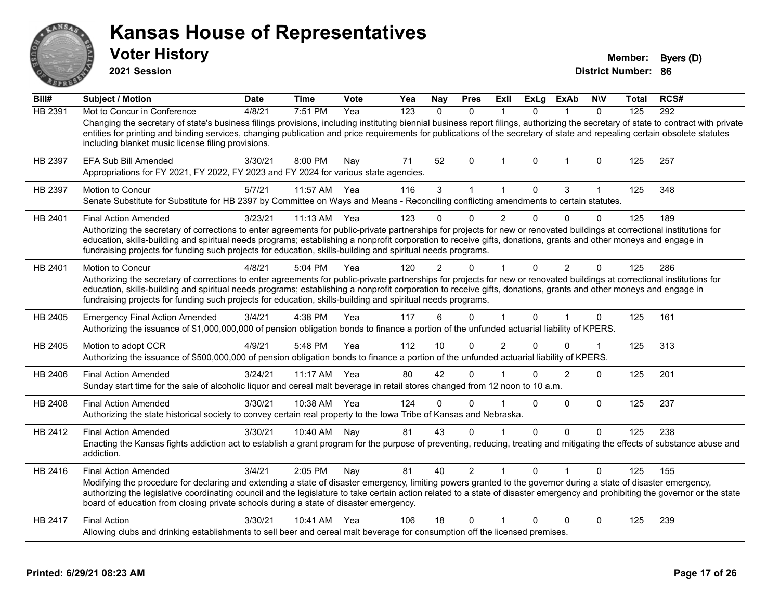|                               | <b>Voter History</b><br>2021 Session                                                                                                                                                                                                                                                                                                                                                                                                                                                        |             |              |      |     |              |                |                |              |                |              | <b>Member:</b><br><b>District Number: 86</b> | Byers (D) |
|-------------------------------|---------------------------------------------------------------------------------------------------------------------------------------------------------------------------------------------------------------------------------------------------------------------------------------------------------------------------------------------------------------------------------------------------------------------------------------------------------------------------------------------|-------------|--------------|------|-----|--------------|----------------|----------------|--------------|----------------|--------------|----------------------------------------------|-----------|
| Bill#                         | <b>Subject / Motion</b>                                                                                                                                                                                                                                                                                                                                                                                                                                                                     | <b>Date</b> | <b>Time</b>  | Vote | Yea | Nay          | <b>Pres</b>    | <b>Exll</b>    | <b>ExLg</b>  | <b>ExAb</b>    | <b>NIV</b>   | Total                                        | RCS#      |
| HB 2391                       | Mot to Concur in Conference<br>Changing the secretary of state's business filings provisions, including instituting biennial business report filings, authorizing the secretary of state to contract with private<br>entities for printing and binding services, changing publication and price requirements for publications of the secretary of state and repealing certain obsolete statutes<br>including blanket music license filing provisions.                                       | 4/8/21      | 7:51 PM      | Yea  | 123 | $\mathbf{0}$ | $\Omega$       | $\mathbf{1}$   | $\Omega$     | 1              | $\mathbf{0}$ | 125                                          | 292       |
| HB 2397                       | EFA Sub Bill Amended<br>Appropriations for FY 2021, FY 2022, FY 2023 and FY 2024 for various state agencies.                                                                                                                                                                                                                                                                                                                                                                                | 3/30/21     | 8:00 PM      | Nay  | 71  | 52           | 0              | 1              | 0            | 1              | 0            | 125                                          | 257       |
| HB 2397                       | Motion to Concur<br>Senate Substitute for Substitute for HB 2397 by Committee on Ways and Means - Reconciling conflicting amendments to certain statutes.                                                                                                                                                                                                                                                                                                                                   | 5/7/21      | 11:57 AM     | Yea  | 116 | 3            | $\mathbf{1}$   | $\mathbf{1}$   | $\mathbf 0$  | 3              | $\mathbf{1}$ | 125                                          | 348       |
| HB 2401                       | <b>Final Action Amended</b><br>Authorizing the secretary of corrections to enter agreements for public-private partnerships for projects for new or renovated buildings at correctional institutions for<br>education, skills-building and spiritual needs programs; establishing a nonprofit corporation to receive gifts, donations, grants and other moneys and engage in<br>fundraising projects for funding such projects for education, skills-building and spiritual needs programs. | 3/23/21     | 11:13 AM     | Yea  | 123 | $\Omega$     | 0              | $\overline{2}$ | $\mathbf 0$  | $\Omega$       | $\Omega$     | 125                                          | 189       |
| HB 2401                       | Motion to Concur<br>Authorizing the secretary of corrections to enter agreements for public-private partnerships for projects for new or renovated buildings at correctional institutions for<br>education, skills-building and spiritual needs programs; establishing a nonprofit corporation to receive gifts, donations, grants and other moneys and engage in<br>fundraising projects for funding such projects for education, skills-building and spiritual needs programs.            | 4/8/21      | 5:04 PM      | Yea  | 120 |              | 0              | 1              | $\mathbf 0$  | $\overline{2}$ | $\mathbf 0$  | 125                                          | 286       |
| HB 2405                       | <b>Emergency Final Action Amended</b>                                                                                                                                                                                                                                                                                                                                                                                                                                                       | 3/4/21      | 4:38 PM      | Yea  |     |              |                |                |              |                |              |                                              |           |
|                               | Authorizing the issuance of \$1,000,000,000 of pension obligation bonds to finance a portion of the unfunded actuarial liability of KPERS.                                                                                                                                                                                                                                                                                                                                                  |             |              |      | 117 | 6            | $\Omega$       | 1              | $\Omega$     |                | $\Omega$     | 125                                          | 161       |
| HB 2405                       | Motion to adopt CCR<br>Authorizing the issuance of \$500,000,000 of pension obligation bonds to finance a portion of the unfunded actuarial liability of KPERS.                                                                                                                                                                                                                                                                                                                             | 4/9/21      | 5:48 PM      | Yea  | 112 | 10           | $\Omega$       | $\mathfrak{p}$ | $\Omega$     | 0              | $\mathbf 1$  | 125                                          | 313       |
| HB 2406                       | <b>Final Action Amended</b><br>Sunday start time for the sale of alcoholic liquor and cereal malt beverage in retail stores changed from 12 noon to 10 a.m.                                                                                                                                                                                                                                                                                                                                 | 3/24/21     | 11:17 AM     | Yea  | 80  | 42           | $\Omega$       |                | $\Omega$     | $\overline{2}$ | $\Omega$     | 125                                          | 201       |
|                               | <b>Final Action Amended</b><br>Authorizing the state historical society to convey certain real property to the Iowa Tribe of Kansas and Nebraska.                                                                                                                                                                                                                                                                                                                                           | 3/30/21     | 10:38 AM Yea |      | 124 | $\Omega$     | 0              |                | $\mathbf{0}$ | $\Omega$       | $\Omega$     | 125                                          | 237       |
|                               | <b>Final Action Amended</b><br>Enacting the Kansas fights addiction act to establish a grant program for the purpose of preventing, reducing, treating and mitigating the effects of substance abuse and<br>addiction.                                                                                                                                                                                                                                                                      | 3/30/21     | 10:40 AM     | Nav  | 81  | 43           | $\Omega$       | 1              | $\mathbf 0$  | 0              | $\Omega$     | 125                                          | 238       |
| HB 2408<br>HB 2412<br>HB 2416 | <b>Final Action Amended</b><br>Modifying the procedure for declaring and extending a state of disaster emergency, limiting powers granted to the governor during a state of disaster emergency,<br>authorizing the legislative coordinating council and the legislature to take certain action related to a state of disaster emergency and prohibiting the governor or the state<br>board of education from closing private schools during a state of disaster emergency.                  | 3/4/21      | 2:05 PM      | Nay  | 81  | 40           | $\overline{2}$ | 1              | $\Omega$     |                | 0            | 125                                          | 155       |

#### **Printed: 6/29/21 08:23 AM Page 17 of 26**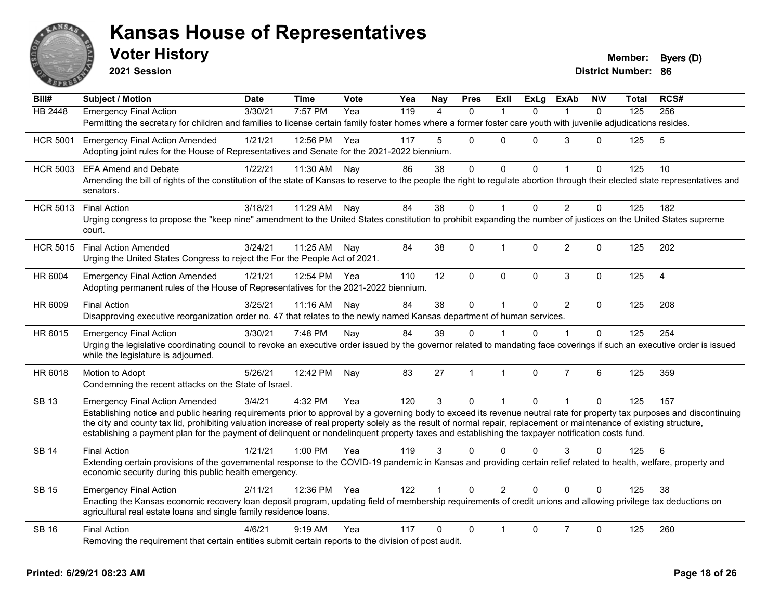

**2021 Session**

| Bill#           | <b>Subject / Motion</b>                                                                                                                                                                                                                                                                                                   | <b>Date</b> | <b>Time</b>  | <b>Vote</b> | Yea | Nay            | <b>Pres</b>  | <b>Exll</b>  | <b>ExLg</b>  | <b>ExAb</b>    | <b>NIV</b>   | Total | RCS#           |
|-----------------|---------------------------------------------------------------------------------------------------------------------------------------------------------------------------------------------------------------------------------------------------------------------------------------------------------------------------|-------------|--------------|-------------|-----|----------------|--------------|--------------|--------------|----------------|--------------|-------|----------------|
| HB 2448         | <b>Emergency Final Action</b>                                                                                                                                                                                                                                                                                             | 3/30/21     | 7:57 PM      | Yea         | 119 | $\Delta$       | $\Omega$     |              | $\Omega$     |                | $\Omega$     | 125   | 256            |
|                 | Permitting the secretary for children and families to license certain family foster homes where a former foster care youth with juvenile adjudications resides.                                                                                                                                                           |             |              |             |     |                |              |              |              |                |              |       |                |
| <b>HCR 5001</b> | <b>Emergency Final Action Amended</b>                                                                                                                                                                                                                                                                                     | 1/21/21     | 12:56 PM Yea |             | 117 | 5              | $\Omega$     | $\mathbf{0}$ | $\Omega$     | 3              | 0            | 125   | 5              |
|                 | Adopting joint rules for the House of Representatives and Senate for the 2021-2022 biennium.                                                                                                                                                                                                                              |             |              |             |     |                |              |              |              |                |              |       |                |
| <b>HCR 5003</b> | <b>EFA Amend and Debate</b>                                                                                                                                                                                                                                                                                               | 1/22/21     | 11:30 AM     | Nay         | 86  | 38             | $\mathbf 0$  | 0            | $\Omega$     | $\mathbf{1}$   | 0            | 125   | 10             |
|                 | Amending the bill of rights of the constitution of the state of Kansas to reserve to the people the right to regulate abortion through their elected state representatives and<br>senators.                                                                                                                               |             |              |             |     |                |              |              |              |                |              |       |                |
| <b>HCR 5013</b> | <b>Final Action</b>                                                                                                                                                                                                                                                                                                       | 3/18/21     | 11:29 AM     | Nay         | 84  | 38             | $\Omega$     | $\mathbf{1}$ | $\Omega$     | 2              | $\Omega$     | 125   | 182            |
|                 | Urging congress to propose the "keep nine" amendment to the United States constitution to prohibit expanding the number of justices on the United States supreme<br>court.                                                                                                                                                |             |              |             |     |                |              |              |              |                |              |       |                |
| <b>HCR 5015</b> | <b>Final Action Amended</b>                                                                                                                                                                                                                                                                                               | 3/24/21     | 11:25 AM Nay |             | 84  | 38             | 0            | 1            | $\Omega$     | $\overline{2}$ | $\Omega$     | 125   | 202            |
|                 | Urging the United States Congress to reject the For the People Act of 2021.                                                                                                                                                                                                                                               |             |              |             |     |                |              |              |              |                |              |       |                |
| HR 6004         | <b>Emergency Final Action Amended</b>                                                                                                                                                                                                                                                                                     | 1/21/21     | 12:54 PM     | Yea         | 110 | 12             | $\mathbf 0$  | $\mathbf 0$  | 0            | $\mathfrak{S}$ | 0            | 125   | $\overline{4}$ |
|                 | Adopting permanent rules of the House of Representatives for the 2021-2022 biennium.                                                                                                                                                                                                                                      |             |              |             |     |                |              |              |              |                |              |       |                |
| HR 6009         | <b>Final Action</b>                                                                                                                                                                                                                                                                                                       | 3/25/21     | 11:16 AM     | Nay         | 84  | 38             | $\mathbf 0$  | $\mathbf{1}$ | $\Omega$     | $\overline{2}$ | $\mathbf{0}$ | 125   | 208            |
|                 | Disapproving executive reorganization order no. 47 that relates to the newly named Kansas department of human services.                                                                                                                                                                                                   |             |              |             |     |                |              |              |              |                |              |       |                |
| HR 6015         | <b>Emergency Final Action</b>                                                                                                                                                                                                                                                                                             | 3/30/21     | 7:48 PM      | Nay         | 84  | 39             | $\Omega$     |              | $\Omega$     | 1              | $\Omega$     | 125   | 254            |
|                 | Urging the legislative coordinating council to revoke an executive order issued by the governor related to mandating face coverings if such an executive order is issued<br>while the legislature is adjourned.                                                                                                           |             |              |             |     |                |              |              |              |                |              |       |                |
| HR 6018         | Motion to Adopt                                                                                                                                                                                                                                                                                                           | 5/26/21     | 12:42 PM     | Nay         | 83  | 27             | $\mathbf{1}$ | $\mathbf{1}$ | $\Omega$     | $\overline{7}$ | 6            | 125   | 359            |
|                 | Condemning the recent attacks on the State of Israel.                                                                                                                                                                                                                                                                     |             |              |             |     |                |              |              |              |                |              |       |                |
| <b>SB 13</b>    | <b>Emergency Final Action Amended</b>                                                                                                                                                                                                                                                                                     | 3/4/21      | 4:32 PM      | Yea         | 120 | $\overline{3}$ | $\mathbf{0}$ | 1            | $\mathbf{0}$ | $\mathbf{1}$   | $\Omega$     | 125   | 157            |
|                 | Establishing notice and public hearing requirements prior to approval by a governing body to exceed its revenue neutral rate for property tax purposes and discontinuing                                                                                                                                                  |             |              |             |     |                |              |              |              |                |              |       |                |
|                 | the city and county tax lid, prohibiting valuation increase of real property solely as the result of normal repair, replacement or maintenance of existing structure,<br>establishing a payment plan for the payment of delinquent or nondelinquent property taxes and establishing the taxpayer notification costs fund. |             |              |             |     |                |              |              |              |                |              |       |                |
|                 |                                                                                                                                                                                                                                                                                                                           |             |              |             |     |                |              |              |              |                |              |       |                |
| <b>SB 14</b>    | <b>Final Action</b>                                                                                                                                                                                                                                                                                                       | 1/21/21     | 1:00 PM      | Yea         | 119 | 3              | $\Omega$     | $\mathbf{0}$ | $\Omega$     | 3              | $\mathbf{0}$ | 125   | 6              |
|                 | Extending certain provisions of the governmental response to the COVID-19 pandemic in Kansas and providing certain relief related to health, welfare, property and<br>economic security during this public health emergency.                                                                                              |             |              |             |     |                |              |              |              |                |              |       |                |
| <b>SB 15</b>    | <b>Emergency Final Action</b>                                                                                                                                                                                                                                                                                             | 2/11/21     | 12:36 PM Yea |             | 122 |                | $\Omega$     | 2            | $\Omega$     | $\Omega$       | $\Omega$     | 125   | 38             |
|                 | Enacting the Kansas economic recovery loan deposit program, updating field of membership requirements of credit unions and allowing privilege tax deductions on<br>agricultural real estate loans and single family residence loans.                                                                                      |             |              |             |     |                |              |              |              |                |              |       |                |
| <b>SB 16</b>    | <b>Final Action</b>                                                                                                                                                                                                                                                                                                       | 4/6/21      | $9:19$ AM    | Yea         | 117 | 0              | $\mathbf{0}$ |              | $\Omega$     | $\overline{7}$ | $\Omega$     | 125   | 260            |
|                 | Removing the requirement that certain entities submit certain reports to the division of post audit.                                                                                                                                                                                                                      |             |              |             |     |                |              |              |              |                |              |       |                |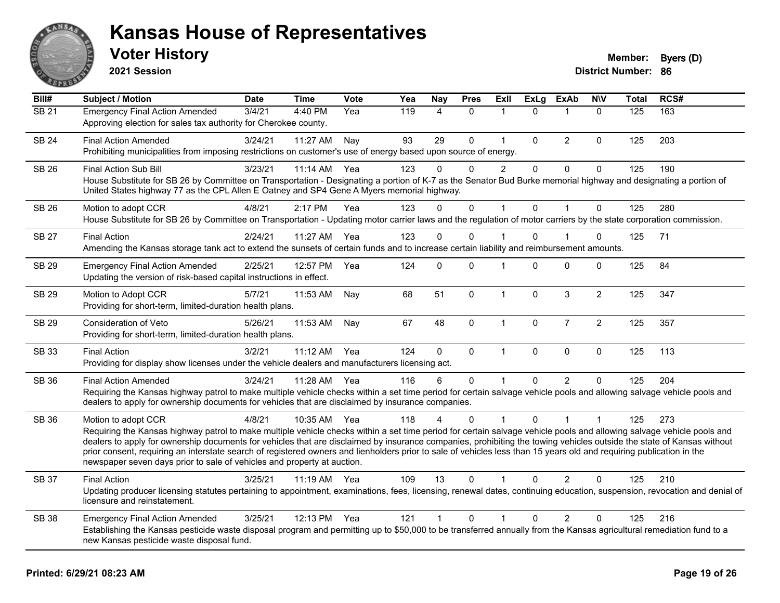

**2021 Session**

| Bill#        | <b>Subject / Motion</b>                                                                                                                                                                                                                                                                                                                                                                                                                                                                                                                                                                                                  | <b>Date</b> | <b>Time</b> | Vote | Yea | <b>Nay</b>   | <b>Pres</b> | Exll           | <b>ExLg</b>  | <b>ExAb</b>    | <b>NIV</b>       | <b>Total</b> | RCS# |
|--------------|--------------------------------------------------------------------------------------------------------------------------------------------------------------------------------------------------------------------------------------------------------------------------------------------------------------------------------------------------------------------------------------------------------------------------------------------------------------------------------------------------------------------------------------------------------------------------------------------------------------------------|-------------|-------------|------|-----|--------------|-------------|----------------|--------------|----------------|------------------|--------------|------|
| SB21         | <b>Emergency Final Action Amended</b><br>Approving election for sales tax authority for Cherokee county.                                                                                                                                                                                                                                                                                                                                                                                                                                                                                                                 | 3/4/21      | 4:40 PM     | Yea  | 119 | 4            | $\Omega$    | 1              | $\Omega$     | 1              | $\mathbf{0}$     | 125          | 163  |
| <b>SB 24</b> | <b>Final Action Amended</b><br>Prohibiting municipalities from imposing restrictions on customer's use of energy based upon source of energy.                                                                                                                                                                                                                                                                                                                                                                                                                                                                            | 3/24/21     | 11:27 AM    | Nav  | 93  | 29           | $\Omega$    | $\mathbf 1$    | $\Omega$     | $\overline{2}$ | 0                | 125          | 203  |
| <b>SB 26</b> | <b>Final Action Sub Bill</b><br>House Substitute for SB 26 by Committee on Transportation - Designating a portion of K-7 as the Senator Bud Burke memorial highway and designating a portion of<br>United States highway 77 as the CPL Allen E Oatney and SP4 Gene A Myers memorial highway.                                                                                                                                                                                                                                                                                                                             | 3/23/21     | 11:14 AM    | Yea  | 123 | 0            | $\Omega$    | $\overline{2}$ | 0            | $\mathbf 0$    | 0                | 125          | 190  |
| <b>SB 26</b> | Motion to adopt CCR<br>House Substitute for SB 26 by Committee on Transportation - Updating motor carrier laws and the regulation of motor carriers by the state corporation commission.                                                                                                                                                                                                                                                                                                                                                                                                                                 | 4/8/21      | 2:17 PM     | Yea  | 123 | $\Omega$     | $\mathbf 0$ | $\mathbf{1}$   | $\mathbf{0}$ | $\mathbf{1}$   | $\mathbf 0$      | 125          | 280  |
| <b>SB 27</b> | <b>Final Action</b><br>Amending the Kansas storage tank act to extend the sunsets of certain funds and to increase certain liability and reimbursement amounts.                                                                                                                                                                                                                                                                                                                                                                                                                                                          | 2/24/21     | 11:27 AM    | Yea  | 123 | $\Omega$     | $\Omega$    |                | $\Omega$     |                | 0                | 125          | 71   |
| <b>SB 29</b> | <b>Emergency Final Action Amended</b><br>Updating the version of risk-based capital instructions in effect.                                                                                                                                                                                                                                                                                                                                                                                                                                                                                                              | 2/25/21     | 12:57 PM    | Yea  | 124 | $\Omega$     | $\Omega$    | 1              | $\Omega$     | $\mathbf{0}$   | 0                | 125          | 84   |
| <b>SB 29</b> | Motion to Adopt CCR<br>Providing for short-term, limited-duration health plans.                                                                                                                                                                                                                                                                                                                                                                                                                                                                                                                                          | 5/7/21      | 11:53 AM    | Nay  | 68  | 51           | $\mathbf 0$ | $\mathbf{1}$   | $\Omega$     | 3              | $\overline{c}$   | 125          | 347  |
| SB 29        | Consideration of Veto<br>Providing for short-term, limited-duration health plans.                                                                                                                                                                                                                                                                                                                                                                                                                                                                                                                                        | 5/26/21     | 11:53 AM    | Nay  | 67  | 48           | $\mathbf 0$ | $\mathbf{1}$   | $\mathbf 0$  | $\overline{7}$ | $\boldsymbol{2}$ | 125          | 357  |
| <b>SB 33</b> | <b>Final Action</b><br>Providing for display show licenses under the vehicle dealers and manufacturers licensing act.                                                                                                                                                                                                                                                                                                                                                                                                                                                                                                    | 3/2/21      | 11:12 AM    | Yea  | 124 | $\mathbf{0}$ | $\mathbf 0$ | $\mathbf{1}$   | $\mathbf{0}$ | $\mathbf{0}$   | $\mathbf 0$      | 125          | 113  |
| SB 36        | <b>Final Action Amended</b><br>Requiring the Kansas highway patrol to make multiple vehicle checks within a set time period for certain salvage vehicle pools and allowing salvage vehicle pools and<br>dealers to apply for ownership documents for vehicles that are disclaimed by insurance companies.                                                                                                                                                                                                                                                                                                                | 3/24/21     | 11:28 AM    | Yea  | 116 | 6            | $\Omega$    | $\mathbf 1$    | $\Omega$     | $\overline{2}$ | 0                | 125          | 204  |
| <b>SB 36</b> | Motion to adopt CCR<br>Requiring the Kansas highway patrol to make multiple vehicle checks within a set time period for certain salvage vehicle pools and allowing salvage vehicle pools and<br>dealers to apply for ownership documents for vehicles that are disclaimed by insurance companies, prohibiting the towing vehicles outside the state of Kansas without<br>prior consent, requiring an interstate search of registered owners and lienholders prior to sale of vehicles less than 15 years old and requiring publication in the<br>newspaper seven days prior to sale of vehicles and property at auction. | 4/8/21      | 10:35 AM    | Yea  | 118 | 4            | $\Omega$    |                | $\mathbf{0}$ |                | $\mathbf 1$      | 125          | 273  |
| SB 37        | <b>Final Action</b><br>Updating producer licensing statutes pertaining to appointment, examinations, fees, licensing, renewal dates, continuing education, suspension, revocation and denial of<br>licensure and reinstatement.                                                                                                                                                                                                                                                                                                                                                                                          | 3/25/21     | $11:19$ AM  | Yea  | 109 | 13           | 0           |                | 0            | 2              | 0                | 125          | 210  |
| <b>SB 38</b> | <b>Emergency Final Action Amended</b><br>Establishing the Kansas pesticide waste disposal program and permitting up to \$50,000 to be transferred annually from the Kansas agricultural remediation fund to a<br>new Kansas pesticide waste disposal fund.                                                                                                                                                                                                                                                                                                                                                               | 3/25/21     | 12:13 PM    | Yea  | 121 | $\mathbf{1}$ | $\Omega$    | 1              | $\Omega$     | $\overline{2}$ | 0                | 125          | 216  |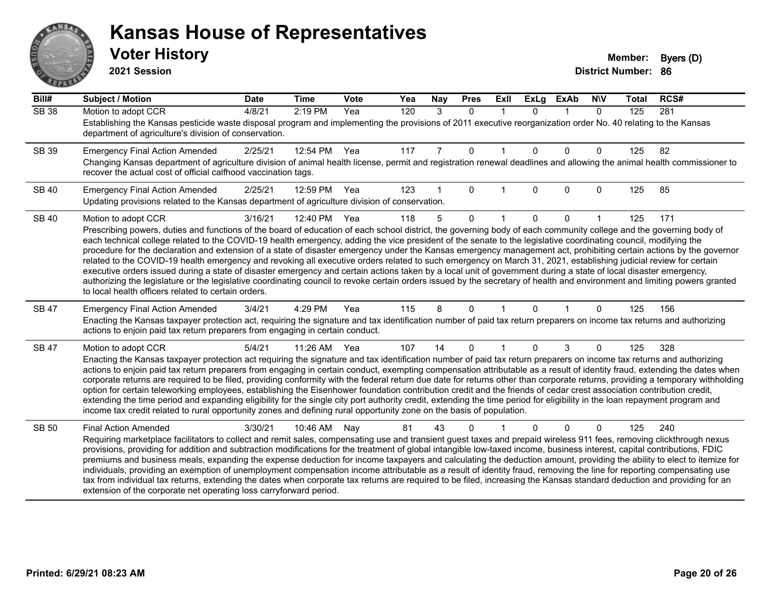# ANS Ě

#### **Kansas House of Representatives**

**2021 Session**

| $\overline{Bill#}$ | <b>Subject / Motion</b>                                                                                                                                                                                                                                                                                                                                    | <b>Date</b> | <b>Time</b> | <b>Vote</b> | Yea | Nay | <b>Pres</b>  | ExII | <b>ExLg</b> | <b>ExAb</b>  | <b>NIV</b> | <b>Total</b> | RCS# |
|--------------------|------------------------------------------------------------------------------------------------------------------------------------------------------------------------------------------------------------------------------------------------------------------------------------------------------------------------------------------------------------|-------------|-------------|-------------|-----|-----|--------------|------|-------------|--------------|------------|--------------|------|
| <b>SB 38</b>       | Motion to adopt CCR                                                                                                                                                                                                                                                                                                                                        | 4/8/21      | 2:19 PM     | Yea         | 120 | 3   | $\mathbf{0}$ | 1    | $\Omega$    | $\mathbf 1$  | $\Omega$   | 125          | 281  |
|                    | Establishing the Kansas pesticide waste disposal program and implementing the provisions of 2011 executive reorganization order No. 40 relating to the Kansas<br>department of agriculture's division of conservation.                                                                                                                                     |             |             |             |     |     |              |      |             |              |            |              |      |
| SB 39              | <b>Emergency Final Action Amended</b>                                                                                                                                                                                                                                                                                                                      | 2/25/21     | 12:54 PM    | Yea         | 117 | 7   | $\mathbf 0$  |      | $\Omega$    | $\mathbf{0}$ | 0          | 125          | 82   |
|                    | Changing Kansas department of agriculture division of animal health license, permit and registration renewal deadlines and allowing the animal health commissioner to<br>recover the actual cost of official calfhood vaccination tags.                                                                                                                    |             |             |             |     |     |              |      |             |              |            |              |      |
| <b>SB 40</b>       | <b>Emergency Final Action Amended</b>                                                                                                                                                                                                                                                                                                                      | 2/25/21     | 12:59 PM    | Yea         | 123 |     | $\Omega$     |      | $\Omega$    | $\Omega$     | 0          | 125          | 85   |
|                    | Updating provisions related to the Kansas department of agriculture division of conservation.                                                                                                                                                                                                                                                              |             |             |             |     |     |              |      |             |              |            |              |      |
| <b>SB 40</b>       | Motion to adopt CCR                                                                                                                                                                                                                                                                                                                                        | 3/16/21     | 12:40 PM    | Yea         | 118 | 5   | $\Omega$     |      | 0           | 0            |            | 125          | 171  |
|                    | Prescribing powers, duties and functions of the board of education of each school district, the governing body of each community college and the governing body of                                                                                                                                                                                         |             |             |             |     |     |              |      |             |              |            |              |      |
|                    | each technical college related to the COVID-19 health emergency, adding the vice president of the senate to the legislative coordinating council, modifying the<br>procedure for the declaration and extension of a state of disaster emergency under the Kansas emergency management act, prohibiting certain actions by the governor                     |             |             |             |     |     |              |      |             |              |            |              |      |
|                    | related to the COVID-19 health emergency and revoking all executive orders related to such emergency on March 31, 2021, establishing judicial review for certain                                                                                                                                                                                           |             |             |             |     |     |              |      |             |              |            |              |      |
|                    | executive orders issued during a state of disaster emergency and certain actions taken by a local unit of government during a state of local disaster emergency,                                                                                                                                                                                           |             |             |             |     |     |              |      |             |              |            |              |      |
|                    | authorizing the legislature or the legislative coordinating council to revoke certain orders issued by the secretary of health and environment and limiting powers granted<br>to local health officers related to certain orders.                                                                                                                          |             |             |             |     |     |              |      |             |              |            |              |      |
| <b>SB 47</b>       | <b>Emergency Final Action Amended</b>                                                                                                                                                                                                                                                                                                                      | 3/4/21      | 4:29 PM     | Yea         | 115 | 8   | $\Omega$     |      | $\Omega$    |              | 0          | 125          | 156  |
|                    | Enacting the Kansas taxpayer protection act, requiring the signature and tax identification number of paid tax return preparers on income tax returns and authorizing                                                                                                                                                                                      |             |             |             |     |     |              |      |             |              |            |              |      |
|                    | actions to enjoin paid tax return preparers from engaging in certain conduct.                                                                                                                                                                                                                                                                              |             |             |             |     |     |              |      |             |              |            |              |      |
| <b>SB 47</b>       | Motion to adopt CCR                                                                                                                                                                                                                                                                                                                                        | 5/4/21      | 11:26 AM    | Yea         | 107 | 14  | $\Omega$     |      | $\Omega$    | 3            | 0          | 125          | 328  |
|                    | Enacting the Kansas taxpayer protection act requiring the signature and tax identification number of paid tax return preparers on income tax returns and authorizing                                                                                                                                                                                       |             |             |             |     |     |              |      |             |              |            |              |      |
|                    | actions to enjoin paid tax return preparers from engaging in certain conduct, exempting compensation attributable as a result of identity fraud, extending the dates when<br>corporate returns are required to be filed, providing conformity with the federal return due date for returns other than corporate returns, providing a temporary withholding |             |             |             |     |     |              |      |             |              |            |              |      |
|                    | option for certain teleworking employees, establishing the Eisenhower foundation contribution credit and the friends of cedar crest association contribution credit,                                                                                                                                                                                       |             |             |             |     |     |              |      |             |              |            |              |      |
|                    | extending the time period and expanding eligibility for the single city port authority credit, extending the time period for eligibility in the loan repayment program and                                                                                                                                                                                 |             |             |             |     |     |              |      |             |              |            |              |      |
|                    | income tax credit related to rural opportunity zones and defining rural opportunity zone on the basis of population.                                                                                                                                                                                                                                       |             |             |             |     |     |              |      |             |              |            |              |      |
| SB 50              | <b>Final Action Amended</b>                                                                                                                                                                                                                                                                                                                                | 3/30/21     | 10:46 AM    | Nay         | 81  | 43  | 0            |      |             | $\Omega$     | 0          | 125          | 240  |
|                    | Requiring marketplace facilitators to collect and remit sales, compensating use and transient guest taxes and prepaid wireless 911 fees, removing clickthrough nexus<br>provisions, providing for addition and subtraction modifications for the treatment of global intangible low-taxed income, business interest, capital contributions, FDIC           |             |             |             |     |     |              |      |             |              |            |              |      |
|                    | premiums and business meals, expanding the expense deduction for income taxpayers and calculating the deduction amount, providing the ability to elect to itemize for                                                                                                                                                                                      |             |             |             |     |     |              |      |             |              |            |              |      |
|                    | individuals, providing an exemption of unemployment compensation income attributable as a result of identity fraud, removing the line for reporting compensating use                                                                                                                                                                                       |             |             |             |     |     |              |      |             |              |            |              |      |
|                    | tax from individual tax returns, extending the dates when corporate tax returns are required to be filed, increasing the Kansas standard deduction and providing for an<br>extension of the corporate net operating loss carryforward period.                                                                                                              |             |             |             |     |     |              |      |             |              |            |              |      |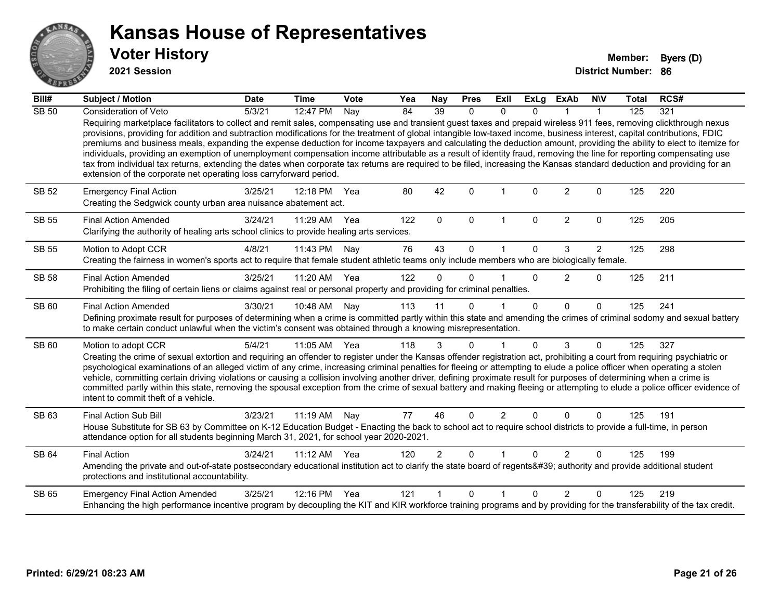

**2021 Session**

| Bill#        | <b>Subject / Motion</b>                                                                                                                                                                                                                                                                                                                                                                                                                                                                                                                                                                                                                                                                                                                                                                                                                                                                                                                            | <b>Date</b> | <b>Time</b>  | <b>Vote</b> | Yea | Nay            | <b>Pres</b>  | ExII           | <b>ExLg</b> | <b>ExAb</b>    | <b>NIV</b>     | <b>Total</b> | RCS# |
|--------------|----------------------------------------------------------------------------------------------------------------------------------------------------------------------------------------------------------------------------------------------------------------------------------------------------------------------------------------------------------------------------------------------------------------------------------------------------------------------------------------------------------------------------------------------------------------------------------------------------------------------------------------------------------------------------------------------------------------------------------------------------------------------------------------------------------------------------------------------------------------------------------------------------------------------------------------------------|-------------|--------------|-------------|-----|----------------|--------------|----------------|-------------|----------------|----------------|--------------|------|
| <b>SB 50</b> | Consideration of Veto                                                                                                                                                                                                                                                                                                                                                                                                                                                                                                                                                                                                                                                                                                                                                                                                                                                                                                                              | 5/3/21      | 12:47 PM     | Nay         | 84  | 39             | $\mathbf{0}$ | $\Omega$       | $\Omega$    |                | $\mathbf{1}$   | 125          | 321  |
|              | Requiring marketplace facilitators to collect and remit sales, compensating use and transient guest taxes and prepaid wireless 911 fees, removing clickthrough nexus<br>provisions, providing for addition and subtraction modifications for the treatment of global intangible low-taxed income, business interest, capital contributions, FDIC<br>premiums and business meals, expanding the expense deduction for income taxpayers and calculating the deduction amount, providing the ability to elect to itemize for<br>individuals, providing an exemption of unemployment compensation income attributable as a result of identity fraud, removing the line for reporting compensating use<br>tax from individual tax returns, extending the dates when corporate tax returns are required to be filed, increasing the Kansas standard deduction and providing for an<br>extension of the corporate net operating loss carryforward period. |             |              |             |     |                |              |                |             |                |                |              |      |
| SB 52        | <b>Emergency Final Action</b><br>Creating the Sedgwick county urban area nuisance abatement act.                                                                                                                                                                                                                                                                                                                                                                                                                                                                                                                                                                                                                                                                                                                                                                                                                                                   | 3/25/21     | 12:18 PM     | Yea         | 80  | 42             | $\Omega$     |                | $\Omega$    | 2              | 0              | 125          | 220  |
| <b>SB 55</b> | <b>Final Action Amended</b><br>Clarifying the authority of healing arts school clinics to provide healing arts services.                                                                                                                                                                                                                                                                                                                                                                                                                                                                                                                                                                                                                                                                                                                                                                                                                           | 3/24/21     | 11:29 AM     | Yea         | 122 | $\mathbf{0}$   | $\mathbf{0}$ | $\mathbf{1}$   | $\Omega$    | $\overline{2}$ | 0              | 125          | 205  |
| <b>SB 55</b> | Motion to Adopt CCR                                                                                                                                                                                                                                                                                                                                                                                                                                                                                                                                                                                                                                                                                                                                                                                                                                                                                                                                | 4/8/21      | 11:43 PM     | Nay         | 76  | 43             | $\Omega$     |                | $\Omega$    | 3              | $\overline{2}$ | 125          | 298  |
|              | Creating the fairness in women's sports act to require that female student athletic teams only include members who are biologically female.                                                                                                                                                                                                                                                                                                                                                                                                                                                                                                                                                                                                                                                                                                                                                                                                        |             |              |             |     |                |              |                |             |                |                |              |      |
| <b>SB 58</b> | <b>Final Action Amended</b><br>Prohibiting the filing of certain liens or claims against real or personal property and providing for criminal penalties.                                                                                                                                                                                                                                                                                                                                                                                                                                                                                                                                                                                                                                                                                                                                                                                           | 3/25/21     | 11:20 AM Yea |             | 122 | $\Omega$       | $\Omega$     |                | $\Omega$    | 2              | $\Omega$       | 125          | 211  |
| SB 60        | <b>Final Action Amended</b><br>Defining proximate result for purposes of determining when a crime is committed partly within this state and amending the crimes of criminal sodomy and sexual battery<br>to make certain conduct unlawful when the victim's consent was obtained through a knowing misrepresentation.                                                                                                                                                                                                                                                                                                                                                                                                                                                                                                                                                                                                                              | 3/30/21     | 10:48 AM     | Nay         | 113 | 11             | $\Omega$     |                | $\Omega$    | $\Omega$       | $\Omega$       | 125          | 241  |
| <b>SB 60</b> | Motion to adopt CCR                                                                                                                                                                                                                                                                                                                                                                                                                                                                                                                                                                                                                                                                                                                                                                                                                                                                                                                                | 5/4/21      | 11:05 AM Yea |             | 118 | 3              | $\Omega$     |                | $\Omega$    | 3              | $\Omega$       | 125          | 327  |
|              | Creating the crime of sexual extortion and requiring an offender to register under the Kansas offender registration act, prohibiting a court from requiring psychiatric or<br>psychological examinations of an alleged victim of any crime, increasing criminal penalties for fleeing or attempting to elude a police officer when operating a stolen<br>vehicle, committing certain driving violations or causing a collision involving another driver, defining proximate result for purposes of determining when a crime is<br>committed partly within this state, removing the spousal exception from the crime of sexual battery and making fleeing or attempting to elude a police officer evidence of<br>intent to commit theft of a vehicle.                                                                                                                                                                                               |             |              |             |     |                |              |                |             |                |                |              |      |
| SB 63        | Final Action Sub Bill<br>House Substitute for SB 63 by Committee on K-12 Education Budget - Enacting the back to school act to require school districts to provide a full-time, in person                                                                                                                                                                                                                                                                                                                                                                                                                                                                                                                                                                                                                                                                                                                                                          | 3/23/21     | 11:19 AM Nay |             | 77  | 46             | $\Omega$     | $\overline{2}$ | $\Omega$    | $\mathbf{0}$   | $\Omega$       | 125          | 191  |
|              | attendance option for all students beginning March 31, 2021, for school year 2020-2021.                                                                                                                                                                                                                                                                                                                                                                                                                                                                                                                                                                                                                                                                                                                                                                                                                                                            |             |              |             |     |                |              |                |             |                |                |              |      |
| <b>SB 64</b> | <b>Final Action</b>                                                                                                                                                                                                                                                                                                                                                                                                                                                                                                                                                                                                                                                                                                                                                                                                                                                                                                                                | 3/24/21     | 11:12 AM     | Yea         | 120 | $\overline{2}$ | $\Omega$     |                | $\Omega$    | $\overline{2}$ | $\Omega$       | 125          | 199  |
|              | Amending the private and out-of-state postsecondary educational institution act to clarify the state board of regents' authority and provide additional student<br>protections and institutional accountability.                                                                                                                                                                                                                                                                                                                                                                                                                                                                                                                                                                                                                                                                                                                                   |             |              |             |     |                |              |                |             |                |                |              |      |
| SB 65        | <b>Emergency Final Action Amended</b>                                                                                                                                                                                                                                                                                                                                                                                                                                                                                                                                                                                                                                                                                                                                                                                                                                                                                                              | 3/25/21     | 12:16 PM     | Yea         | 121 |                | $\Omega$     | 1              | $\Omega$    | $\mathcal{P}$  | $\Omega$       | 125          | 219  |
|              | Enhancing the high performance incentive program by decoupling the KIT and KIR workforce training programs and by providing for the transferability of the tax credit.                                                                                                                                                                                                                                                                                                                                                                                                                                                                                                                                                                                                                                                                                                                                                                             |             |              |             |     |                |              |                |             |                |                |              |      |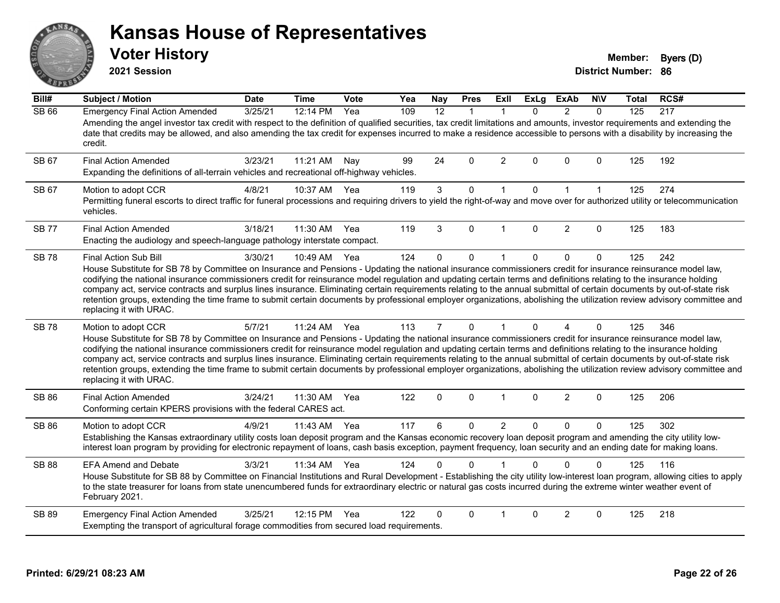# ANS **PIVE**

#### **Kansas House of Representatives**

**2021 Session**

**Voter History Member: Byers** (D)

| Bill#        | <b>Subject / Motion</b>                                                                                                                                                                                                                                                                                                                                                                                                                                                                                                                                                                                                                                                                                                                        | <b>Date</b> | <b>Time</b> | Vote | Yea | <b>Nay</b>     | <b>Pres</b>  | <b>ExII</b>    | <b>ExLg</b> | <b>ExAb</b>    | <b>NIV</b>   | Total | RCS# |
|--------------|------------------------------------------------------------------------------------------------------------------------------------------------------------------------------------------------------------------------------------------------------------------------------------------------------------------------------------------------------------------------------------------------------------------------------------------------------------------------------------------------------------------------------------------------------------------------------------------------------------------------------------------------------------------------------------------------------------------------------------------------|-------------|-------------|------|-----|----------------|--------------|----------------|-------------|----------------|--------------|-------|------|
| <b>SB 66</b> | <b>Emergency Final Action Amended</b><br>Amending the angel investor tax credit with respect to the definition of qualified securities, tax credit limitations and amounts, investor requirements and extending the<br>date that credits may be allowed, and also amending the tax credit for expenses incurred to make a residence accessible to persons with a disability by increasing the<br>credit.                                                                                                                                                                                                                                                                                                                                       | 3/25/21     | 12:14 PM    | Yea  | 109 | 12             | $\mathbf 1$  | $\mathbf{1}$   | $\Omega$    | $\overline{2}$ | $\Omega$     | 125   | 217  |
| SB 67        | <b>Final Action Amended</b><br>Expanding the definitions of all-terrain vehicles and recreational off-highway vehicles.                                                                                                                                                                                                                                                                                                                                                                                                                                                                                                                                                                                                                        | 3/23/21     | 11:21 AM    | Nay  | 99  | 24             | $\Omega$     | 2              | $\Omega$    | $\Omega$       | $\Omega$     | 125   | 192  |
| SB 67        | Motion to adopt CCR<br>Permitting funeral escorts to direct traffic for funeral processions and requiring drivers to yield the right-of-way and move over for authorized utility or telecommunication<br>vehicles.                                                                                                                                                                                                                                                                                                                                                                                                                                                                                                                             | 4/8/21      | 10:37 AM    | Yea  | 119 | $\mathbf{3}$   | 0            | $\mathbf{1}$   | $\mathbf 0$ | $\mathbf{1}$   | $\mathbf{1}$ | 125   | 274  |
| <b>SB77</b>  | <b>Final Action Amended</b><br>Enacting the audiology and speech-language pathology interstate compact.                                                                                                                                                                                                                                                                                                                                                                                                                                                                                                                                                                                                                                        | 3/18/21     | 11:30 AM    | Yea  | 119 | 3              | $\Omega$     |                | $\Omega$    | 2              | $\Omega$     | 125   | 183  |
| <b>SB78</b>  | Final Action Sub Bill<br>House Substitute for SB 78 by Committee on Insurance and Pensions - Updating the national insurance commissioners credit for insurance reinsurance model law,<br>codifying the national insurance commissioners credit for reinsurance model regulation and updating certain terms and definitions relating to the insurance holding<br>company act, service contracts and surplus lines insurance. Eliminating certain requirements relating to the annual submittal of certain documents by out-of-state risk<br>retention groups, extending the time frame to submit certain documents by professional employer organizations, abolishing the utilization review advisory committee and<br>replacing it with URAC. | 3/30/21     | 10:49 AM    | Yea  | 124 | $\Omega$       | 0            | $\mathbf{1}$   | $\Omega$    | $\mathbf{0}$   | $\mathbf 0$  | 125   | 242  |
| <b>SB78</b>  | Motion to adopt CCR<br>House Substitute for SB 78 by Committee on Insurance and Pensions - Updating the national insurance commissioners credit for insurance reinsurance model law,<br>codifying the national insurance commissioners credit for reinsurance model regulation and updating certain terms and definitions relating to the insurance holding<br>company act, service contracts and surplus lines insurance. Eliminating certain requirements relating to the annual submittal of certain documents by out-of-state risk<br>retention groups, extending the time frame to submit certain documents by professional employer organizations, abolishing the utilization review advisory committee and<br>replacing it with URAC.   | 5/7/21      | 11:24 AM    | Yea  | 113 | $\overline{7}$ | $\mathbf{0}$ | $\mathbf{1}$   | $\Omega$    | 4              | $\Omega$     | 125   | 346  |
| <b>SB 86</b> | <b>Final Action Amended</b><br>Conforming certain KPERS provisions with the federal CARES act.                                                                                                                                                                                                                                                                                                                                                                                                                                                                                                                                                                                                                                                 | 3/24/21     | 11:30 AM    | Yea  | 122 | 0              | 0            | $\mathbf{1}$   | $\mathbf 0$ | $\overline{2}$ | $\mathbf 0$  | 125   | 206  |
| <b>SB 86</b> | Motion to adopt CCR<br>Establishing the Kansas extraordinary utility costs loan deposit program and the Kansas economic recovery loan deposit program and amending the city utility low-<br>interest loan program by providing for electronic repayment of loans, cash basis exception, payment frequency, loan security and an ending date for making loans.                                                                                                                                                                                                                                                                                                                                                                                  | 4/9/21      | 11:43 AM    | Yea  | 117 | 6              | 0            | $\overline{2}$ | $\Omega$    | $\mathbf{0}$   | $\Omega$     | 125   | 302  |
| <b>SB 88</b> | <b>EFA Amend and Debate</b><br>House Substitute for SB 88 by Committee on Financial Institutions and Rural Development - Establishing the city utility low-interest loan program, allowing cities to apply<br>to the state treasurer for loans from state unencumbered funds for extraordinary electric or natural gas costs incurred during the extreme winter weather event of<br>February 2021.                                                                                                                                                                                                                                                                                                                                             | 3/3/21      | 11:34 AM    | Yea  | 124 | 0              | $\Omega$     |                | $\Omega$    | $\Omega$       | $\Omega$     | 125   | 116  |
| SB 89        | <b>Emergency Final Action Amended</b><br>Exempting the transport of agricultural forage commodities from secured load requirements.                                                                                                                                                                                                                                                                                                                                                                                                                                                                                                                                                                                                            | 3/25/21     | 12:15 PM    | Yea  | 122 | 0              | $\Omega$     |                | $\Omega$    | $\overline{2}$ | $\Omega$     | 125   | 218  |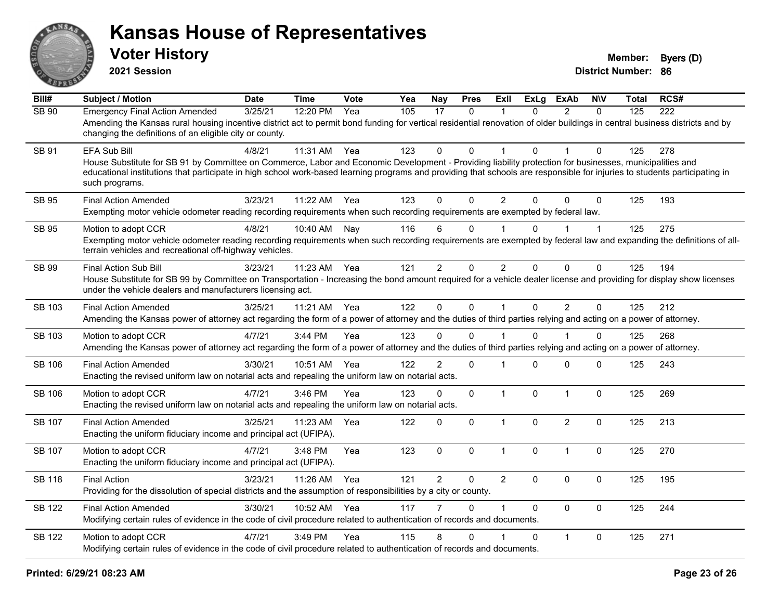

**2021 Session**

| Bill#         | <b>Subject / Motion</b>                                                                                                                                                                                                                                                                                                                                                 | <b>Date</b> | <b>Time</b> | <b>Vote</b> | Yea | Nay            | <b>Pres</b>  | <b>ExII</b>    | <b>ExLg</b>  | <b>ExAb</b>    | <b>NIV</b>  | Total | RCS# |
|---------------|-------------------------------------------------------------------------------------------------------------------------------------------------------------------------------------------------------------------------------------------------------------------------------------------------------------------------------------------------------------------------|-------------|-------------|-------------|-----|----------------|--------------|----------------|--------------|----------------|-------------|-------|------|
| <b>SB 90</b>  | <b>Emergency Final Action Amended</b><br>Amending the Kansas rural housing incentive district act to permit bond funding for vertical residential renovation of older buildings in central business districts and by<br>changing the definitions of an eligible city or county.                                                                                         | 3/25/21     | 12:20 PM    | Yea         | 105 | 17             | 0            | 1              | 0            | $\overline{2}$ | $\Omega$    | 125   | 222  |
| SB 91         | EFA Sub Bill<br>House Substitute for SB 91 by Committee on Commerce, Labor and Economic Development - Providing liability protection for businesses, municipalities and<br>educational institutions that participate in high school work-based learning programs and providing that schools are responsible for injuries to students participating in<br>such programs. | 4/8/21      | 11:31 AM    | Yea         | 123 | 0              | $\Omega$     | -1             | $\Omega$     |                | 0           | 125   | 278  |
| <b>SB 95</b>  | <b>Final Action Amended</b><br>Exempting motor vehicle odometer reading recording requirements when such recording requirements are exempted by federal law.                                                                                                                                                                                                            | 3/23/21     | 11:22 AM    | Yea         | 123 | $\Omega$       | $\Omega$     | $\overline{2}$ | $\Omega$     | $\Omega$       | 0           | 125   | 193  |
| SB 95         | Motion to adopt CCR<br>Exempting motor vehicle odometer reading recording requirements when such recording requirements are exempted by federal law and expanding the definitions of all-<br>terrain vehicles and recreational off-highway vehicles.                                                                                                                    | 4/8/21      | 10:40 AM    | Nay         | 116 | 6              | 0            |                | 0            |                | 1           | 125   | 275  |
| <b>SB 99</b>  | <b>Final Action Sub Bill</b><br>House Substitute for SB 99 by Committee on Transportation - Increasing the bond amount required for a vehicle dealer license and providing for display show licenses<br>under the vehicle dealers and manufacturers licensing act.                                                                                                      | 3/23/21     | 11:23 AM    | Yea         | 121 | $\overline{2}$ | $\Omega$     | $\overline{2}$ | $\mathbf{0}$ | $\mathbf{0}$   | 0           | 125   | 194  |
| <b>SB 103</b> | <b>Final Action Amended</b><br>Amending the Kansas power of attorney act regarding the form of a power of attorney and the duties of third parties relying and acting on a power of attorney.                                                                                                                                                                           | 3/25/21     | 11:21 AM    | Yea         | 122 | $\Omega$       | $\mathbf 0$  | $\mathbf{1}$   | $\Omega$     | 2              | $\Omega$    | 125   | 212  |
| SB 103        | Motion to adopt CCR<br>Amending the Kansas power of attorney act regarding the form of a power of attorney and the duties of third parties relying and acting on a power of attorney.                                                                                                                                                                                   | 4/7/21      | 3:44 PM     | Yea         | 123 | 0              | $\Omega$     |                | $\Omega$     |                | 0           | 125   | 268  |
| <b>SB 106</b> | <b>Final Action Amended</b><br>Enacting the revised uniform law on notarial acts and repealing the uniform law on notarial acts.                                                                                                                                                                                                                                        | 3/30/21     | 10:51 AM    | Yea         | 122 | 2              | $\pmb{0}$    | $\overline{1}$ | $\Omega$     | 0              | 0           | 125   | 243  |
| <b>SB 106</b> | Motion to adopt CCR<br>Enacting the revised uniform law on notarial acts and repealing the uniform law on notarial acts.                                                                                                                                                                                                                                                | 4/7/21      | 3:46 PM     | Yea         | 123 | 0              | $\mathbf{0}$ | $\mathbf{1}$   | $\mathbf{0}$ | $\overline{1}$ | $\Omega$    | 125   | 269  |
| SB 107        | <b>Final Action Amended</b><br>Enacting the uniform fiduciary income and principal act (UFIPA).                                                                                                                                                                                                                                                                         | 3/25/21     | 11:23 AM    | Yea         | 122 | 0              | $\Omega$     | $\mathbf{1}$   | $\Omega$     | $\overline{2}$ | $\mathbf 0$ | 125   | 213  |
| <b>SB 107</b> | Motion to adopt CCR<br>Enacting the uniform fiduciary income and principal act (UFIPA).                                                                                                                                                                                                                                                                                 | 4/7/21      | 3:48 PM     | Yea         | 123 | $\mathbf 0$    | 0            | $\mathbf{1}$   | $\mathbf 0$  | $\overline{1}$ | $\pmb{0}$   | 125   | 270  |
| <b>SB 118</b> | <b>Final Action</b><br>Providing for the dissolution of special districts and the assumption of responsibilities by a city or county.                                                                                                                                                                                                                                   | 3/23/21     | 11:26 AM    | Yea         | 121 | $\overline{2}$ | 0            | $\overline{2}$ | $\Omega$     | $\mathbf 0$    | $\mathbf 0$ | 125   | 195  |
| <b>SB 122</b> | <b>Final Action Amended</b><br>Modifying certain rules of evidence in the code of civil procedure related to authentication of records and documents.                                                                                                                                                                                                                   | 3/30/21     | 10:52 AM    | Yea         | 117 |                | 0            | $\overline{1}$ | $\Omega$     | $\Omega$       | 0           | 125   | 244  |
| SB 122        | Motion to adopt CCR<br>Modifying certain rules of evidence in the code of civil procedure related to authentication of records and documents.                                                                                                                                                                                                                           | 4/7/21      | 3:49 PM     | Yea         | 115 | 8              | 0            |                | $\Omega$     | $\mathbf{1}$   | 0           | 125   | 271  |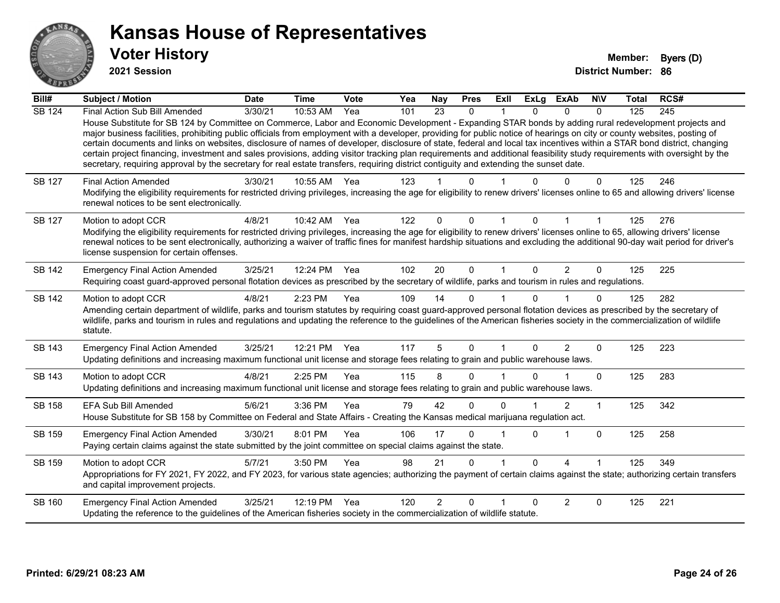

**2021 Session**

| Bill#         | <b>Subject / Motion</b>                                                                                                                                                                                                                                                                                                                                                                                                                                                                                                                                                                                                                                                                                                                                                                                                                                              | <b>Date</b> | <b>Time</b> | Vote | Yea | <b>Nay</b>     | <b>Pres</b>  | <b>ExII</b> | <b>ExLg</b>  | <b>ExAb</b> | <b>NIV</b> | <b>Total</b> | RCS# |
|---------------|----------------------------------------------------------------------------------------------------------------------------------------------------------------------------------------------------------------------------------------------------------------------------------------------------------------------------------------------------------------------------------------------------------------------------------------------------------------------------------------------------------------------------------------------------------------------------------------------------------------------------------------------------------------------------------------------------------------------------------------------------------------------------------------------------------------------------------------------------------------------|-------------|-------------|------|-----|----------------|--------------|-------------|--------------|-------------|------------|--------------|------|
| <b>SB 124</b> | Final Action Sub Bill Amended<br>House Substitute for SB 124 by Committee on Commerce, Labor and Economic Development - Expanding STAR bonds by adding rural redevelopment projects and<br>major business facilities, prohibiting public officials from employment with a developer, providing for public notice of hearings on city or county websites, posting of<br>certain documents and links on websites, disclosure of names of developer, disclosure of state, federal and local tax incentives within a STAR bond district, changing<br>certain project financing, investment and sales provisions, adding visitor tracking plan requirements and additional feasibility study requirements with oversight by the<br>secretary, requiring approval by the secretary for real estate transfers, requiring district contiguity and extending the sunset date. | 3/30/21     | 10:53 AM    | Yea  | 101 | 23             | $\mathbf{0}$ | 1           | 0            | $\Omega$    | $\Omega$   | 125          | 245  |
| SB 127        | <b>Final Action Amended</b><br>Modifying the eligibility requirements for restricted driving privileges, increasing the age for eligibility to renew drivers' licenses online to 65 and allowing drivers' license<br>renewal notices to be sent electronically.                                                                                                                                                                                                                                                                                                                                                                                                                                                                                                                                                                                                      | 3/30/21     | 10:55 AM    | Yea  | 123 |                | 0            |             |              |             | 0          | 125          | 246  |
| SB 127        | Motion to adopt CCR<br>Modifying the eligibility requirements for restricted driving privileges, increasing the age for eligibility to renew drivers' licenses online to 65, allowing drivers' license<br>renewal notices to be sent electronically, authorizing a waiver of traffic fines for manifest hardship situations and excluding the additional 90-day wait period for driver's<br>license suspension for certain offenses.                                                                                                                                                                                                                                                                                                                                                                                                                                 | 4/8/21      | 10:42 AM    | Yea  | 122 | $\Omega$       | 0            |             |              |             |            | 125          | 276  |
| SB 142        | <b>Emergency Final Action Amended</b><br>Requiring coast guard-approved personal flotation devices as prescribed by the secretary of wildlife, parks and tourism in rules and regulations.                                                                                                                                                                                                                                                                                                                                                                                                                                                                                                                                                                                                                                                                           | 3/25/21     | 12:24 PM    | Yea  | 102 | 20             | $\Omega$     | 1           | 0            | 2           | $\Omega$   | 125          | 225  |
| SB 142        | Motion to adopt CCR<br>Amending certain department of wildlife, parks and tourism statutes by requiring coast guard-approved personal flotation devices as prescribed by the secretary of<br>wildlife, parks and tourism in rules and regulations and updating the reference to the guidelines of the American fisheries society in the commercialization of wildlife<br>statute.                                                                                                                                                                                                                                                                                                                                                                                                                                                                                    | 4/8/21      | 2:23 PM     | Yea  | 109 | 14             | $\Omega$     |             | U            |             | $\Omega$   | 125          | 282  |
| SB 143        | <b>Emergency Final Action Amended</b><br>Updating definitions and increasing maximum functional unit license and storage fees relating to grain and public warehouse laws.                                                                                                                                                                                                                                                                                                                                                                                                                                                                                                                                                                                                                                                                                           | 3/25/21     | 12:21 PM    | Yea  | 117 | 5              | $\Omega$     | 1           | 0            | 2           | $\Omega$   | 125          | 223  |
| SB 143        | Motion to adopt CCR<br>Updating definitions and increasing maximum functional unit license and storage fees relating to grain and public warehouse laws.                                                                                                                                                                                                                                                                                                                                                                                                                                                                                                                                                                                                                                                                                                             | 4/8/21      | 2:25 PM     | Yea  | 115 | 8              | $\Omega$     |             | U            |             | $\Omega$   | 125          | 283  |
| SB 158        | <b>EFA Sub Bill Amended</b><br>House Substitute for SB 158 by Committee on Federal and State Affairs - Creating the Kansas medical marijuana regulation act.                                                                                                                                                                                                                                                                                                                                                                                                                                                                                                                                                                                                                                                                                                         | 5/6/21      | 3:36 PM     | Yea  | 79  | 42             | $\Omega$     | 0           |              | 2           | 1          | 125          | 342  |
| SB 159        | <b>Emergency Final Action Amended</b><br>Paying certain claims against the state submitted by the joint committee on special claims against the state.                                                                                                                                                                                                                                                                                                                                                                                                                                                                                                                                                                                                                                                                                                               | 3/30/21     | 8:01 PM     | Yea  | 106 | 17             | $\Omega$     |             | $\Omega$     |             | $\Omega$   | 125          | 258  |
| SB 159        | Motion to adopt CCR<br>Appropriations for FY 2021, FY 2022, and FY 2023, for various state agencies; authorizing the payment of certain claims against the state; authorizing certain transfers<br>and capital improvement projects.                                                                                                                                                                                                                                                                                                                                                                                                                                                                                                                                                                                                                                 | 5/7/21      | 3:50 PM     | Yea  | 98  | 21             | $\Omega$     |             | <sup>n</sup> | 4           |            | 125          | 349  |
| SB 160        | <b>Emergency Final Action Amended</b><br>Updating the reference to the guidelines of the American fisheries society in the commercialization of wildlife statute.                                                                                                                                                                                                                                                                                                                                                                                                                                                                                                                                                                                                                                                                                                    | 3/25/21     | 12:19 PM    | Yea  | 120 | $\overline{2}$ | $\Omega$     |             | <sup>0</sup> | 2           | $\Omega$   | 125          | 221  |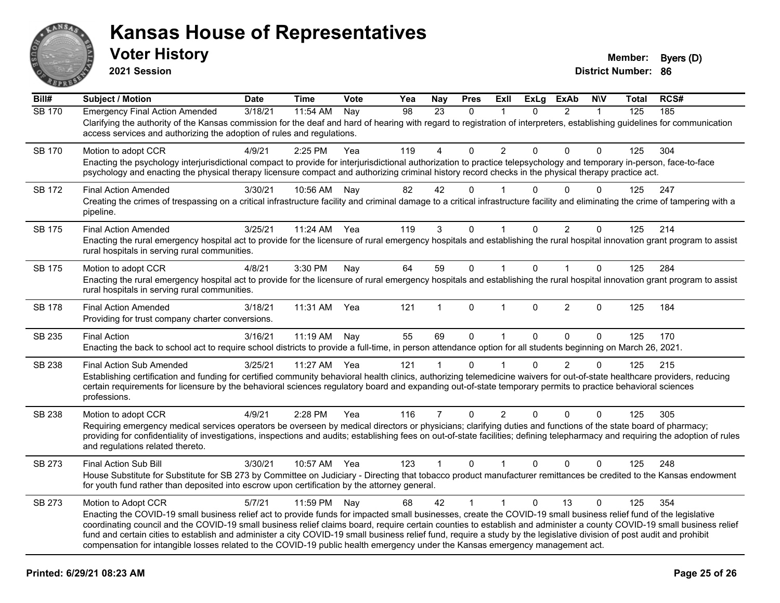

**2021 Session**

| Bill#         | <b>Subject / Motion</b>                                                                                                                                                                                                                                                                                                                                                                                                                                                                                                                                                                                                                                                       | <b>Date</b> | <b>Time</b> | Vote | Yea             | <b>Nay</b>     | <b>Pres</b>  | ExIl           | <b>ExLg</b>  | <b>ExAb</b>    | <b>NIV</b>   | Total | RCS# |
|---------------|-------------------------------------------------------------------------------------------------------------------------------------------------------------------------------------------------------------------------------------------------------------------------------------------------------------------------------------------------------------------------------------------------------------------------------------------------------------------------------------------------------------------------------------------------------------------------------------------------------------------------------------------------------------------------------|-------------|-------------|------|-----------------|----------------|--------------|----------------|--------------|----------------|--------------|-------|------|
| <b>SB 170</b> | <b>Emergency Final Action Amended</b><br>Clarifying the authority of the Kansas commission for the deaf and hard of hearing with regard to registration of interpreters, establishing guidelines for communication<br>access services and authorizing the adoption of rules and regulations.                                                                                                                                                                                                                                                                                                                                                                                  | 3/18/21     | 11:54 AM    | Nay  | $\overline{98}$ | 23             | $\Omega$     | 1              | $\Omega$     | $\overline{2}$ | $\mathbf{1}$ | 125   | 185  |
| <b>SB 170</b> | Motion to adopt CCR<br>Enacting the psychology interjurisdictional compact to provide for interjurisdictional authorization to practice telepsychology and temporary in-person, face-to-face<br>psychology and enacting the physical therapy licensure compact and authorizing criminal history record checks in the physical therapy practice act.                                                                                                                                                                                                                                                                                                                           | 4/9/21      | 2:25 PM     | Yea  | 119             | 4              | $\Omega$     | $\overline{2}$ | $\Omega$     | $\Omega$       | $\Omega$     | 125   | 304  |
| <b>SB 172</b> | <b>Final Action Amended</b><br>Creating the crimes of trespassing on a critical infrastructure facility and criminal damage to a critical infrastructure facility and eliminating the crime of tampering with a<br>pipeline.                                                                                                                                                                                                                                                                                                                                                                                                                                                  | 3/30/21     | 10:56 AM    | Nay  | 82              | 42             | $\Omega$     |                | 0            | 0              | 0            | 125   | 247  |
| SB 175        | <b>Final Action Amended</b><br>Enacting the rural emergency hospital act to provide for the licensure of rural emergency hospitals and establishing the rural hospital innovation grant program to assist<br>rural hospitals in serving rural communities.                                                                                                                                                                                                                                                                                                                                                                                                                    | 3/25/21     | 11:24 AM    | Yea  | 119             | 3              | $\Omega$     | $\mathbf 1$    | $\mathbf{0}$ | $\overline{2}$ | $\Omega$     | 125   | 214  |
| SB 175        | Motion to adopt CCR<br>Enacting the rural emergency hospital act to provide for the licensure of rural emergency hospitals and establishing the rural hospital innovation grant program to assist<br>rural hospitals in serving rural communities.                                                                                                                                                                                                                                                                                                                                                                                                                            | 4/8/21      | 3:30 PM     | Nay  | 64              | 59             | $\Omega$     | $\mathbf{1}$   | $\Omega$     | 1              | $\Omega$     | 125   | 284  |
| SB 178        | <b>Final Action Amended</b><br>Providing for trust company charter conversions.                                                                                                                                                                                                                                                                                                                                                                                                                                                                                                                                                                                               | 3/18/21     | 11:31 AM    | Yea  | 121             |                | $\Omega$     | 1              | $\Omega$     | $\overline{2}$ | $\Omega$     | 125   | 184  |
| SB 235        | <b>Final Action</b><br>Enacting the back to school act to require school districts to provide a full-time, in person attendance option for all students beginning on March 26, 2021.                                                                                                                                                                                                                                                                                                                                                                                                                                                                                          | 3/16/21     | $11:19$ AM  | Nav  | 55              | 69             | $\Omega$     | $\mathbf 1$    | $\Omega$     | $\Omega$       | $\Omega$     | 125   | 170  |
| SB 238        | <b>Final Action Sub Amended</b><br>Establishing certification and funding for certified community behavioral health clinics, authorizing telemedicine waivers for out-of-state healthcare providers, reducing<br>certain requirements for licensure by the behavioral sciences regulatory board and expanding out-of-state temporary permits to practice behavioral sciences<br>professions.                                                                                                                                                                                                                                                                                  | 3/25/21     | 11:27 AM    | Yea  | 121             | 1              | $\Omega$     |                | $\Omega$     | $\overline{2}$ | $\Omega$     | 125   | 215  |
| SB 238        | Motion to adopt CCR<br>Requiring emergency medical services operators be overseen by medical directors or physicians; clarifying duties and functions of the state board of pharmacy;<br>providing for confidentiality of investigations, inspections and audits; establishing fees on out-of-state facilities; defining telepharmacy and requiring the adoption of rules<br>and regulations related thereto.                                                                                                                                                                                                                                                                 | 4/9/21      | 2:28 PM     | Yea  | 116             | $\overline{7}$ | $\mathbf 0$  | $\overline{2}$ | $\Omega$     | $\Omega$       | $\mathbf 0$  | 125   | 305  |
| SB 273        | Final Action Sub Bill<br>House Substitute for Substitute for SB 273 by Committee on Judiciary - Directing that tobacco product manufacturer remittances be credited to the Kansas endowment<br>for youth fund rather than deposited into escrow upon certification by the attorney general.                                                                                                                                                                                                                                                                                                                                                                                   | 3/30/21     | 10:57 AM    | Yea  | 123             | $\mathbf{1}$   | $\mathbf 0$  | $\mathbf{1}$   | $\mathbf{0}$ | $\Omega$       | $\mathbf 0$  | 125   | 248  |
| SB 273        | Motion to Adopt CCR<br>Enacting the COVID-19 small business relief act to provide funds for impacted small businesses, create the COVID-19 small business relief fund of the legislative<br>coordinating council and the COVID-19 small business relief claims board, require certain counties to establish and administer a county COVID-19 small business relief<br>fund and certain cities to establish and administer a city COVID-19 small business relief fund, require a study by the legislative division of post audit and prohibit<br>compensation for intangible losses related to the COVID-19 public health emergency under the Kansas emergency management act. | 5/7/21      | 11:59 PM    | Nay  | 68              | 42             | $\mathbf{1}$ | $\mathbf{1}$   | $\mathbf{0}$ | 13             | $\Omega$     | 125   | 354  |